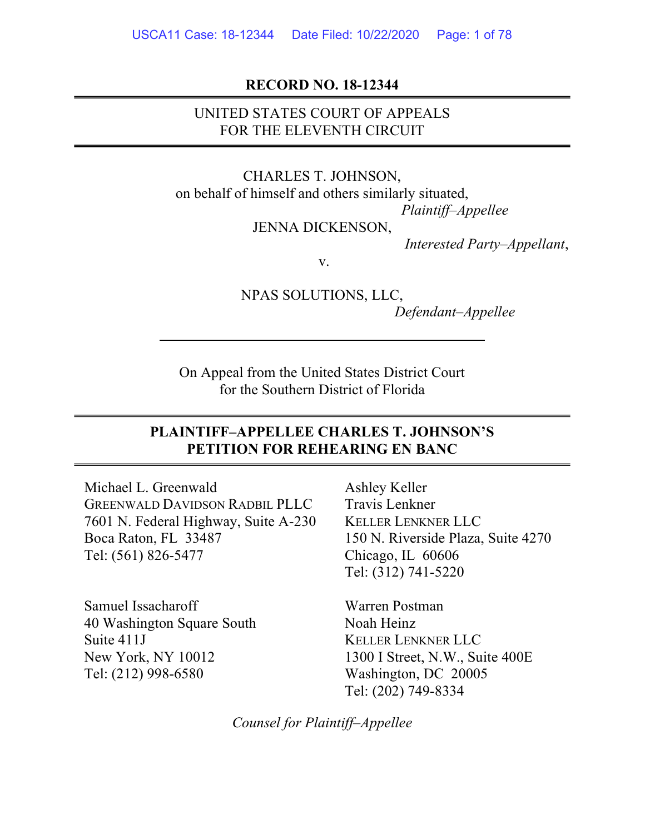### RECORD NO. 18-12344

# UNITED STATES COURT OF APPEALS FOR THE ELEVENTH CIRCUIT

CHARLES T. JOHNSON, on behalf of himself and others similarly situated, Plaintiff–Appellee JENNA DICKENSON,

Interested Party–Appellant,

v.

NPAS SOLUTIONS, LLC, Defendant–Appellee

On Appeal from the United States District Court for the Southern District of Florida

## PLAINTIFF–APPELLEE CHARLES T. JOHNSON'S PETITION FOR REHEARING EN BANC

Michael L. Greenwald GREENWALD DAVIDSON RADBIL PLLC 7601 N. Federal Highway, Suite A-230 Boca Raton, FL 33487 Tel: (561) 826-5477

Samuel Issacharoff 40 Washington Square South Suite 411J New York, NY 10012 Tel: (212) 998-6580

Ashley Keller Travis Lenkner KELLER LENKNER LLC 150 N. Riverside Plaza, Suite 4270 Chicago, IL 60606 Tel: (312) 741-5220

Warren Postman Noah Heinz KELLER LENKNER LLC 1300 I Street, N.W., Suite 400E Washington, DC 20005 Tel: (202) 749-8334

Counsel for Plaintiff–Appellee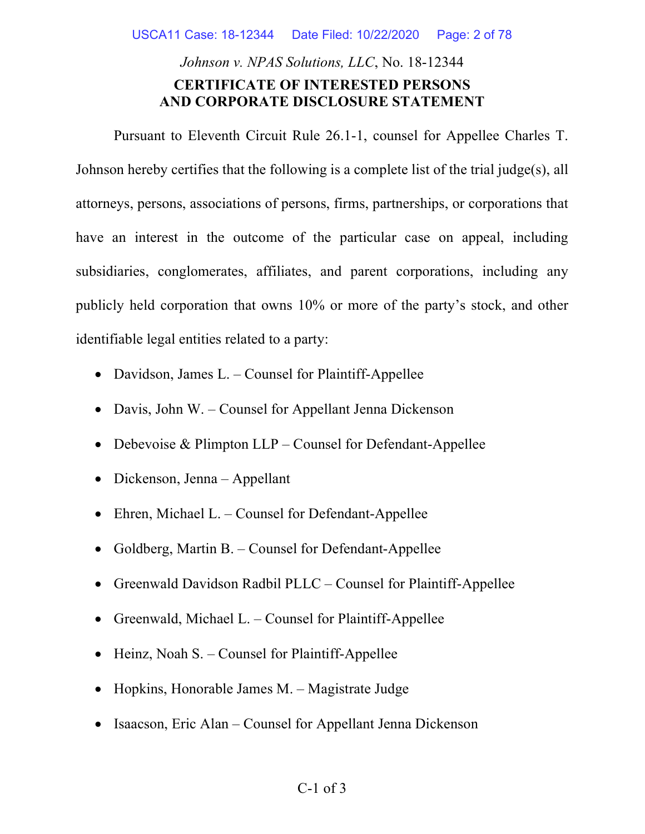USCA11 Case: 18-12344 Date Filed: 10/22/2020 Page: 2 of 78

# Johnson v. NPAS Solutions, LLC, No. 18-12344 CERTIFICATE OF INTERESTED PERSONS AND CORPORATE DISCLOSURE STATEMENT

 Pursuant to Eleventh Circuit Rule 26.1-1, counsel for Appellee Charles T. Johnson hereby certifies that the following is a complete list of the trial judge(s), all attorneys, persons, associations of persons, firms, partnerships, or corporations that have an interest in the outcome of the particular case on appeal, including subsidiaries, conglomerates, affiliates, and parent corporations, including any publicly held corporation that owns 10% or more of the party's stock, and other identifiable legal entities related to a party:

- Davidson, James L. Counsel for Plaintiff-Appellee
- Davis, John W. Counsel for Appellant Jenna Dickenson
- Debevoise & Plimpton  $LLP$  Counsel for Defendant-Appellee
- Dickenson, Jenna Appellant
- Ehren, Michael L. Counsel for Defendant-Appellee
- Goldberg, Martin B. Counsel for Defendant-Appellee
- Greenwald Davidson Radbil PLLC Counsel for Plaintiff-Appellee
- Greenwald, Michael L. Counsel for Plaintiff-Appellee
- Heinz, Noah S. Counsel for Plaintiff-Appellee
- Hopkins, Honorable James M. Magistrate Judge
- Isaacson, Eric Alan Counsel for Appellant Jenna Dickenson

### C-1 of 3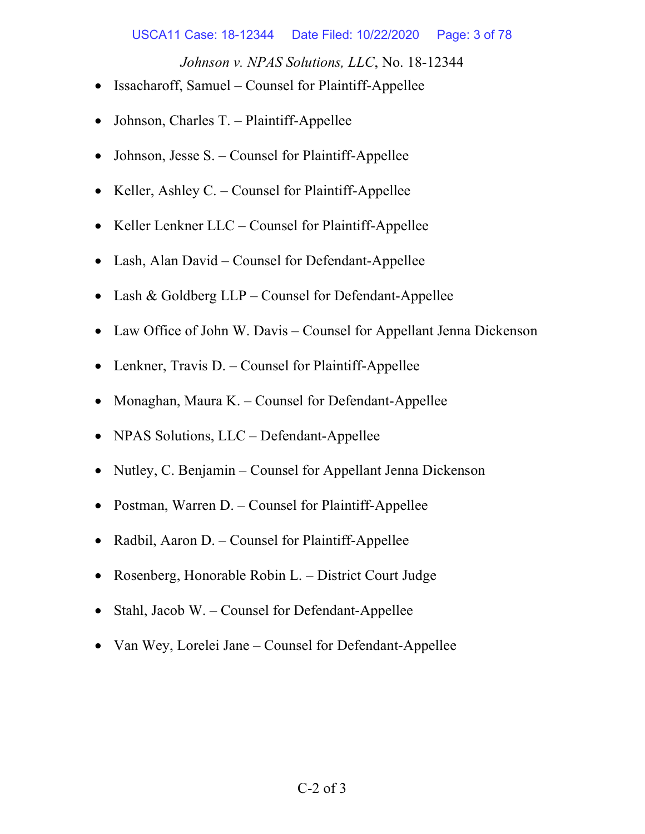Johnson v. NPAS Solutions, LLC, No. 18-12344

- Issacharoff, Samuel Counsel for Plaintiff-Appellee
- Johnson, Charles T. Plaintiff-Appellee
- Johnson, Jesse S. Counsel for Plaintiff-Appellee
- Keller, Ashley C. Counsel for Plaintiff-Appellee
- Keller Lenkner  $LLC -$ Counsel for Plaintiff-Appellee
- Lash, Alan David Counsel for Defendant-Appellee
- Lash & Goldberg LLP Counsel for Defendant-Appellee
- Law Office of John W. Davis Counsel for Appellant Jenna Dickenson
- Lenkner, Travis D. Counsel for Plaintiff-Appellee
- Monaghan, Maura K. Counsel for Defendant-Appellee
- NPAS Solutions, LLC Defendant-Appellee
- Nutley, C. Benjamin Counsel for Appellant Jenna Dickenson
- Postman, Warren D. Counsel for Plaintiff-Appellee
- Radbil, Aaron D. Counsel for Plaintiff-Appellee
- Rosenberg, Honorable Robin L. District Court Judge
- Stahl, Jacob W. Counsel for Defendant-Appellee
- Van Wey, Lorelei Jane Counsel for Defendant-Appellee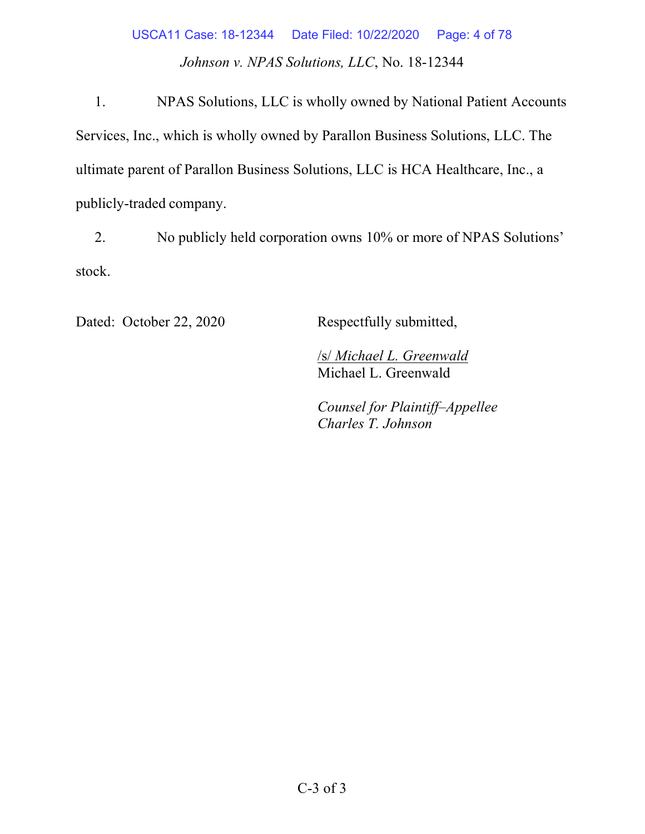# Johnson v. NPAS Solutions, LLC, No. 18-12344 USCA11 Case: 18-12344 Date Filed: 10/22/2020 Page: 4 of 78

1. NPAS Solutions, LLC is wholly owned by National Patient Accounts Services, Inc., which is wholly owned by Parallon Business Solutions, LLC. The ultimate parent of Parallon Business Solutions, LLC is HCA Healthcare, Inc., a publicly-traded company.

2. No publicly held corporation owns 10% or more of NPAS Solutions' stock.

Dated: October 22, 2020 Respectfully submitted,

/s/ Michael L. Greenwald Michael L. Greenwald

Counsel for Plaintiff–Appellee Charles T. Johnson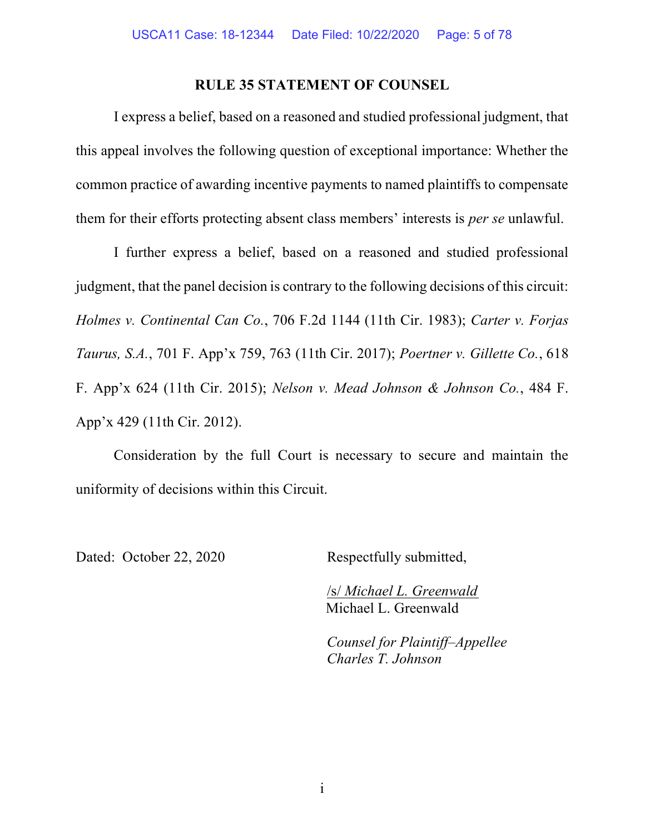### RULE 35 STATEMENT OF COUNSEL

I express a belief, based on a reasoned and studied professional judgment, that this appeal involves the following question of exceptional importance: Whether the common practice of awarding incentive payments to named plaintiffs to compensate them for their efforts protecting absent class members' interests is per se unlawful.

I further express a belief, based on a reasoned and studied professional judgment, that the panel decision is contrary to the following decisions of this circuit: Holmes v. Continental Can Co., 706 F.2d 1144 (11th Cir. 1983); Carter v. Forjas Taurus, S.A., 701 F. App'x 759, 763 (11th Cir. 2017); Poertner v. Gillette Co., 618 F. App'x 624 (11th Cir. 2015); Nelson v. Mead Johnson & Johnson Co., 484 F. App'x 429 (11th Cir. 2012).

Consideration by the full Court is necessary to secure and maintain the uniformity of decisions within this Circuit.

Dated: October 22, 2020 Respectfully submitted,

/s/ Michael L. Greenwald Michael L. Greenwald

Counsel for Plaintiff–Appellee Charles T. Johnson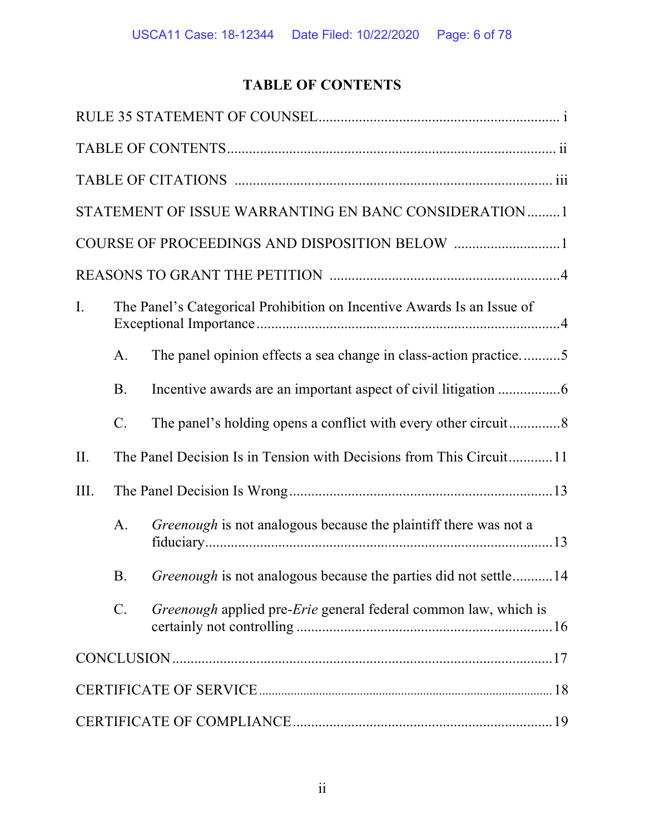# TABLE OF CONTENTS

|                |                                                                        | STATEMENT OF ISSUE WARRANTING EN BANC CONSIDERATION1                   |  |
|----------------|------------------------------------------------------------------------|------------------------------------------------------------------------|--|
|                |                                                                        |                                                                        |  |
|                |                                                                        |                                                                        |  |
| $\mathbf{I}$ . | The Panel's Categorical Prohibition on Incentive Awards Is an Issue of |                                                                        |  |
|                | A.                                                                     | The panel opinion effects a sea change in class-action practice5       |  |
|                | <b>B.</b>                                                              |                                                                        |  |
|                | $C$ .                                                                  |                                                                        |  |
| II.            |                                                                        | The Panel Decision Is in Tension with Decisions from This Circuit11    |  |
| III.           |                                                                        |                                                                        |  |
|                | A.                                                                     | Greenough is not analogous because the plaintiff there was not a       |  |
|                | Β.                                                                     | <i>Greenough</i> is not analogous because the parties did not settle14 |  |
|                | $C$ .                                                                  | Greenough applied pre-Erie general federal common law, which is        |  |
|                |                                                                        |                                                                        |  |
|                |                                                                        |                                                                        |  |
|                |                                                                        |                                                                        |  |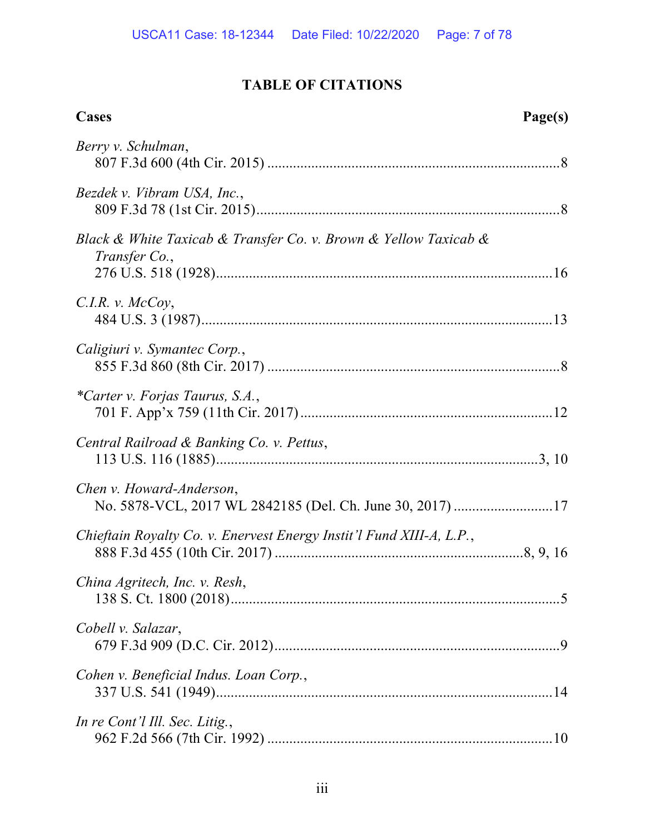# TABLE OF CITATIONS

| Cases<br>Page(s)                                                                      |
|---------------------------------------------------------------------------------------|
| Berry v. Schulman,                                                                    |
| Bezdek v. Vibram USA, Inc.,                                                           |
| Black & White Taxicab & Transfer Co. v. Brown & Yellow Taxicab &<br>Transfer Co.,     |
| $C.I.R. v.$ McCoy,                                                                    |
| Caligiuri v. Symantec Corp.,                                                          |
| *Carter v. Forjas Taurus, S.A.,                                                       |
| Central Railroad & Banking Co. v. Pettus,                                             |
| Chen v. Howard-Anderson,<br>No. 5878-VCL, 2017 WL 2842185 (Del. Ch. June 30, 2017) 17 |
| Chieftain Royalty Co. v. Enervest Energy Instit'l Fund XIII-A, L.P.,                  |
| China Agritech, Inc. v. Resh,                                                         |
| Cobell v. Salazar,                                                                    |
| Cohen v. Beneficial Indus. Loan Corp.,                                                |
| In re Cont'l Ill. Sec. Litig.,                                                        |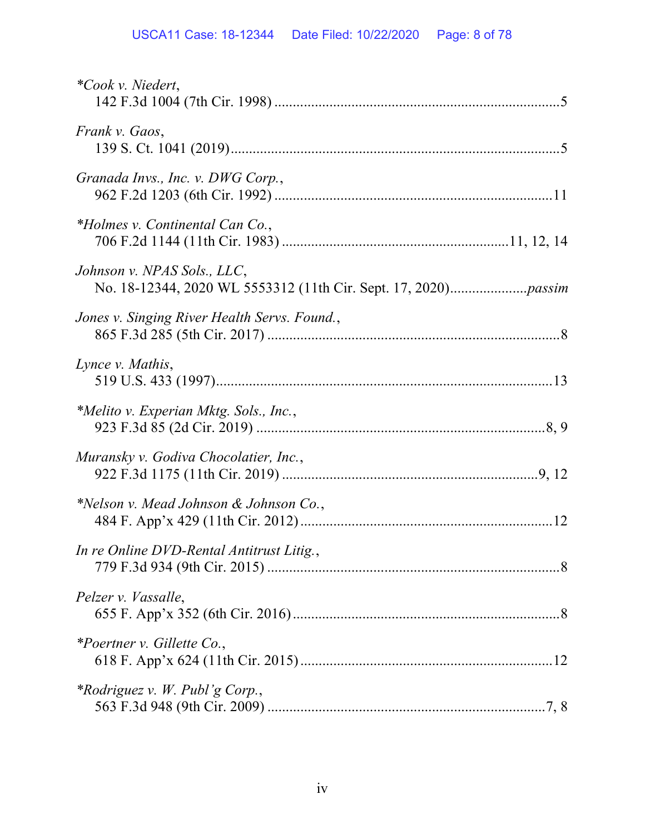| <i>*Cook v. Niedert,</i>                     |
|----------------------------------------------|
| Frank v. Gaos,                               |
| Granada Invs., Inc. v. DWG Corp.,            |
| *Holmes v. Continental Can Co.,              |
| Johnson v. NPAS Sols., LLC,                  |
| Jones v. Singing River Health Servs. Found., |
| Lynce v. Mathis,                             |
| *Melito v. Experian Mktg. Sols., Inc.,       |
| Muransky v. Godiva Chocolatier, Inc.,        |
| *Nelson v. Mead Johnson & Johnson Co.,       |
| In re Online DVD-Rental Antitrust Litig.,    |
| Pelzer v. Vassalle,                          |
| *Poertner v. Gillette Co.,                   |
| <i>*Rodriguez v. W. Publ'g Corp.,</i>        |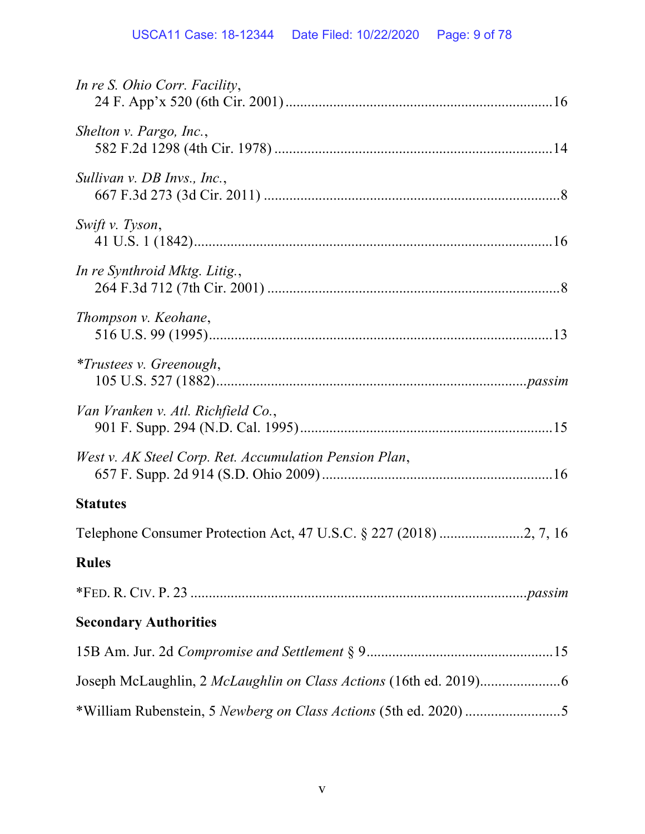| In re S. Ohio Corr. Facility,                          |
|--------------------------------------------------------|
| Shelton v. Pargo, Inc.,                                |
| Sullivan v. DB Invs., Inc.,                            |
| Swift v. Tyson,                                        |
| In re Synthroid Mktg. Litig.,                          |
| Thompson v. Keohane,                                   |
| <i>*Trustees v. Greenough,</i>                         |
| Van Vranken v. Atl. Richfield Co.,                     |
| West v. AK Steel Corp. Ret. Accumulation Pension Plan, |
| <b>Statutes</b>                                        |
|                                                        |
| <b>Rules</b>                                           |
|                                                        |
| <b>Secondary Authorities</b>                           |
|                                                        |
|                                                        |
|                                                        |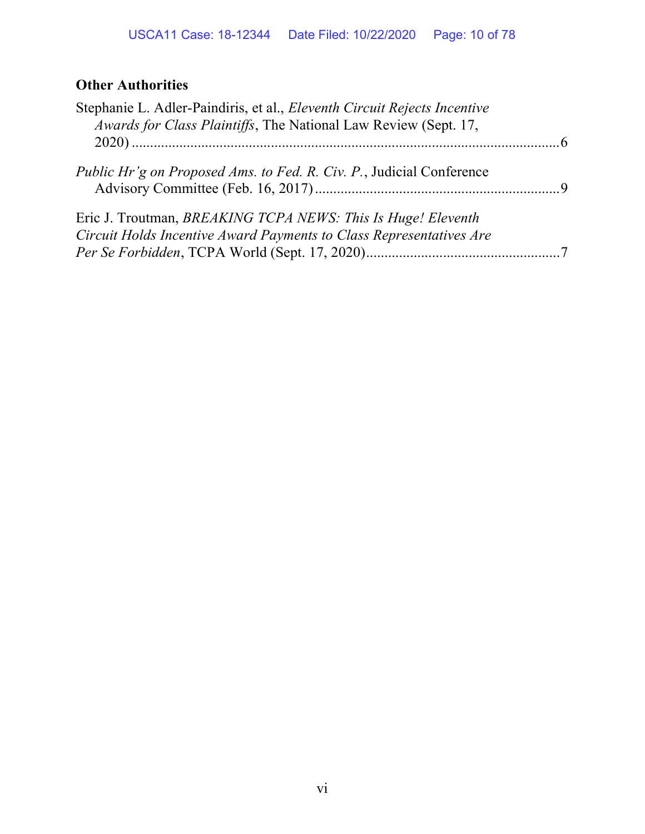# **Other Authorities**

| Stephanie L. Adler-Paindiris, et al., <i>Eleventh Circuit Rejects Incentive</i><br>Awards for Class Plaintiffs, The National Law Review (Sept. 17, |  |
|----------------------------------------------------------------------------------------------------------------------------------------------------|--|
|                                                                                                                                                    |  |
| <i>Public Hr'g on Proposed Ams. to Fed. R. Civ. P., Judicial Conference</i>                                                                        |  |
| Eric J. Troutman, BREAKING TCPA NEWS: This Is Huge! Eleventh<br>Circuit Holds Incentive Award Payments to Class Representatives Are                |  |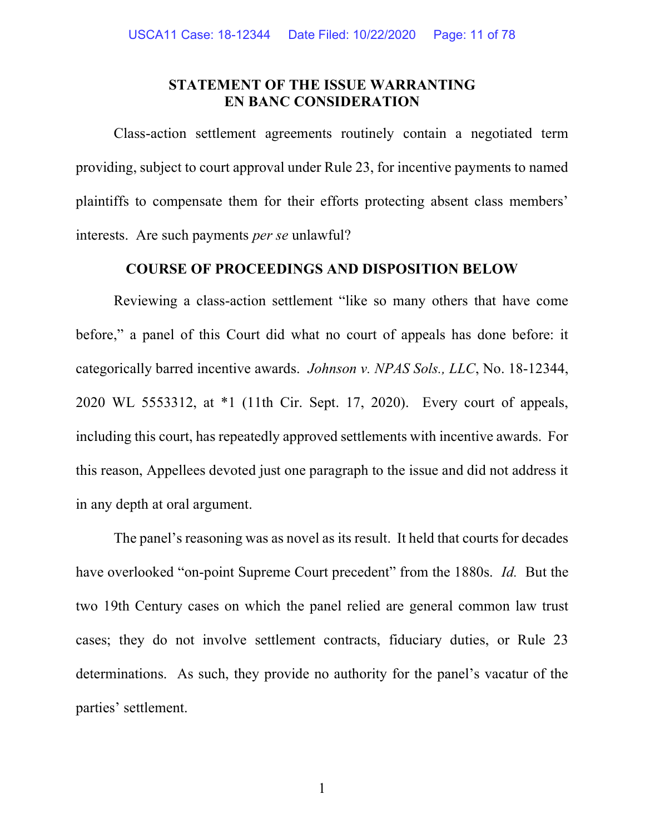## STATEMENT OF THE ISSUE WARRANTING EN BANC CONSIDERATION

Class-action settlement agreements routinely contain a negotiated term providing, subject to court approval under Rule 23, for incentive payments to named plaintiffs to compensate them for their efforts protecting absent class members' interests. Are such payments per se unlawful?

# COURSE OF PROCEEDINGS AND DISPOSITION BELOW

Reviewing a class-action settlement "like so many others that have come before," a panel of this Court did what no court of appeals has done before: it categorically barred incentive awards. Johnson v. NPAS Sols., LLC, No. 18-12344, 2020 WL 5553312, at \*1 (11th Cir. Sept. 17, 2020). Every court of appeals, including this court, has repeatedly approved settlements with incentive awards. For this reason, Appellees devoted just one paragraph to the issue and did not address it in any depth at oral argument.

The panel's reasoning was as novel as its result. It held that courts for decades have overlooked "on-point Supreme Court precedent" from the 1880s. Id. But the two 19th Century cases on which the panel relied are general common law trust cases; they do not involve settlement contracts, fiduciary duties, or Rule 23 determinations. As such, they provide no authority for the panel's vacatur of the parties' settlement.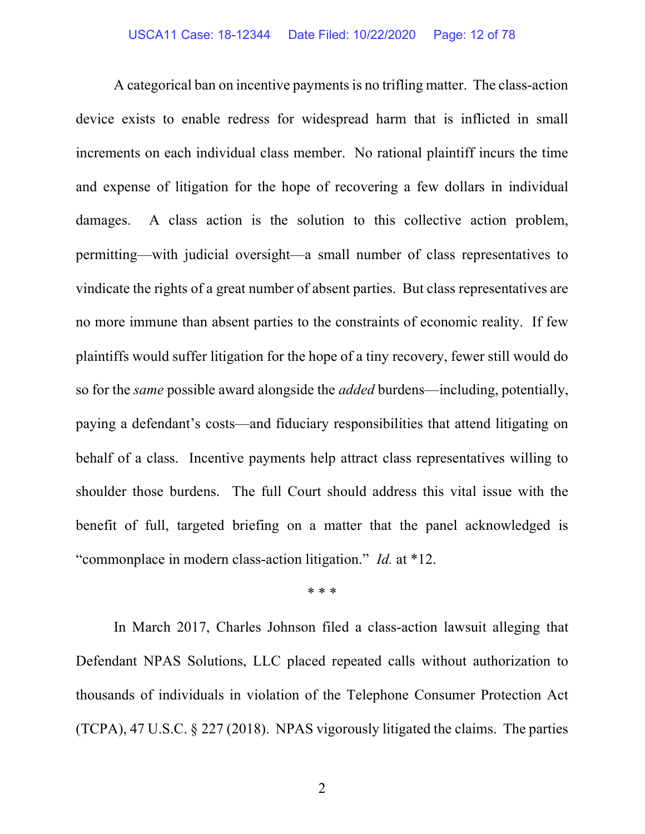A categorical ban on incentive payments is no trifling matter. The class-action device exists to enable redress for widespread harm that is inflicted in small increments on each individual class member. No rational plaintiff incurs the time and expense of litigation for the hope of recovering a few dollars in individual damages. A class action is the solution to this collective action problem, permitting—with judicial oversight—a small number of class representatives to vindicate the rights of a great number of absent parties. But class representatives are no more immune than absent parties to the constraints of economic reality. If few plaintiffs would suffer litigation for the hope of a tiny recovery, fewer still would do so for the same possible award alongside the added burdens—including, potentially, paying a defendant's costs—and fiduciary responsibilities that attend litigating on behalf of a class. Incentive payments help attract class representatives willing to shoulder those burdens. The full Court should address this vital issue with the benefit of full, targeted briefing on a matter that the panel acknowledged is "commonplace in modern class-action litigation." *Id.* at \*12.

\* \* \*

In March 2017, Charles Johnson filed a class-action lawsuit alleging that Defendant NPAS Solutions, LLC placed repeated calls without authorization to thousands of individuals in violation of the Telephone Consumer Protection Act (TCPA), 47 U.S.C. § 227 (2018). NPAS vigorously litigated the claims. The parties

2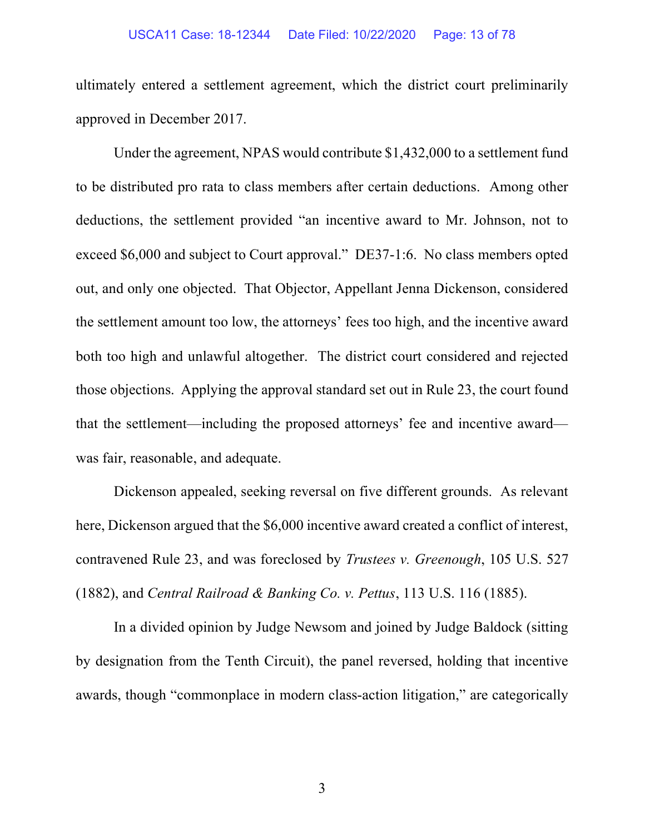#### USCA11 Case: 18-12344 Date Filed: 10/22/2020 Page: 13 of 78

ultimately entered a settlement agreement, which the district court preliminarily approved in December 2017.

Under the agreement, NPAS would contribute \$1,432,000 to a settlement fund to be distributed pro rata to class members after certain deductions. Among other deductions, the settlement provided "an incentive award to Mr. Johnson, not to exceed \$6,000 and subject to Court approval." DE37-1:6. No class members opted out, and only one objected. That Objector, Appellant Jenna Dickenson, considered the settlement amount too low, the attorneys' fees too high, and the incentive award both too high and unlawful altogether. The district court considered and rejected those objections. Applying the approval standard set out in Rule 23, the court found that the settlement—including the proposed attorneys' fee and incentive award was fair, reasonable, and adequate.

Dickenson appealed, seeking reversal on five different grounds. As relevant here, Dickenson argued that the \$6,000 incentive award created a conflict of interest, contravened Rule 23, and was foreclosed by Trustees v. Greenough, 105 U.S. 527 (1882), and Central Railroad & Banking Co. v. Pettus, 113 U.S. 116 (1885).

In a divided opinion by Judge Newsom and joined by Judge Baldock (sitting by designation from the Tenth Circuit), the panel reversed, holding that incentive awards, though "commonplace in modern class-action litigation," are categorically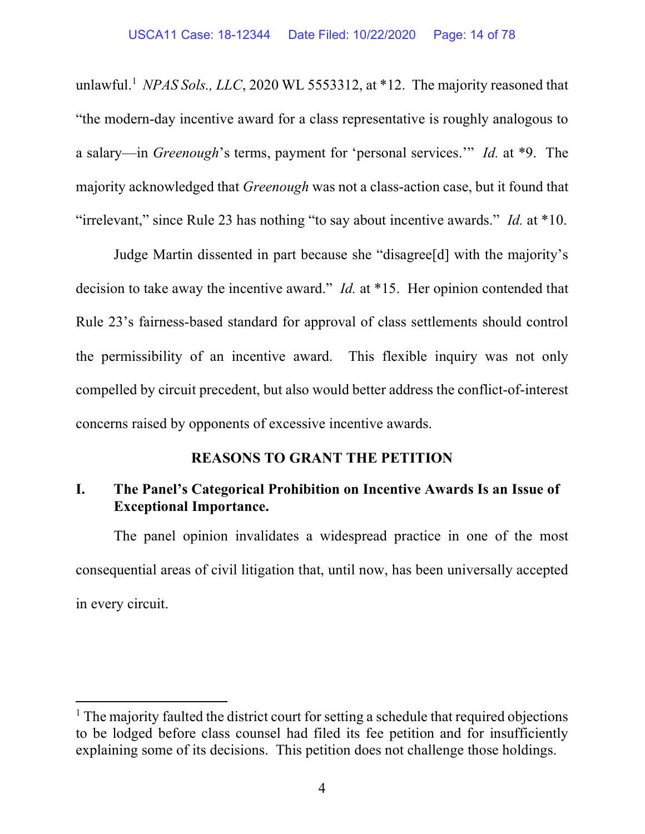unlawful.<sup>1</sup> NPAS Sols., LLC, 2020 WL 5553312, at \*12. The majority reasoned that "the modern-day incentive award for a class representative is roughly analogous to a salary—in Greenough's terms, payment for 'personal services.'" Id. at \*9. The majority acknowledged that Greenough was not a class-action case, but it found that "irrelevant," since Rule 23 has nothing "to say about incentive awards." Id. at  $*10$ .

Judge Martin dissented in part because she "disagree[d] with the majority's decision to take away the incentive award." *Id.* at \*15. Her opinion contended that Rule 23's fairness-based standard for approval of class settlements should control the permissibility of an incentive award. This flexible inquiry was not only compelled by circuit precedent, but also would better address the conflict-of-interest concerns raised by opponents of excessive incentive awards.

## REASONS TO GRANT THE PETITION

# I. The Panel's Categorical Prohibition on Incentive Awards Is an Issue of Exceptional Importance.

The panel opinion invalidates a widespread practice in one of the most consequential areas of civil litigation that, until now, has been universally accepted in every circuit.

<sup>&</sup>lt;sup>1</sup> The majority faulted the district court for setting a schedule that required objections to be lodged before class counsel had filed its fee petition and for insufficiently explaining some of its decisions. This petition does not challenge those holdings.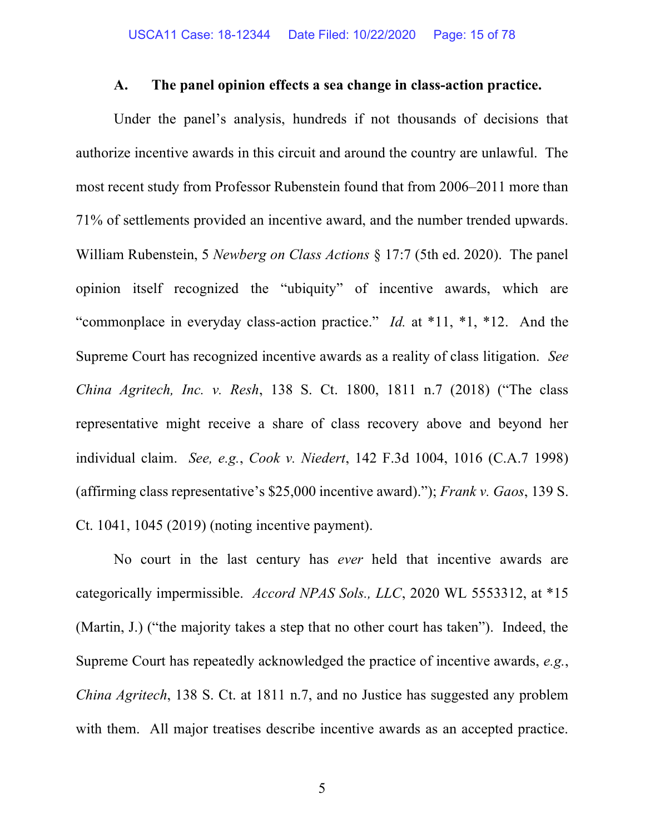### A. The panel opinion effects a sea change in class-action practice.

Under the panel's analysis, hundreds if not thousands of decisions that authorize incentive awards in this circuit and around the country are unlawful. The most recent study from Professor Rubenstein found that from 2006–2011 more than 71% of settlements provided an incentive award, and the number trended upwards. William Rubenstein, 5 Newberg on Class Actions § 17:7 (5th ed. 2020). The panel opinion itself recognized the "ubiquity" of incentive awards, which are "commonplace in everyday class-action practice." *Id.* at  $*11$ ,  $*1$ ,  $*12$ . And the Supreme Court has recognized incentive awards as a reality of class litigation. See China Agritech, Inc. v. Resh, 138 S. Ct. 1800, 1811 n.7 (2018) ("The class representative might receive a share of class recovery above and beyond her individual claim. See, e.g., Cook v. Niedert, 142 F.3d 1004, 1016 (C.A.7 1998) (affirming class representative's \$25,000 incentive award)."); Frank v. Gaos, 139 S. Ct. 1041, 1045 (2019) (noting incentive payment).

No court in the last century has ever held that incentive awards are categorically impermissible. Accord NPAS Sols., LLC, 2020 WL 5553312, at \*15 (Martin, J.) ("the majority takes a step that no other court has taken"). Indeed, the Supreme Court has repeatedly acknowledged the practice of incentive awards, e.g., China Agritech, 138 S. Ct. at 1811 n.7, and no Justice has suggested any problem with them. All major treatises describe incentive awards as an accepted practice.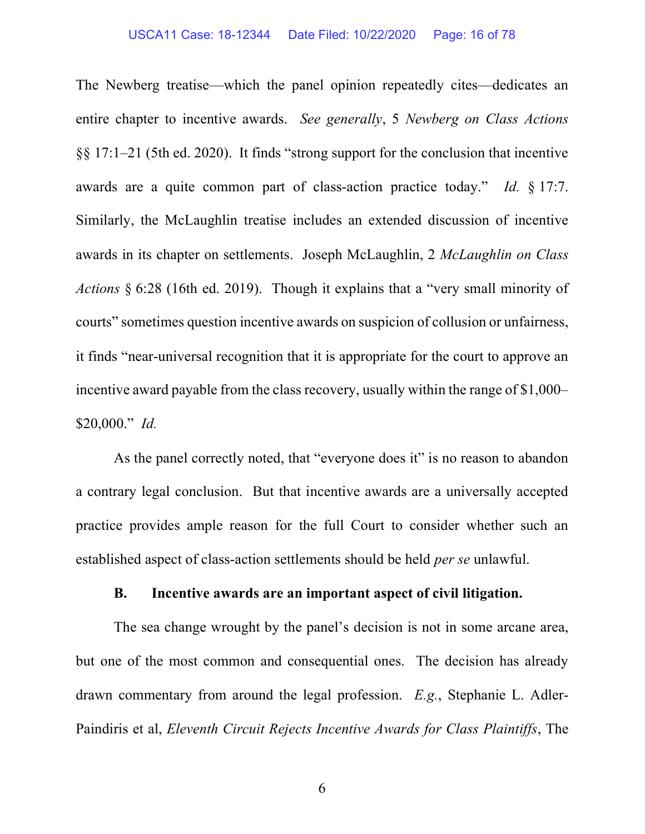#### USCA11 Case: 18-12344 Date Filed: 10/22/2020 Page: 16 of 78

The Newberg treatise—which the panel opinion repeatedly cites—dedicates an entire chapter to incentive awards. See generally, 5 Newberg on Class Actions §§ 17:1–21 (5th ed. 2020). It finds "strong support for the conclusion that incentive awards are a quite common part of class-action practice today." Id. § 17:7. Similarly, the McLaughlin treatise includes an extended discussion of incentive awards in its chapter on settlements. Joseph McLaughlin, 2 McLaughlin on Class Actions § 6:28 (16th ed. 2019). Though it explains that a "very small minority of courts" sometimes question incentive awards on suspicion of collusion or unfairness, it finds "near-universal recognition that it is appropriate for the court to approve an incentive award payable from the class recovery, usually within the range of \$1,000–  $$20,000."$  *Id.* 

As the panel correctly noted, that "everyone does it" is no reason to abandon a contrary legal conclusion. But that incentive awards are a universally accepted practice provides ample reason for the full Court to consider whether such an established aspect of class-action settlements should be held per se unlawful.

#### B. Incentive awards are an important aspect of civil litigation.

The sea change wrought by the panel's decision is not in some arcane area, but one of the most common and consequential ones. The decision has already drawn commentary from around the legal profession. E.g., Stephanie L. Adler-Paindiris et al, Eleventh Circuit Rejects Incentive Awards for Class Plaintiffs, The

6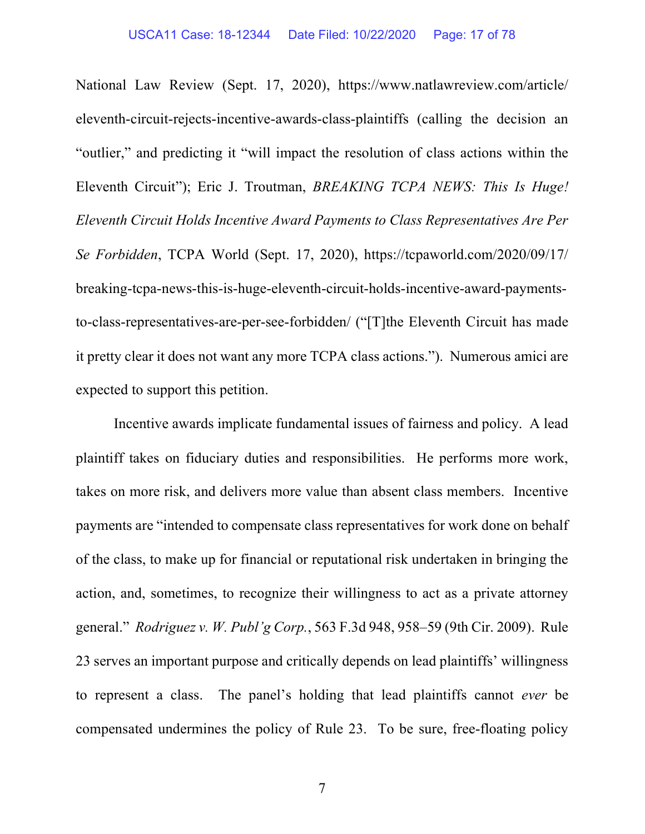National Law Review (Sept. 17, 2020), https://www.natlawreview.com/article/ eleventh-circuit-rejects-incentive-awards-class-plaintiffs (calling the decision an "outlier," and predicting it "will impact the resolution of class actions within the Eleventh Circuit"); Eric J. Troutman, BREAKING TCPA NEWS: This Is Huge! Eleventh Circuit Holds Incentive Award Payments to Class Representatives Are Per Se Forbidden, TCPA World (Sept. 17, 2020), https://tcpaworld.com/2020/09/17/ breaking-tcpa-news-this-is-huge-eleventh-circuit-holds-incentive-award-paymentsto-class-representatives-are-per-see-forbidden/ ("[T]the Eleventh Circuit has made it pretty clear it does not want any more TCPA class actions."). Numerous amici are expected to support this petition.

Incentive awards implicate fundamental issues of fairness and policy. A lead plaintiff takes on fiduciary duties and responsibilities. He performs more work, takes on more risk, and delivers more value than absent class members. Incentive payments are "intended to compensate class representatives for work done on behalf of the class, to make up for financial or reputational risk undertaken in bringing the action, and, sometimes, to recognize their willingness to act as a private attorney general." Rodriguez v. W. Publ'g Corp., 563 F.3d 948, 958–59 (9th Cir. 2009). Rule 23 serves an important purpose and critically depends on lead plaintiffs' willingness to represent a class. The panel's holding that lead plaintiffs cannot ever be compensated undermines the policy of Rule 23. To be sure, free-floating policy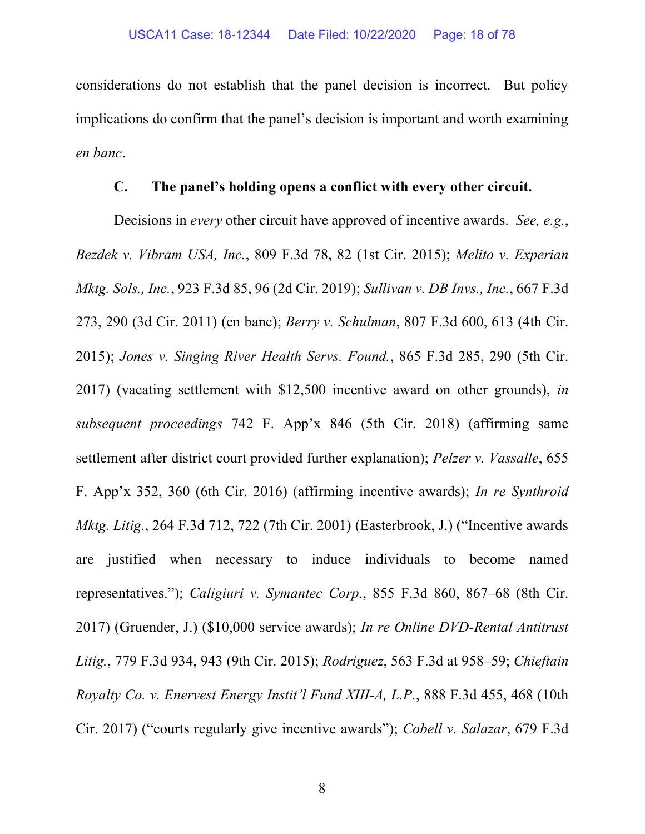considerations do not establish that the panel decision is incorrect. But policy implications do confirm that the panel's decision is important and worth examining en banc.

### C. The panel's holding opens a conflict with every other circuit.

Decisions in *every* other circuit have approved of incentive awards. See, e.g., Bezdek v. Vibram USA, Inc., 809 F.3d 78, 82 (1st Cir. 2015); Melito v. Experian Mktg. Sols., Inc., 923 F.3d 85, 96 (2d Cir. 2019); Sullivan v. DB Invs., Inc., 667 F.3d 273, 290 (3d Cir. 2011) (en banc); Berry v. Schulman, 807 F.3d 600, 613 (4th Cir. 2015); Jones v. Singing River Health Servs. Found., 865 F.3d 285, 290 (5th Cir. 2017) (vacating settlement with \$12,500 incentive award on other grounds), in subsequent proceedings 742 F. App'x 846 (5th Cir. 2018) (affirming same settlement after district court provided further explanation); Pelzer v. Vassalle, 655 F. App'x 352, 360 (6th Cir. 2016) (affirming incentive awards); In re Synthroid Mktg. Litig., 264 F.3d 712, 722 (7th Cir. 2001) (Easterbrook, J.) ("Incentive awards are justified when necessary to induce individuals to become named representatives."); Caligiuri v. Symantec Corp., 855 F.3d 860, 867–68 (8th Cir. 2017) (Gruender, J.) (\$10,000 service awards); In re Online DVD-Rental Antitrust Litig., 779 F.3d 934, 943 (9th Cir. 2015); Rodriguez, 563 F.3d at 958–59; Chieftain Royalty Co. v. Enervest Energy Instit'l Fund XIII-A, L.P., 888 F.3d 455, 468 (10th Cir. 2017) ("courts regularly give incentive awards"); Cobell v. Salazar, 679 F.3d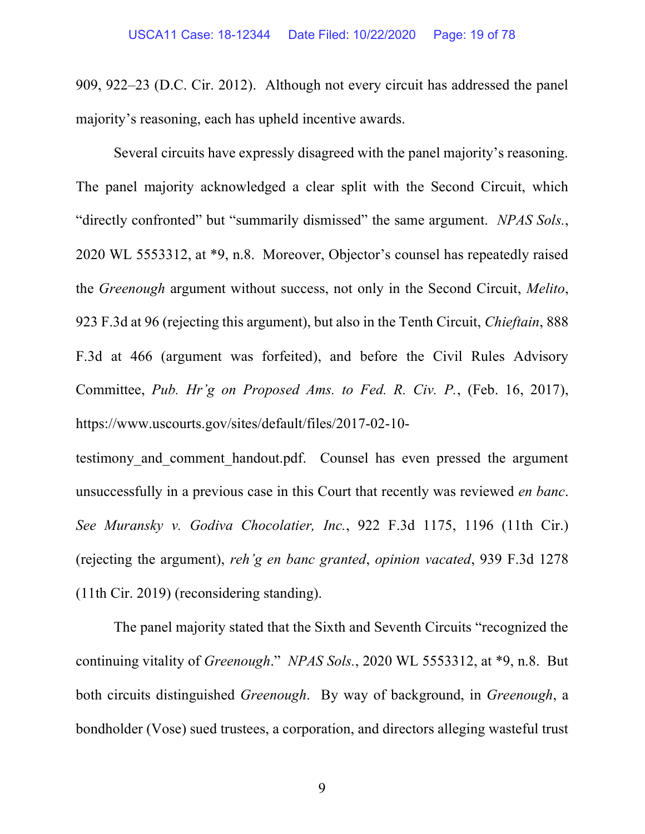909, 922–23 (D.C. Cir. 2012). Although not every circuit has addressed the panel majority's reasoning, each has upheld incentive awards.

Several circuits have expressly disagreed with the panel majority's reasoning. The panel majority acknowledged a clear split with the Second Circuit, which "directly confronted" but "summarily dismissed" the same argument. NPAS Sols., 2020 WL 5553312, at \*9, n.8. Moreover, Objector's counsel has repeatedly raised the Greenough argument without success, not only in the Second Circuit, Melito, 923 F.3d at 96 (rejecting this argument), but also in the Tenth Circuit, Chieftain, 888 F.3d at 466 (argument was forfeited), and before the Civil Rules Advisory Committee, Pub. Hr'g on Proposed Ams. to Fed. R. Civ. P., (Feb. 16, 2017), https://www.uscourts.gov/sites/default/files/2017-02-10-

testimony and comment handout.pdf. Counsel has even pressed the argument unsuccessfully in a previous case in this Court that recently was reviewed en banc. See Muransky v. Godiva Chocolatier, Inc., 922 F.3d 1175, 1196 (11th Cir.) (rejecting the argument), reh'g en banc granted, opinion vacated, 939 F.3d 1278 (11th Cir. 2019) (reconsidering standing).

The panel majority stated that the Sixth and Seventh Circuits "recognized the continuing vitality of Greenough." NPAS Sols., 2020 WL 5553312, at \*9, n.8. But both circuits distinguished Greenough. By way of background, in Greenough, a bondholder (Vose) sued trustees, a corporation, and directors alleging wasteful trust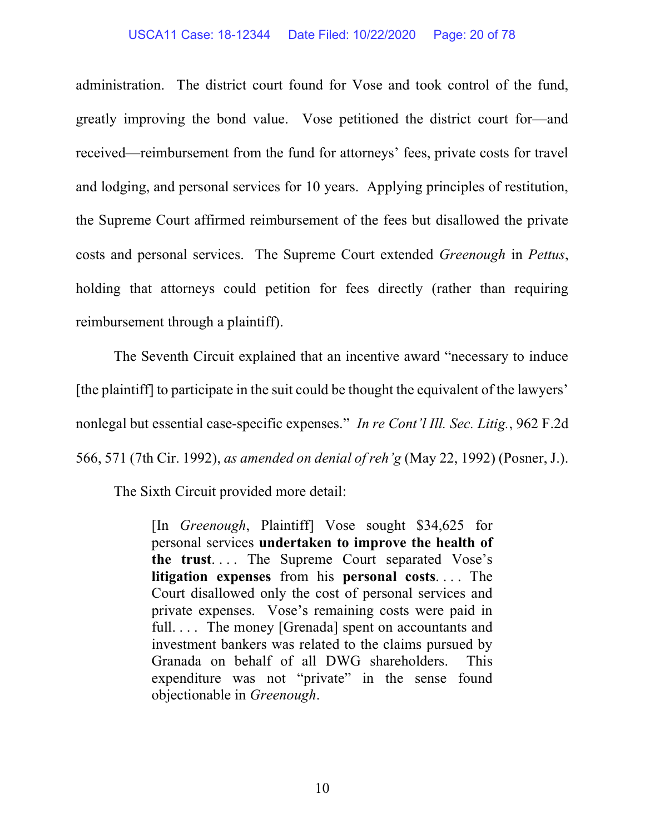#### USCA11 Case: 18-12344 Date Filed: 10/22/2020 Page: 20 of 78

administration. The district court found for Vose and took control of the fund, greatly improving the bond value. Vose petitioned the district court for—and received—reimbursement from the fund for attorneys' fees, private costs for travel and lodging, and personal services for 10 years. Applying principles of restitution, the Supreme Court affirmed reimbursement of the fees but disallowed the private costs and personal services. The Supreme Court extended Greenough in Pettus, holding that attorneys could petition for fees directly (rather than requiring reimbursement through a plaintiff).

The Seventh Circuit explained that an incentive award "necessary to induce [the plaintiff] to participate in the suit could be thought the equivalent of the lawyers' nonlegal but essential case-specific expenses." In re Cont'l Ill. Sec. Litig., 962 F.2d 566, 571 (7th Cir. 1992), as amended on denial of reh'g (May 22, 1992) (Posner, J.).

The Sixth Circuit provided more detail:

[In Greenough, Plaintiff] Vose sought \$34,625 for personal services undertaken to improve the health of the trust. . . . The Supreme Court separated Vose's litigation expenses from his personal costs. . . . The Court disallowed only the cost of personal services and private expenses. Vose's remaining costs were paid in full.... The money [Grenada] spent on accountants and investment bankers was related to the claims pursued by Granada on behalf of all DWG shareholders. This expenditure was not "private" in the sense found objectionable in Greenough.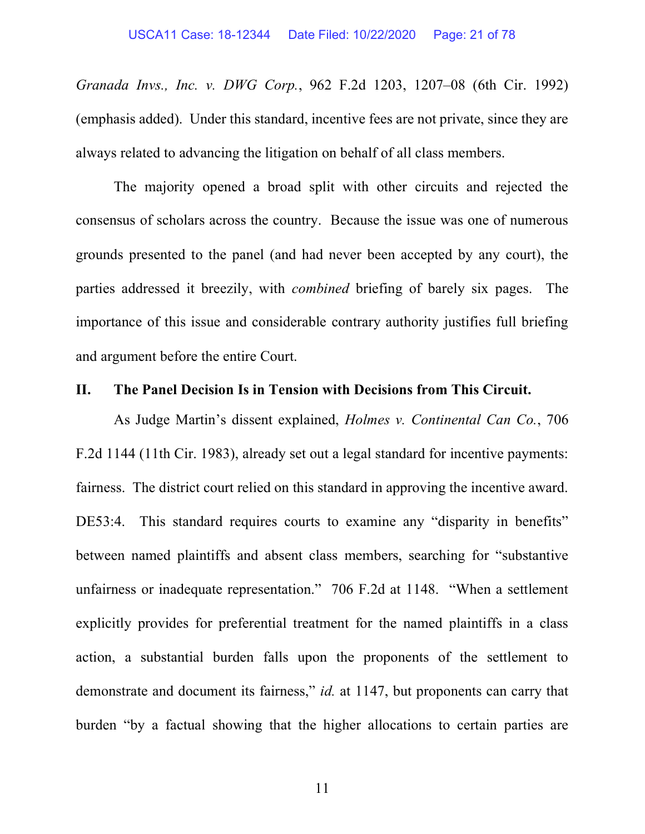Granada Invs., Inc. v. DWG Corp., 962 F.2d 1203, 1207–08 (6th Cir. 1992) (emphasis added). Under this standard, incentive fees are not private, since they are always related to advancing the litigation on behalf of all class members.

The majority opened a broad split with other circuits and rejected the consensus of scholars across the country. Because the issue was one of numerous grounds presented to the panel (and had never been accepted by any court), the parties addressed it breezily, with combined briefing of barely six pages. The importance of this issue and considerable contrary authority justifies full briefing and argument before the entire Court.

### II. The Panel Decision Is in Tension with Decisions from This Circuit.

As Judge Martin's dissent explained, Holmes v. Continental Can Co., 706 F.2d 1144 (11th Cir. 1983), already set out a legal standard for incentive payments: fairness. The district court relied on this standard in approving the incentive award. DE53:4. This standard requires courts to examine any "disparity in benefits" between named plaintiffs and absent class members, searching for "substantive unfairness or inadequate representation." 706 F.2d at 1148. "When a settlement explicitly provides for preferential treatment for the named plaintiffs in a class action, a substantial burden falls upon the proponents of the settlement to demonstrate and document its fairness," *id.* at 1147, but proponents can carry that burden "by a factual showing that the higher allocations to certain parties are

11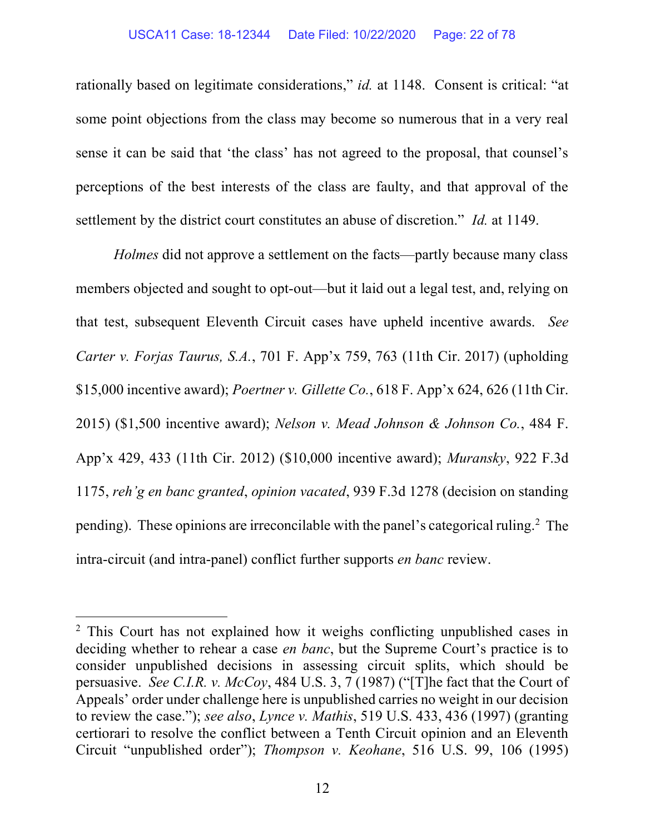#### USCA11 Case: 18-12344 Date Filed: 10/22/2020 Page: 22 of 78

rationally based on legitimate considerations," id. at 1148. Consent is critical: "at some point objections from the class may become so numerous that in a very real sense it can be said that 'the class' has not agreed to the proposal, that counsel's perceptions of the best interests of the class are faulty, and that approval of the settlement by the district court constitutes an abuse of discretion." *Id.* at 1149.

Holmes did not approve a settlement on the facts—partly because many class members objected and sought to opt-out—but it laid out a legal test, and, relying on that test, subsequent Eleventh Circuit cases have upheld incentive awards. See Carter v. Forjas Taurus, S.A., 701 F. App'x 759, 763 (11th Cir. 2017) (upholding \$15,000 incentive award); Poertner v. Gillette Co., 618 F. App'x 624, 626 (11th Cir. 2015) (\$1,500 incentive award); Nelson v. Mead Johnson & Johnson Co., 484 F. App'x 429, 433 (11th Cir. 2012) (\$10,000 incentive award); Muransky, 922 F.3d 1175, reh'g en banc granted, opinion vacated, 939 F.3d 1278 (decision on standing pending). These opinions are irreconcilable with the panel's categorical ruling.<sup>2</sup> The intra-circuit (and intra-panel) conflict further supports en banc review.

<sup>&</sup>lt;sup>2</sup> This Court has not explained how it weighs conflicting unpublished cases in deciding whether to rehear a case *en banc*, but the Supreme Court's practice is to consider unpublished decisions in assessing circuit splits, which should be persuasive. See C.I.R. v. McCoy, 484 U.S. 3, 7 (1987) ("[T]he fact that the Court of Appeals' order under challenge here is unpublished carries no weight in our decision to review the case."); see also, Lynce v. Mathis, 519 U.S. 433, 436 (1997) (granting certiorari to resolve the conflict between a Tenth Circuit opinion and an Eleventh Circuit "unpublished order"); Thompson v. Keohane, 516 U.S. 99, 106 (1995)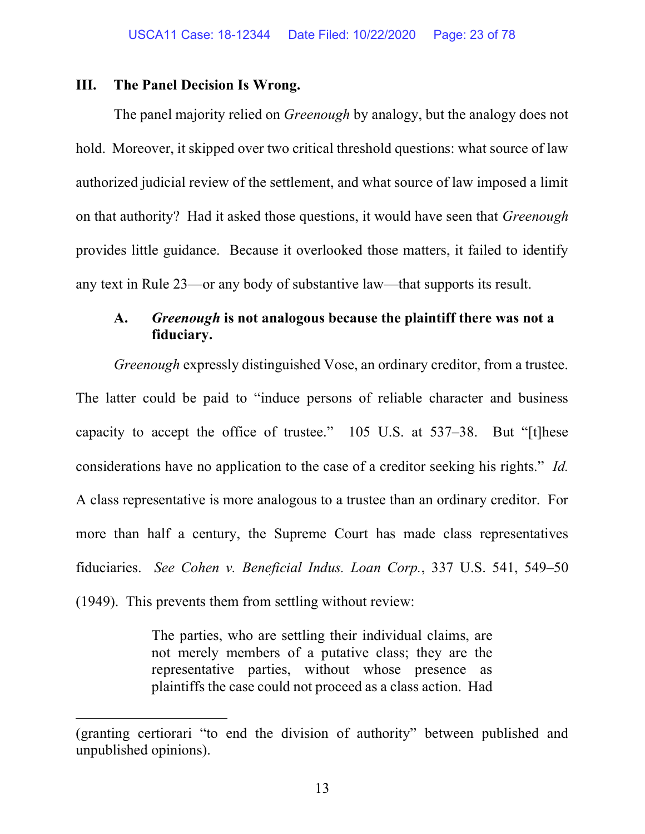#### III. The Panel Decision Is Wrong.

The panel majority relied on *Greenough* by analogy, but the analogy does not hold. Moreover, it skipped over two critical threshold questions: what source of law authorized judicial review of the settlement, and what source of law imposed a limit on that authority? Had it asked those questions, it would have seen that Greenough provides little guidance. Because it overlooked those matters, it failed to identify any text in Rule 23—or any body of substantive law—that supports its result.

# A. Greenough is not analogous because the plaintiff there was not a fiduciary.

Greenough expressly distinguished Vose, an ordinary creditor, from a trustee. The latter could be paid to "induce persons of reliable character and business capacity to accept the office of trustee." 105 U.S. at 537–38. But "[t]hese considerations have no application to the case of a creditor seeking his rights." Id. A class representative is more analogous to a trustee than an ordinary creditor. For more than half a century, the Supreme Court has made class representatives fiduciaries. See Cohen v. Beneficial Indus. Loan Corp., 337 U.S. 541, 549–50 (1949). This prevents them from settling without review:

> The parties, who are settling their individual claims, are not merely members of a putative class; they are the representative parties, without whose presence as plaintiffs the case could not proceed as a class action. Had

<sup>(</sup>granting certiorari "to end the division of authority" between published and unpublished opinions).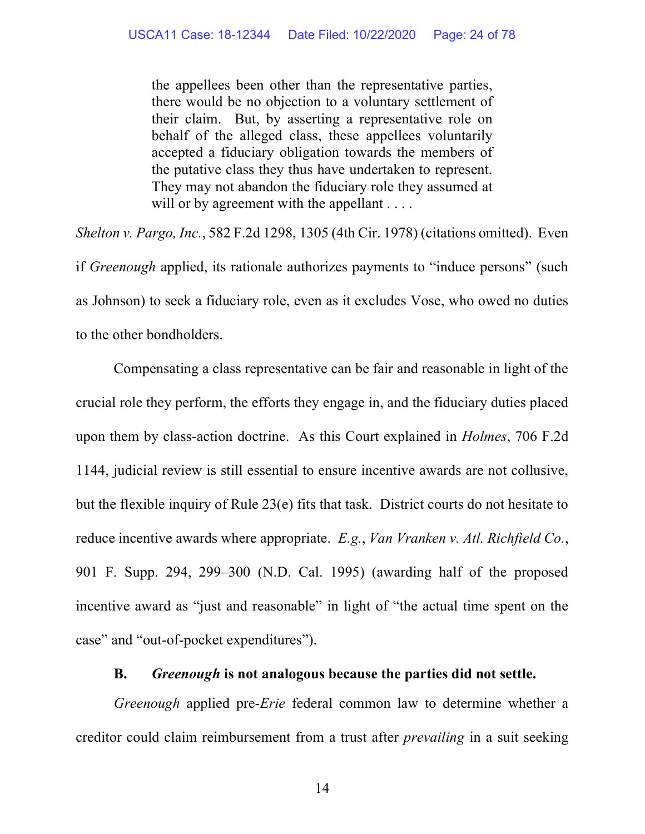the appellees been other than the representative parties, there would be no objection to a voluntary settlement of their claim. But, by asserting a representative role on behalf of the alleged class, these appellees voluntarily accepted a fiduciary obligation towards the members of the putative class they thus have undertaken to represent. They may not abandon the fiduciary role they assumed at will or by agreement with the appellant . . . .

Shelton v. Pargo, Inc., 582 F.2d 1298, 1305 (4th Cir. 1978) (citations omitted). Even if Greenough applied, its rationale authorizes payments to "induce persons" (such as Johnson) to seek a fiduciary role, even as it excludes Vose, who owed no duties to the other bondholders.

Compensating a class representative can be fair and reasonable in light of the crucial role they perform, the efforts they engage in, and the fiduciary duties placed upon them by class-action doctrine. As this Court explained in Holmes, 706 F.2d 1144, judicial review is still essential to ensure incentive awards are not collusive, but the flexible inquiry of Rule 23(e) fits that task. District courts do not hesitate to reduce incentive awards where appropriate. E.g., Van Vranken v. Atl. Richfield Co., 901 F. Supp. 294, 299–300 (N.D. Cal. 1995) (awarding half of the proposed incentive award as "just and reasonable" in light of "the actual time spent on the case" and "out-of-pocket expenditures").

## B. Greenough is not analogous because the parties did not settle.

Greenough applied pre-*Erie* federal common law to determine whether a creditor could claim reimbursement from a trust after prevailing in a suit seeking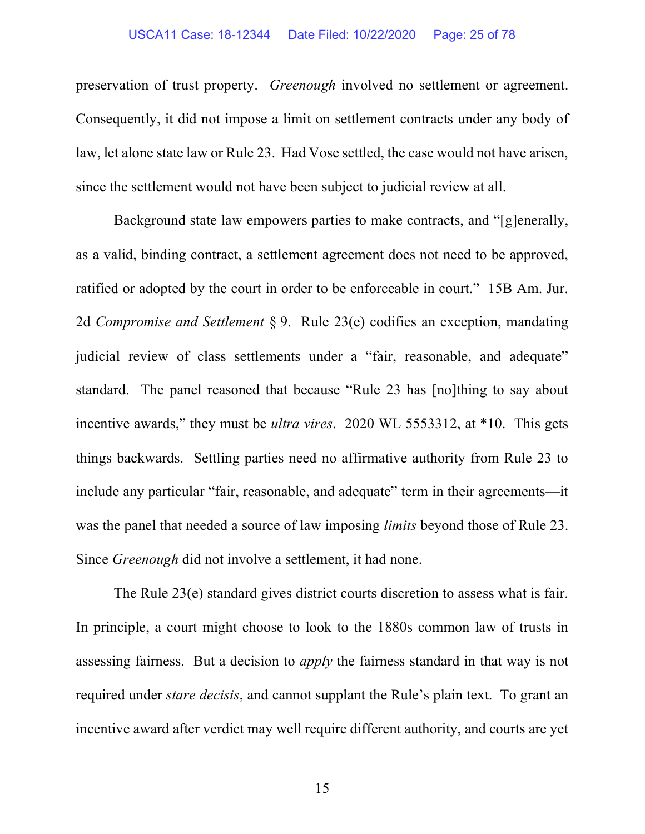#### USCA11 Case: 18-12344 Date Filed: 10/22/2020 Page: 25 of 78

preservation of trust property. Greenough involved no settlement or agreement. Consequently, it did not impose a limit on settlement contracts under any body of law, let alone state law or Rule 23. Had Vose settled, the case would not have arisen, since the settlement would not have been subject to judicial review at all.

Background state law empowers parties to make contracts, and "[g]enerally, as a valid, binding contract, a settlement agreement does not need to be approved, ratified or adopted by the court in order to be enforceable in court." 15B Am. Jur. 2d Compromise and Settlement § 9. Rule 23(e) codifies an exception, mandating judicial review of class settlements under a "fair, reasonable, and adequate" standard. The panel reasoned that because "Rule 23 has [no]thing to say about incentive awards," they must be *ultra vires.* 2020 WL 5553312, at \*10. This gets things backwards. Settling parties need no affirmative authority from Rule 23 to include any particular "fair, reasonable, and adequate" term in their agreements—it was the panel that needed a source of law imposing limits beyond those of Rule 23. Since Greenough did not involve a settlement, it had none.

The Rule 23(e) standard gives district courts discretion to assess what is fair. In principle, a court might choose to look to the 1880s common law of trusts in assessing fairness. But a decision to apply the fairness standard in that way is not required under *stare decisis*, and cannot supplant the Rule's plain text. To grant an incentive award after verdict may well require different authority, and courts are yet

15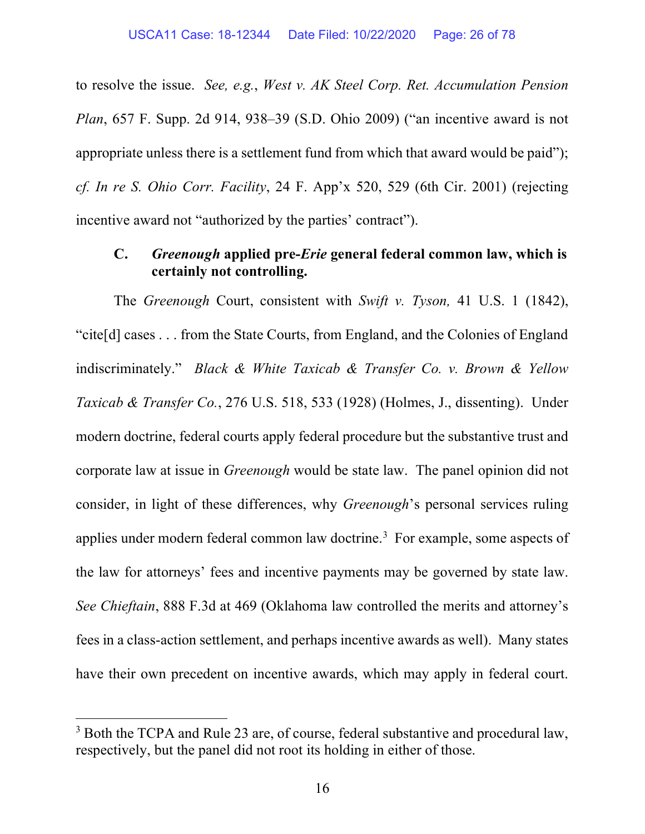to resolve the issue. See, e.g., West v. AK Steel Corp. Ret. Accumulation Pension Plan, 657 F. Supp. 2d 914, 938–39 (S.D. Ohio 2009) ("an incentive award is not appropriate unless there is a settlement fund from which that award would be paid"); cf. In re S. Ohio Corr. Facility, 24 F. App'x 520, 529 (6th Cir. 2001) (rejecting incentive award not "authorized by the parties' contract").

## C. Greenough applied pre-Erie general federal common law, which is certainly not controlling.

The *Greenough* Court, consistent with *Swift v. Tyson*, 41 U.S. 1 (1842), "cite[d] cases . . . from the State Courts, from England, and the Colonies of England indiscriminately." Black & White Taxicab & Transfer Co. v. Brown & Yellow Taxicab & Transfer Co., 276 U.S. 518, 533 (1928) (Holmes, J., dissenting). Under modern doctrine, federal courts apply federal procedure but the substantive trust and corporate law at issue in Greenough would be state law. The panel opinion did not consider, in light of these differences, why Greenough's personal services ruling applies under modern federal common law doctrine.<sup>3</sup> For example, some aspects of the law for attorneys' fees and incentive payments may be governed by state law. See Chieftain, 888 F.3d at 469 (Oklahoma law controlled the merits and attorney's fees in a class-action settlement, and perhaps incentive awards as well). Many states have their own precedent on incentive awards, which may apply in federal court.

<sup>&</sup>lt;sup>3</sup> Both the TCPA and Rule 23 are, of course, federal substantive and procedural law, respectively, but the panel did not root its holding in either of those.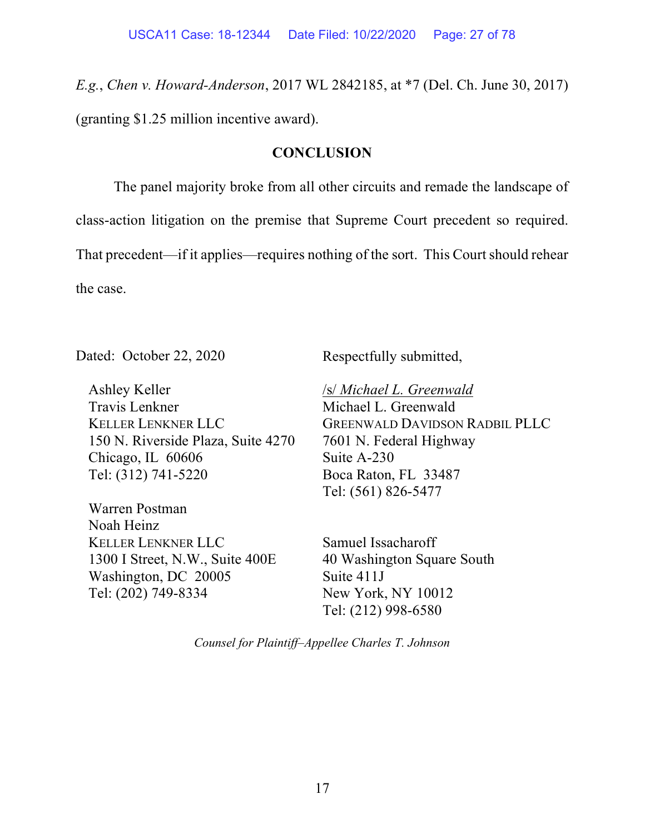E.g., Chen v. Howard-Anderson, 2017 WL 2842185, at \*7 (Del. Ch. June 30, 2017) (granting \$1.25 million incentive award).

## **CONCLUSION**

The panel majority broke from all other circuits and remade the landscape of class-action litigation on the premise that Supreme Court precedent so required. That precedent—if it applies—requires nothing of the sort. This Court should rehear the case.

Dated: October 22, 2020

Ashley Keller Travis Lenkner KELLER LENKNER LLC 150 N. Riverside Plaza, Suite 4270 Chicago, IL 60606 Tel: (312) 741-5220

Warren Postman Noah Heinz KELLER LENKNER LLC 1300 I Street, N.W., Suite 400E Washington, DC 20005 Tel: (202) 749-8334

Respectfully submitted,

/s/ Michael L. Greenwald Michael L. Greenwald GREENWALD DAVIDSON RADBIL PLLC 7601 N. Federal Highway Suite A-230 Boca Raton, FL 33487 Tel: (561) 826-5477

Samuel Issacharoff 40 Washington Square South Suite 411J New York, NY 10012 Tel: (212) 998-6580

Counsel for Plaintiff–Appellee Charles T. Johnson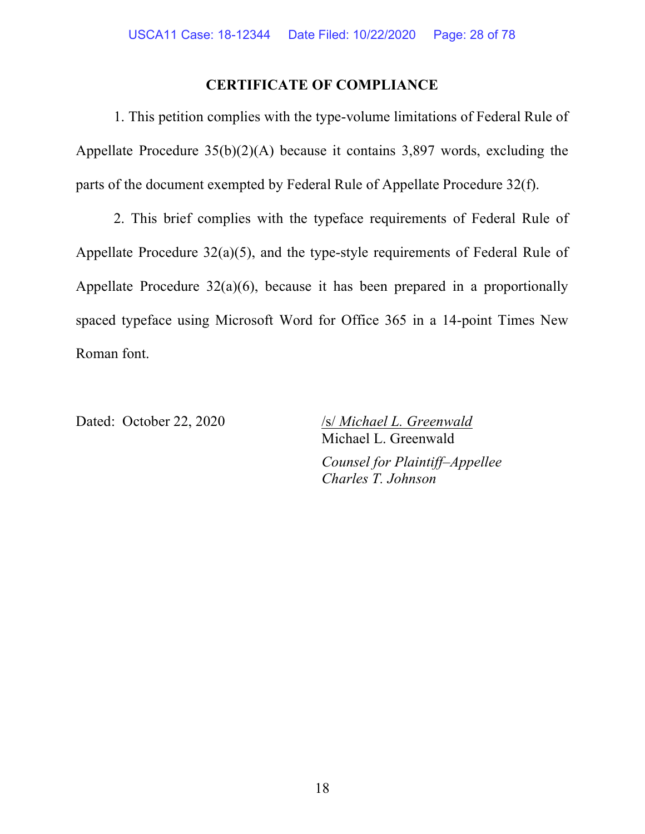### CERTIFICATE OF COMPLIANCE

1. This petition complies with the type-volume limitations of Federal Rule of Appellate Procedure 35(b)(2)(A) because it contains 3,897 words, excluding the parts of the document exempted by Federal Rule of Appellate Procedure 32(f).

2. This brief complies with the typeface requirements of Federal Rule of Appellate Procedure 32(a)(5), and the type-style requirements of Federal Rule of Appellate Procedure  $32(a)(6)$ , because it has been prepared in a proportionally spaced typeface using Microsoft Word for Office 365 in a 14-point Times New Roman font.

Dated: October 22, 2020 /s/ Michael L. Greenwald Michael L. Greenwald Counsel for Plaintiff–Appellee Charles T. Johnson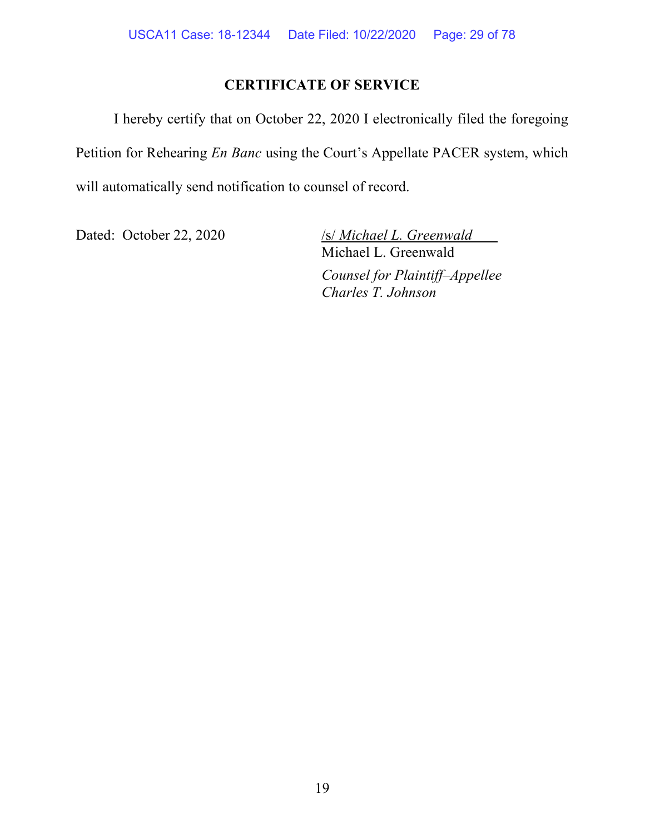# CERTIFICATE OF SERVICE

I hereby certify that on October 22, 2020 I electronically filed the foregoing Petition for Rehearing En Banc using the Court's Appellate PACER system, which will automatically send notification to counsel of record.

Dated: October 22, 2020 /s/ Michael L. Greenwald

Michael L. Greenwald Counsel for Plaintiff–Appellee Charles T. Johnson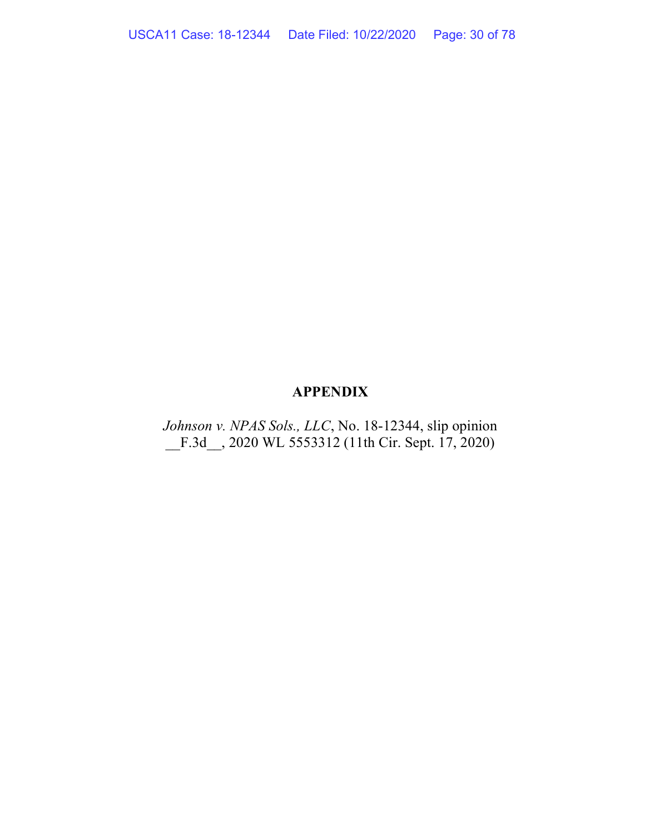# APPENDIX

Johnson v. NPAS Sols., LLC, No. 18-12344, slip opinion \_\_F.3d\_\_, 2020 WL 5553312 (11th Cir. Sept. 17, 2020)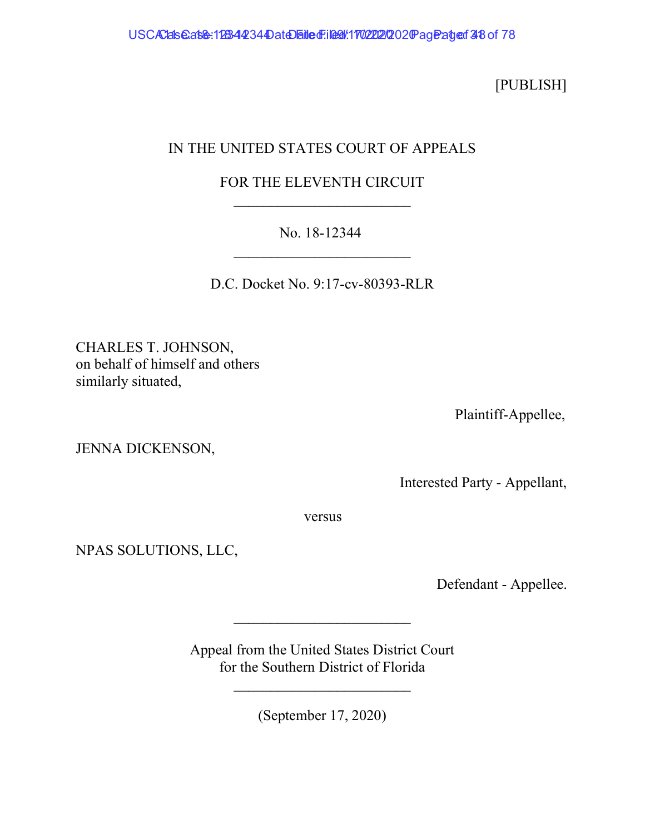[PUBLISH]

# IN THE UNITED STATES COURT OF APPEALS

# FOR THE ELEVENTH CIRCUIT  $\mathcal{L}_\text{max}$  , where  $\mathcal{L}_\text{max}$  and  $\mathcal{L}_\text{max}$

# No. 18-12344

D.C. Docket No. 9:17-cv-80393-RLR

CHARLES T. JOHNSON, on behalf of himself and others similarly situated,

Plaintiff-Appellee,

JENNA DICKENSON,

Interested Party - Appellant,

versus

NPAS SOLUTIONS, LLC,

Defendant - Appellee.

Appeal from the United States District Court for the Southern District of Florida

 $\mathcal{L}_\text{max}$  , where  $\mathcal{L}_\text{max}$  and  $\mathcal{L}_\text{max}$ 

 $\mathcal{L}_\text{max}$  , where  $\mathcal{L}_\text{max}$  and  $\mathcal{L}_\text{max}$ 

(September 17, 2020)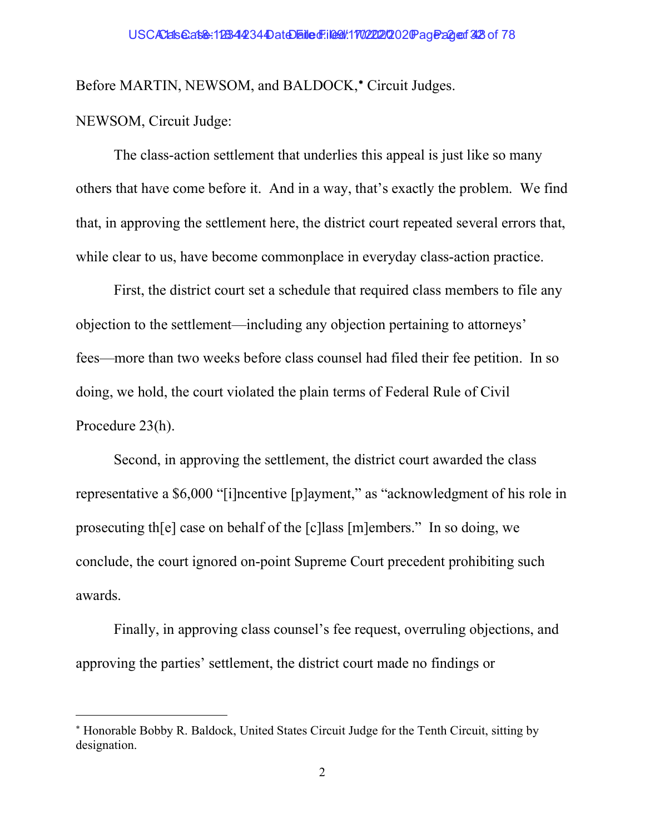Before MARTIN, NEWSOM, and BALDOCK,\* Circuit Judges.

# NEWSOM, Circuit Judge:

The class-action settlement that underlies this appeal is just like so many others that have come before it. And in a way, that's exactly the problem. We find that, in approving the settlement here, the district court repeated several errors that, while clear to us, have become commonplace in everyday class-action practice.

First, the district court set a schedule that required class members to file any objection to the settlement—including any objection pertaining to attorneys' fees—more than two weeks before class counsel had filed their fee petition. In so doing, we hold, the court violated the plain terms of Federal Rule of Civil Procedure 23(h).

Second, in approving the settlement, the district court awarded the class representative a \$6,000 "[i]ncentive [p]ayment," as "acknowledgment of his role in prosecuting th[e] case on behalf of the [c]lass [m]embers." In so doing, we conclude, the court ignored on-point Supreme Court precedent prohibiting such awards.

Finally, in approving class counsel's fee request, overruling objections, and approving the parties' settlement, the district court made no findings or

 Honorable Bobby R. Baldock, United States Circuit Judge for the Tenth Circuit, sitting by designation.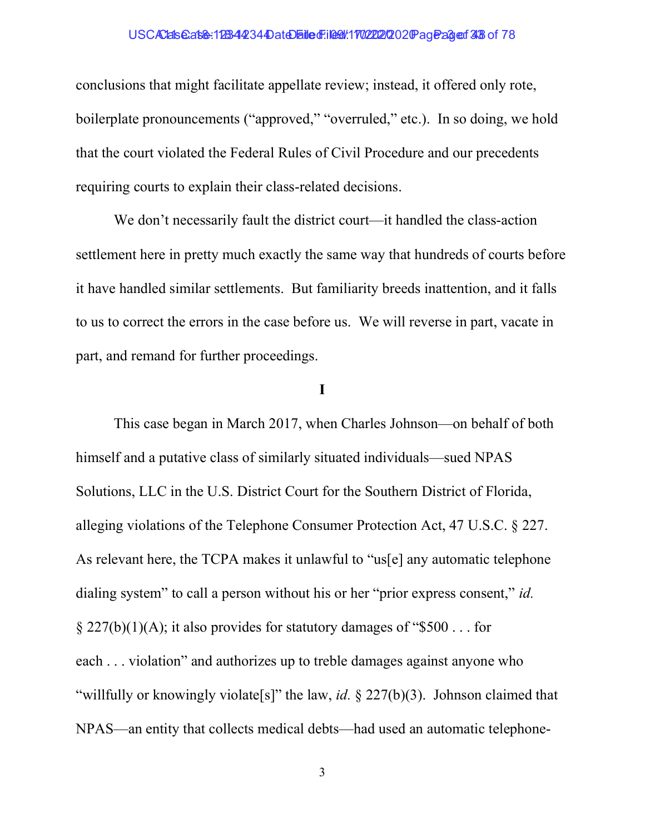#### USCAClals@at&: 1233442344DateDailedFiled: 1702222020 Pageage: 3 3 of 78

conclusions that might facilitate appellate review; instead, it offered only rote, boilerplate pronouncements ("approved," "overruled," etc.). In so doing, we hold that the court violated the Federal Rules of Civil Procedure and our precedents requiring courts to explain their class-related decisions.

We don't necessarily fault the district court—it handled the class-action settlement here in pretty much exactly the same way that hundreds of courts before it have handled similar settlements. But familiarity breeds inattention, and it falls to us to correct the errors in the case before us. We will reverse in part, vacate in part, and remand for further proceedings.

### I

This case began in March 2017, when Charles Johnson—on behalf of both himself and a putative class of similarly situated individuals—sued NPAS Solutions, LLC in the U.S. District Court for the Southern District of Florida, alleging violations of the Telephone Consumer Protection Act, 47 U.S.C. § 227. As relevant here, the TCPA makes it unlawful to "us[e] any automatic telephone dialing system" to call a person without his or her "prior express consent," id.  $\frac{227(b)(1)(A)}{i}$ ; it also provides for statutory damages of "\$500... for each . . . violation" and authorizes up to treble damages against anyone who "willfully or knowingly violate<sup>[s]"</sup> the law, *id.*  $\frac{227(b)(3)}{3}$ . Johnson claimed that NPAS—an entity that collects medical debts—had used an automatic telephone-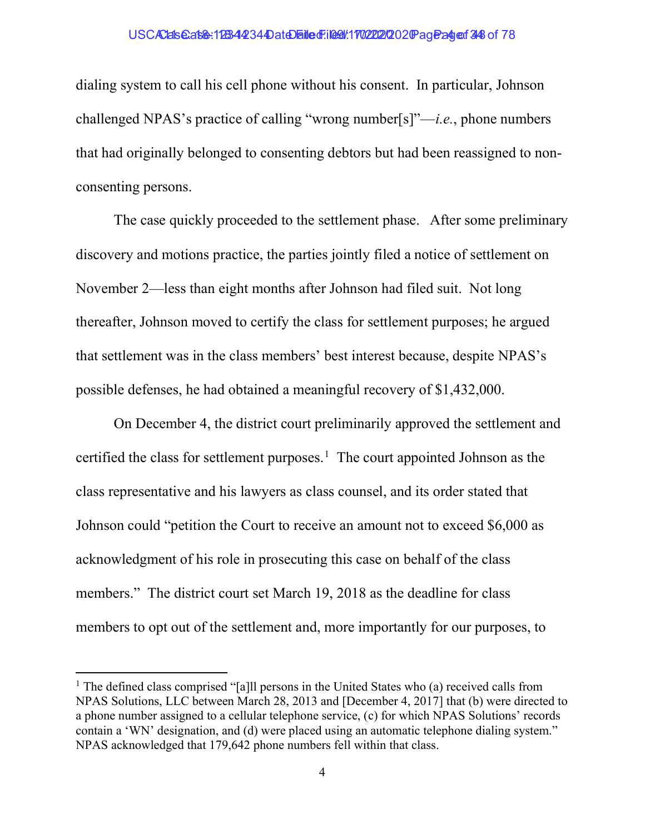#### USCAClals@at&: 1233442344DateDailedFiled: 1702222020 Page: 249 of 78

dialing system to call his cell phone without his consent. In particular, Johnson challenged NPAS's practice of calling "wrong number[s]"—*i.e.*, phone numbers that had originally belonged to consenting debtors but had been reassigned to nonconsenting persons.

The case quickly proceeded to the settlement phase. After some preliminary discovery and motions practice, the parties jointly filed a notice of settlement on November 2—less than eight months after Johnson had filed suit. Not long thereafter, Johnson moved to certify the class for settlement purposes; he argued that settlement was in the class members' best interest because, despite NPAS's possible defenses, he had obtained a meaningful recovery of \$1,432,000.

On December 4, the district court preliminarily approved the settlement and certified the class for settlement purposes.<sup>1</sup> The court appointed Johnson as the class representative and his lawyers as class counsel, and its order stated that Johnson could "petition the Court to receive an amount not to exceed \$6,000 as acknowledgment of his role in prosecuting this case on behalf of the class members." The district court set March 19, 2018 as the deadline for class members to opt out of the settlement and, more importantly for our purposes, to

<sup>&</sup>lt;sup>1</sup> The defined class comprised "[a]ll persons in the United States who (a) received calls from NPAS Solutions, LLC between March 28, 2013 and [December 4, 2017] that (b) were directed to a phone number assigned to a cellular telephone service, (c) for which NPAS Solutions' records contain a 'WN' designation, and (d) were placed using an automatic telephone dialing system." NPAS acknowledged that 179,642 phone numbers fell within that class.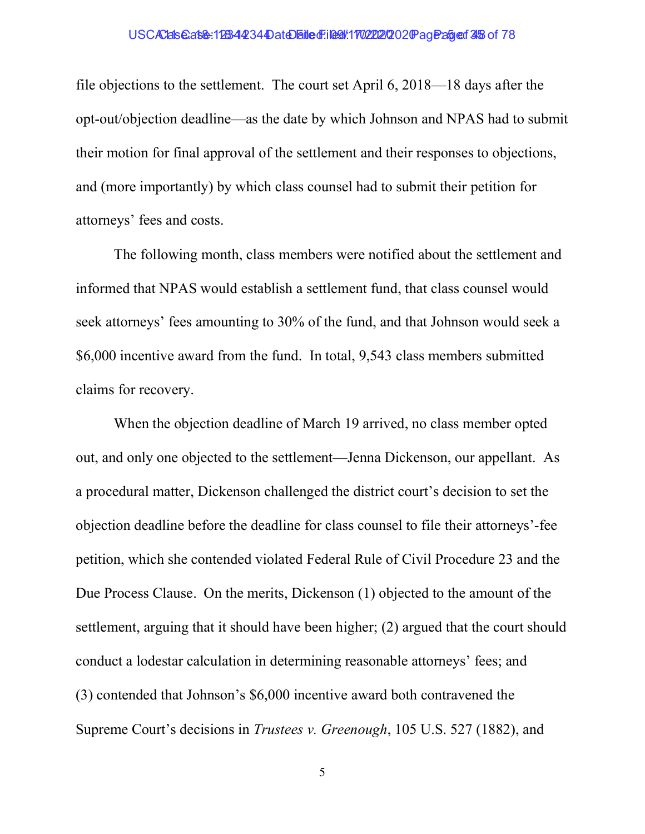#### USCAClals@at&: 1233442344DateDailedFiled: 1702222020 Pageage: 35 of 78

file objections to the settlement. The court set April 6, 2018—18 days after the opt-out/objection deadline—as the date by which Johnson and NPAS had to submit their motion for final approval of the settlement and their responses to objections, and (more importantly) by which class counsel had to submit their petition for attorneys' fees and costs.

The following month, class members were notified about the settlement and informed that NPAS would establish a settlement fund, that class counsel would seek attorneys' fees amounting to 30% of the fund, and that Johnson would seek a \$6,000 incentive award from the fund. In total, 9,543 class members submitted claims for recovery.

When the objection deadline of March 19 arrived, no class member opted out, and only one objected to the settlement—Jenna Dickenson, our appellant. As a procedural matter, Dickenson challenged the district court's decision to set the objection deadline before the deadline for class counsel to file their attorneys'-fee petition, which she contended violated Federal Rule of Civil Procedure 23 and the Due Process Clause. On the merits, Dickenson (1) objected to the amount of the settlement, arguing that it should have been higher; (2) argued that the court should conduct a lodestar calculation in determining reasonable attorneys' fees; and (3) contended that Johnson's \$6,000 incentive award both contravened the Supreme Court's decisions in Trustees v. Greenough, 105 U.S. 527 (1882), and

5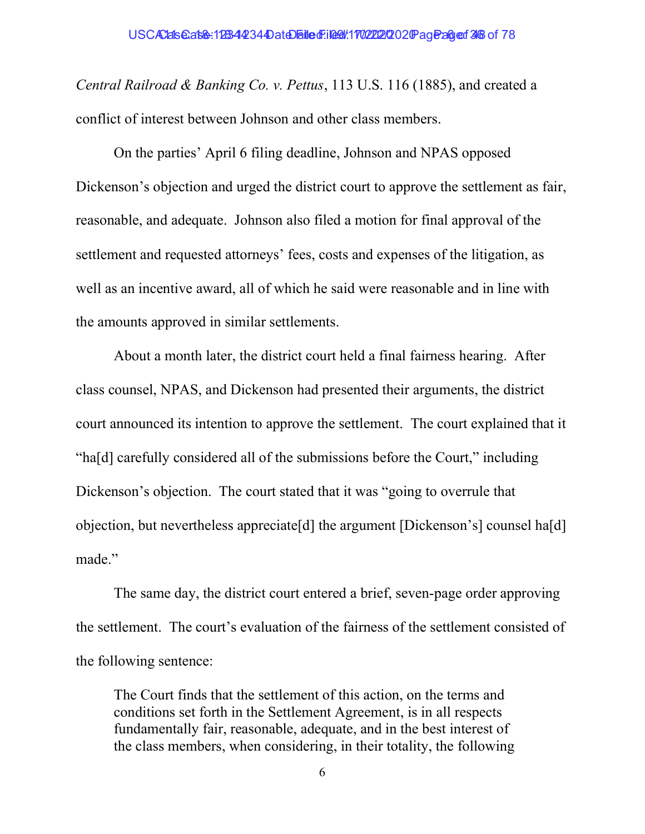Central Railroad & Banking Co. v. Pettus, 113 U.S. 116 (1885), and created a conflict of interest between Johnson and other class members.

On the parties' April 6 filing deadline, Johnson and NPAS opposed Dickenson's objection and urged the district court to approve the settlement as fair, reasonable, and adequate. Johnson also filed a motion for final approval of the settlement and requested attorneys' fees, costs and expenses of the litigation, as well as an incentive award, all of which he said were reasonable and in line with the amounts approved in similar settlements.

About a month later, the district court held a final fairness hearing. After class counsel, NPAS, and Dickenson had presented their arguments, the district court announced its intention to approve the settlement. The court explained that it "ha[d] carefully considered all of the submissions before the Court," including Dickenson's objection. The court stated that it was "going to overrule that objection, but nevertheless appreciate[d] the argument [Dickenson's] counsel ha[d] made."

The same day, the district court entered a brief, seven-page order approving the settlement. The court's evaluation of the fairness of the settlement consisted of the following sentence:

The Court finds that the settlement of this action, on the terms and conditions set forth in the Settlement Agreement, is in all respects fundamentally fair, reasonable, adequate, and in the best interest of the class members, when considering, in their totality, the following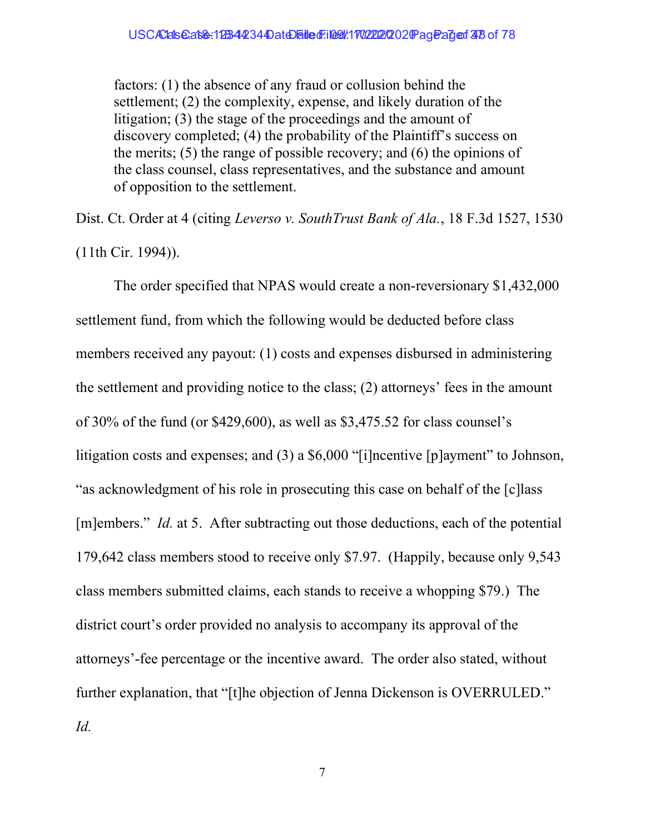factors: (1) the absence of any fraud or collusion behind the settlement; (2) the complexity, expense, and likely duration of the litigation; (3) the stage of the proceedings and the amount of discovery completed; (4) the probability of the Plaintiff's success on the merits; (5) the range of possible recovery; and (6) the opinions of the class counsel, class representatives, and the substance and amount of opposition to the settlement.

Dist. Ct. Order at 4 (citing Leverso v. SouthTrust Bank of Ala., 18 F.3d 1527, 1530 (11th Cir. 1994)).

The order specified that NPAS would create a non-reversionary \$1,432,000 settlement fund, from which the following would be deducted before class members received any payout: (1) costs and expenses disbursed in administering the settlement and providing notice to the class; (2) attorneys' fees in the amount of 30% of the fund (or \$429,600), as well as \$3,475.52 for class counsel's litigation costs and expenses; and (3) a \$6,000 "[i]ncentive [p]ayment" to Johnson, "as acknowledgment of his role in prosecuting this case on behalf of the [c]lass [m]embers." Id. at 5. After subtracting out those deductions, each of the potential 179,642 class members stood to receive only \$7.97. (Happily, because only 9,543 class members submitted claims, each stands to receive a whopping \$79.) The district court's order provided no analysis to accompany its approval of the attorneys'-fee percentage or the incentive award. The order also stated, without further explanation, that "[t]he objection of Jenna Dickenson is OVERRULED." Id.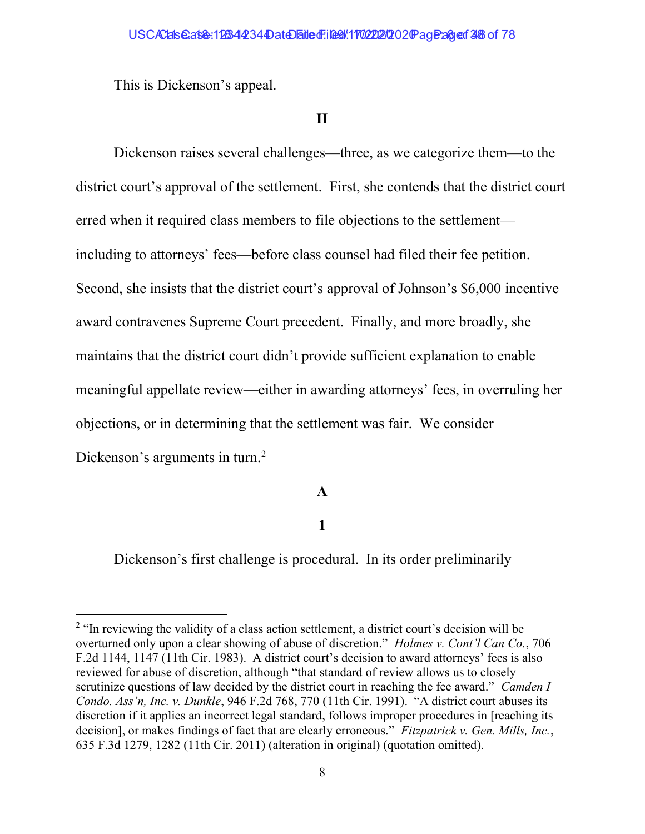This is Dickenson's appeal.

# II

Dickenson raises several challenges—three, as we categorize them—to the district court's approval of the settlement. First, she contends that the district court erred when it required class members to file objections to the settlement including to attorneys' fees—before class counsel had filed their fee petition. Second, she insists that the district court's approval of Johnson's \$6,000 incentive award contravenes Supreme Court precedent. Finally, and more broadly, she maintains that the district court didn't provide sufficient explanation to enable meaningful appellate review—either in awarding attorneys' fees, in overruling her objections, or in determining that the settlement was fair. We consider Dickenson's arguments in turn.<sup>2</sup>

# A

# 1

Dickenson's first challenge is procedural. In its order preliminarily

 $2$  "In reviewing the validity of a class action settlement, a district court's decision will be overturned only upon a clear showing of abuse of discretion." Holmes v. Cont'l Can Co., 706 F.2d 1144, 1147 (11th Cir. 1983). A district court's decision to award attorneys' fees is also reviewed for abuse of discretion, although "that standard of review allows us to closely scrutinize questions of law decided by the district court in reaching the fee award." *Camden I* Condo. Ass'n, Inc. v. Dunkle, 946 F.2d 768, 770 (11th Cir. 1991). "A district court abuses its discretion if it applies an incorrect legal standard, follows improper procedures in [reaching its decision], or makes findings of fact that are clearly erroneous." Fitzpatrick v. Gen. Mills, Inc., 635 F.3d 1279, 1282 (11th Cir. 2011) (alteration in original) (quotation omitted).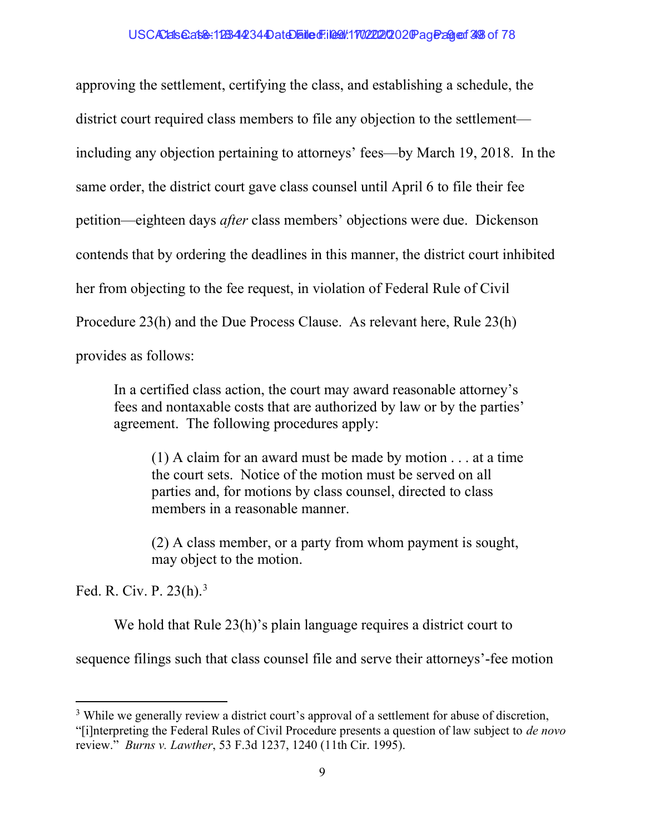approving the settlement, certifying the class, and establishing a schedule, the district court required class members to file any objection to the settlement including any objection pertaining to attorneys' fees—by March 19, 2018. In the same order, the district court gave class counsel until April 6 to file their fee petition—eighteen days after class members' objections were due. Dickenson contends that by ordering the deadlines in this manner, the district court inhibited her from objecting to the fee request, in violation of Federal Rule of Civil Procedure 23(h) and the Due Process Clause. As relevant here, Rule 23(h) provides as follows:

In a certified class action, the court may award reasonable attorney's fees and nontaxable costs that are authorized by law or by the parties' agreement. The following procedures apply:

(1) A claim for an award must be made by motion . . . at a time the court sets. Notice of the motion must be served on all parties and, for motions by class counsel, directed to class members in a reasonable manner.

(2) A class member, or a party from whom payment is sought, may object to the motion.

Fed. R. Civ. P. 23(h).<sup>3</sup>

We hold that Rule 23(h)'s plain language requires a district court to

sequence filings such that class counsel file and serve their attorneys'-fee motion

<sup>&</sup>lt;sup>3</sup> While we generally review a district court's approval of a settlement for abuse of discretion, "[i]nterpreting the Federal Rules of Civil Procedure presents a question of law subject to de novo review." Burns v. Lawther, 53 F.3d 1237, 1240 (11th Cir. 1995).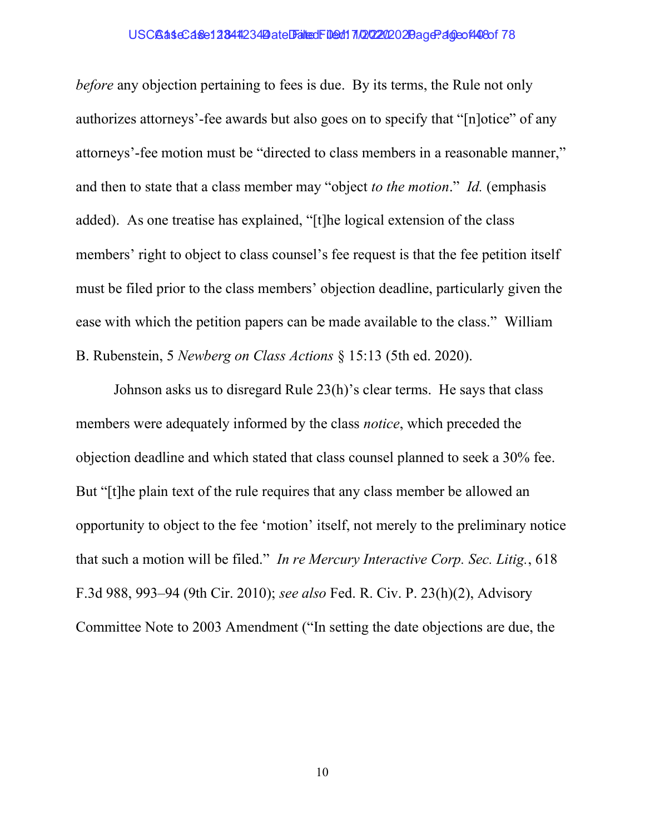## USCBaseCase12844234 Date Filed: 109d17/20202020 age: 40eof 408of 78

before any objection pertaining to fees is due. By its terms, the Rule not only authorizes attorneys'-fee awards but also goes on to specify that "[n]otice" of any attorneys'-fee motion must be "directed to class members in a reasonable manner," and then to state that a class member may "object to the motion." Id. (emphasis added). As one treatise has explained, "[t]he logical extension of the class members' right to object to class counsel's fee request is that the fee petition itself must be filed prior to the class members' objection deadline, particularly given the ease with which the petition papers can be made available to the class." William B. Rubenstein, 5 Newberg on Class Actions § 15:13 (5th ed. 2020).

Johnson asks us to disregard Rule 23(h)'s clear terms. He says that class members were adequately informed by the class *notice*, which preceded the objection deadline and which stated that class counsel planned to seek a 30% fee. But "[t]he plain text of the rule requires that any class member be allowed an opportunity to object to the fee 'motion' itself, not merely to the preliminary notice that such a motion will be filed." In re Mercury Interactive Corp. Sec. Litig., 618 F.3d 988, 993–94 (9th Cir. 2010); see also Fed. R. Civ. P. 23(h)(2), Advisory Committee Note to 2003 Amendment ("In setting the date objections are due, the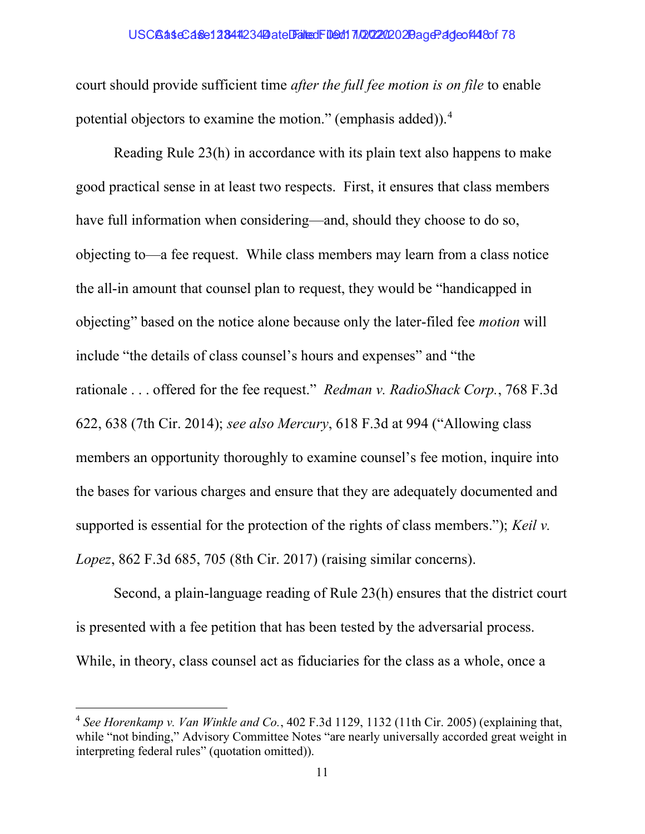## USC**GaseCase12344234 Date Falted Filed: 10202020 2Bage: 4deof448of 78**

court should provide sufficient time after the full fee motion is on file to enable potential objectors to examine the motion." (emphasis added)). $4$ 

Reading Rule 23(h) in accordance with its plain text also happens to make good practical sense in at least two respects. First, it ensures that class members have full information when considering—and, should they choose to do so, objecting to—a fee request. While class members may learn from a class notice the all-in amount that counsel plan to request, they would be "handicapped in objecting" based on the notice alone because only the later-filed fee motion will include "the details of class counsel's hours and expenses" and "the rationale ... offered for the fee request." Redman v. RadioShack Corp., 768 F.3d 622, 638 (7th Cir. 2014); see also Mercury, 618 F.3d at 994 ("Allowing class members an opportunity thoroughly to examine counsel's fee motion, inquire into the bases for various charges and ensure that they are adequately documented and supported is essential for the protection of the rights of class members."); Keil v. Lopez, 862 F.3d 685, 705 (8th Cir. 2017) (raising similar concerns).

Second, a plain-language reading of Rule 23(h) ensures that the district court is presented with a fee petition that has been tested by the adversarial process. While, in theory, class counsel act as fiduciaries for the class as a whole, once a

 $4$  See Horenkamp v. Van Winkle and Co., 402 F.3d 1129, 1132 (11th Cir. 2005) (explaining that, while "not binding," Advisory Committee Notes "are nearly universally accorded great weight in interpreting federal rules" (quotation omitted)).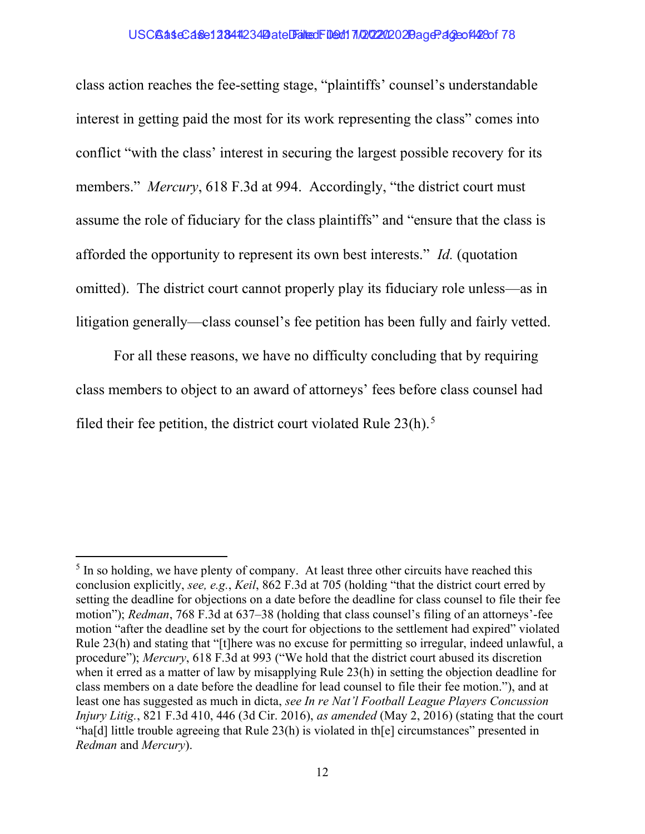## USCBaseCase12844234 Date Falted Filed: 10202020 2 Bage: 40eof 428 of 78

class action reaches the fee-setting stage, "plaintiffs' counsel's understandable interest in getting paid the most for its work representing the class" comes into conflict "with the class' interest in securing the largest possible recovery for its members." *Mercury*, 618 F.3d at 994. Accordingly, "the district court must assume the role of fiduciary for the class plaintiffs" and "ensure that the class is afforded the opportunity to represent its own best interests." Id. (quotation omitted). The district court cannot properly play its fiduciary role unless—as in litigation generally—class counsel's fee petition has been fully and fairly vetted.

For all these reasons, we have no difficulty concluding that by requiring class members to object to an award of attorneys' fees before class counsel had filed their fee petition, the district court violated Rule  $23(h)$ .<sup>5</sup>

 $<sup>5</sup>$  In so holding, we have plenty of company. At least three other circuits have reached this</sup> conclusion explicitly, see, e.g., Keil, 862 F.3d at 705 (holding "that the district court erred by setting the deadline for objections on a date before the deadline for class counsel to file their fee motion"); Redman, 768 F.3d at 637–38 (holding that class counsel's filing of an attorneys'-fee motion "after the deadline set by the court for objections to the settlement had expired" violated Rule 23(h) and stating that "[t]here was no excuse for permitting so irregular, indeed unlawful, a procedure"); Mercury, 618 F.3d at 993 ("We hold that the district court abused its discretion when it erred as a matter of law by misapplying Rule 23(h) in setting the objection deadline for class members on a date before the deadline for lead counsel to file their fee motion."), and at least one has suggested as much in dicta, see In re Nat'l Football League Players Concussion Injury Litig., 821 F.3d 410, 446 (3d Cir. 2016), as amended (May 2, 2016) (stating that the court "ha[d] little trouble agreeing that Rule 23(h) is violated in th[e] circumstances" presented in Redman and Mercury).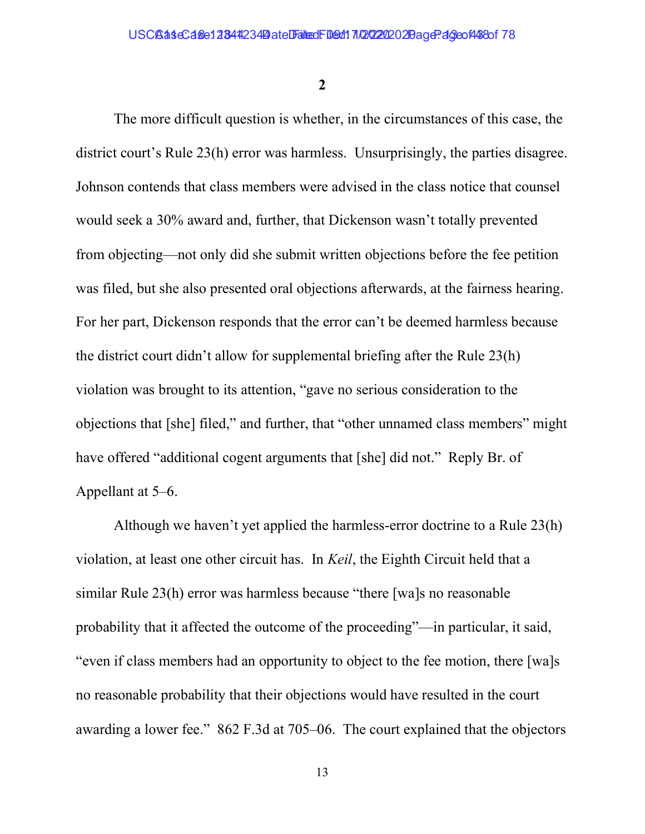2

The more difficult question is whether, in the circumstances of this case, the district court's Rule 23(h) error was harmless. Unsurprisingly, the parties disagree. Johnson contends that class members were advised in the class notice that counsel would seek a 30% award and, further, that Dickenson wasn't totally prevented from objecting—not only did she submit written objections before the fee petition was filed, but she also presented oral objections afterwards, at the fairness hearing. For her part, Dickenson responds that the error can't be deemed harmless because the district court didn't allow for supplemental briefing after the Rule 23(h) violation was brought to its attention, "gave no serious consideration to the objections that [she] filed," and further, that "other unnamed class members" might have offered "additional cogent arguments that [she] did not." Reply Br. of Appellant at 5–6.

Although we haven't yet applied the harmless-error doctrine to a Rule 23(h) violation, at least one other circuit has. In Keil, the Eighth Circuit held that a similar Rule 23(h) error was harmless because "there [wa]s no reasonable probability that it affected the outcome of the proceeding"—in particular, it said, "even if class members had an opportunity to object to the fee motion, there [wa]s no reasonable probability that their objections would have resulted in the court awarding a lower fee." 862 F.3d at 705–06. The court explained that the objectors

13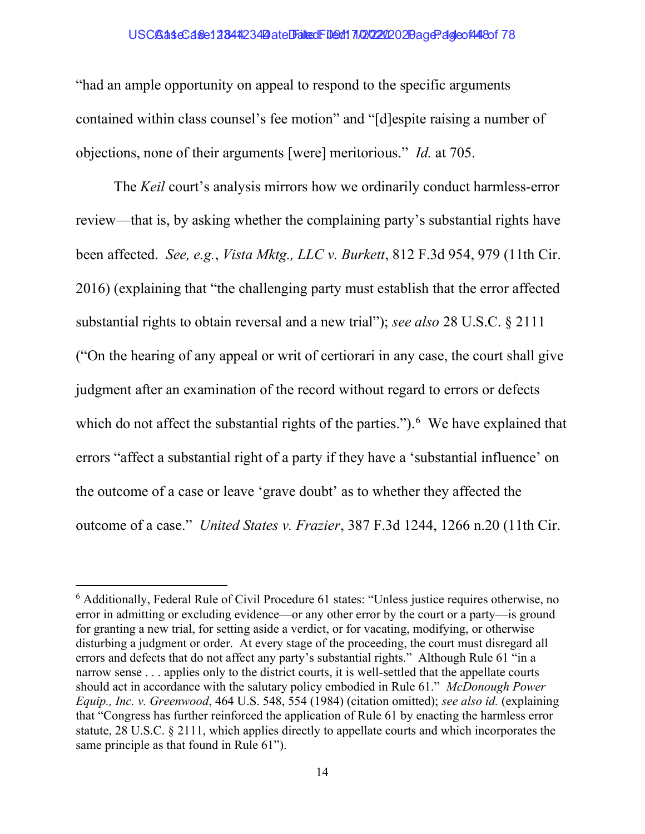## USCBaseCase1 2844 234 Date Falted Filed: 10/22/2020 20age? 4deo f448 of 78

"had an ample opportunity on appeal to respond to the specific arguments contained within class counsel's fee motion" and "[d]espite raising a number of objections, none of their arguments [were] meritorious." Id. at 705.

The *Keil* court's analysis mirrors how we ordinarily conduct harmless-error review—that is, by asking whether the complaining party's substantial rights have been affected. See, e.g., Vista Mktg., LLC v. Burkett, 812 F.3d 954, 979 (11th Cir. 2016) (explaining that "the challenging party must establish that the error affected substantial rights to obtain reversal and a new trial"); see also 28 U.S.C. § 2111 ("On the hearing of any appeal or writ of certiorari in any case, the court shall give judgment after an examination of the record without regard to errors or defects which do not affect the substantial rights of the parties." $)$ . We have explained that errors "affect a substantial right of a party if they have a 'substantial influence' on the outcome of a case or leave 'grave doubt' as to whether they affected the outcome of a case." United States v. Frazier, 387 F.3d 1244, 1266 n.20 (11th Cir.

<sup>&</sup>lt;sup>6</sup> Additionally, Federal Rule of Civil Procedure 61 states: "Unless justice requires otherwise, no error in admitting or excluding evidence—or any other error by the court or a party—is ground for granting a new trial, for setting aside a verdict, or for vacating, modifying, or otherwise disturbing a judgment or order. At every stage of the proceeding, the court must disregard all errors and defects that do not affect any party's substantial rights." Although Rule 61 "in a narrow sense . . . applies only to the district courts, it is well-settled that the appellate courts should act in accordance with the salutary policy embodied in Rule 61." McDonough Power Equip., Inc. v. Greenwood, 464 U.S. 548, 554 (1984) (citation omitted); see also id. (explaining that "Congress has further reinforced the application of Rule 61 by enacting the harmless error statute, 28 U.S.C. § 2111, which applies directly to appellate courts and which incorporates the same principle as that found in Rule 61").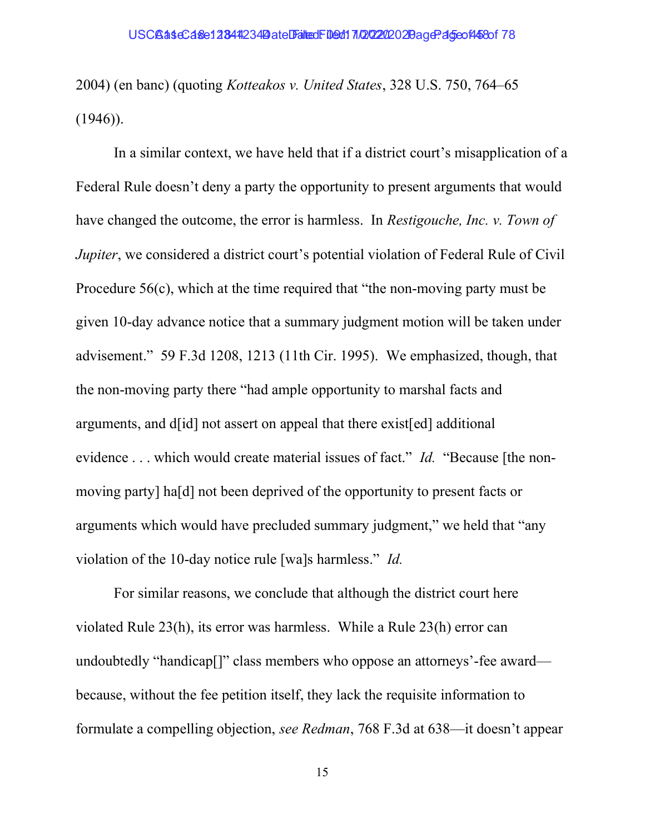2004) (en banc) (quoting Kotteakos v. United States, 328 U.S. 750, 764–65  $(1946)$ ).

In a similar context, we have held that if a district court's misapplication of a Federal Rule doesn't deny a party the opportunity to present arguments that would have changed the outcome, the error is harmless. In Restigouche, Inc. v. Town of *Jupiter*, we considered a district court's potential violation of Federal Rule of Civil Procedure 56(c), which at the time required that "the non-moving party must be given 10-day advance notice that a summary judgment motion will be taken under advisement." 59 F.3d 1208, 1213 (11th Cir. 1995). We emphasized, though, that the non-moving party there "had ample opportunity to marshal facts and arguments, and d[id] not assert on appeal that there exist[ed] additional evidence . . . which would create material issues of fact." *Id.* "Because [the nonmoving party] ha[d] not been deprived of the opportunity to present facts or arguments which would have precluded summary judgment," we held that "any violation of the 10-day notice rule [wa]s harmless." Id.

For similar reasons, we conclude that although the district court here violated Rule 23(h), its error was harmless. While a Rule 23(h) error can undoubtedly "handicap<sup>[]"</sup> class members who oppose an attorneys'-fee award because, without the fee petition itself, they lack the requisite information to formulate a compelling objection, see Redman, 768 F.3d at 638—it doesn't appear

15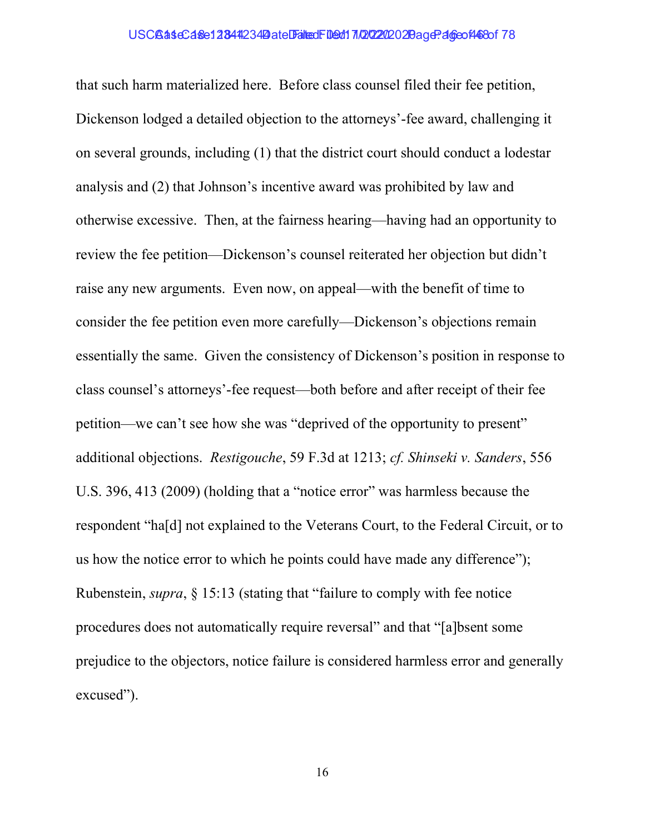that such harm materialized here. Before class counsel filed their fee petition, Dickenson lodged a detailed objection to the attorneys'-fee award, challenging it on several grounds, including (1) that the district court should conduct a lodestar analysis and (2) that Johnson's incentive award was prohibited by law and otherwise excessive. Then, at the fairness hearing—having had an opportunity to review the fee petition—Dickenson's counsel reiterated her objection but didn't raise any new arguments. Even now, on appeal—with the benefit of time to consider the fee petition even more carefully—Dickenson's objections remain essentially the same. Given the consistency of Dickenson's position in response to class counsel's attorneys'-fee request—both before and after receipt of their fee petition—we can't see how she was "deprived of the opportunity to present" additional objections. Restigouche, 59 F.3d at 1213; cf. Shinseki v. Sanders, 556 U.S. 396, 413 (2009) (holding that a "notice error" was harmless because the respondent "ha[d] not explained to the Veterans Court, to the Federal Circuit, or to us how the notice error to which he points could have made any difference"); Rubenstein, supra, § 15:13 (stating that "failure to comply with fee notice procedures does not automatically require reversal" and that "[a]bsent some prejudice to the objectors, notice failure is considered harmless error and generally excused").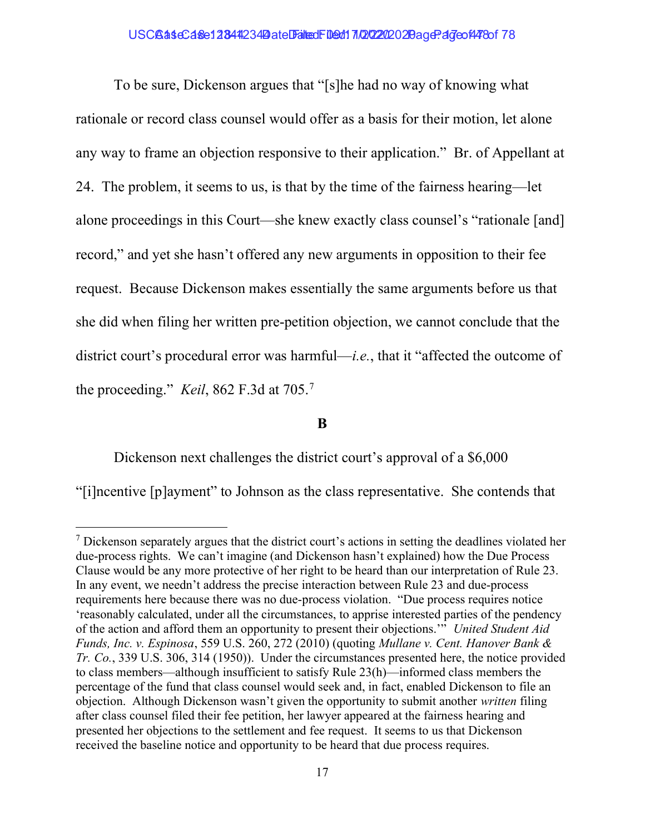## USCBaseCase12844234 Date Filed: 109d170202020 20age: 47 cof478 of 78

To be sure, Dickenson argues that "[s]he had no way of knowing what rationale or record class counsel would offer as a basis for their motion, let alone any way to frame an objection responsive to their application." Br. of Appellant at 24. The problem, it seems to us, is that by the time of the fairness hearing—let alone proceedings in this Court—she knew exactly class counsel's "rationale [and] record," and yet she hasn't offered any new arguments in opposition to their fee request. Because Dickenson makes essentially the same arguments before us that she did when filing her written pre-petition objection, we cannot conclude that the district court's procedural error was harmful—*i.e.*, that it "affected the outcome of the proceeding." *Keil*, 862 F.3d at 705.<sup>7</sup>

B

Dickenson next challenges the district court's approval of a \$6,000

"[i]ncentive [p]ayment" to Johnson as the class representative. She contends that

 $<sup>7</sup>$  Dickenson separately argues that the district court's actions in setting the deadlines violated her</sup> due-process rights. We can't imagine (and Dickenson hasn't explained) how the Due Process Clause would be any more protective of her right to be heard than our interpretation of Rule 23. In any event, we needn't address the precise interaction between Rule 23 and due-process requirements here because there was no due-process violation. "Due process requires notice 'reasonably calculated, under all the circumstances, to apprise interested parties of the pendency of the action and afford them an opportunity to present their objections.'" United Student Aid Funds, Inc. v. Espinosa, 559 U.S. 260, 272 (2010) (quoting Mullane v. Cent. Hanover Bank & Tr. Co., 339 U.S. 306, 314 (1950)). Under the circumstances presented here, the notice provided to class members—although insufficient to satisfy Rule 23(h)—informed class members the percentage of the fund that class counsel would seek and, in fact, enabled Dickenson to file an objection. Although Dickenson wasn't given the opportunity to submit another written filing after class counsel filed their fee petition, her lawyer appeared at the fairness hearing and presented her objections to the settlement and fee request. It seems to us that Dickenson received the baseline notice and opportunity to be heard that due process requires.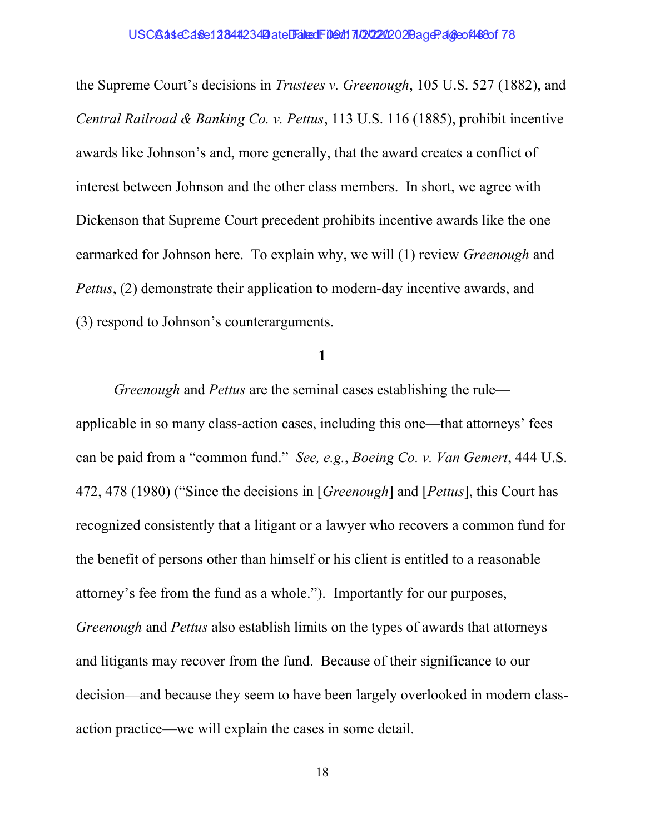the Supreme Court's decisions in Trustees v. Greenough, 105 U.S. 527 (1882), and Central Railroad & Banking Co. v. Pettus, 113 U.S. 116 (1885), prohibit incentive awards like Johnson's and, more generally, that the award creates a conflict of interest between Johnson and the other class members. In short, we agree with Dickenson that Supreme Court precedent prohibits incentive awards like the one earmarked for Johnson here. To explain why, we will (1) review *Greenough* and Pettus, (2) demonstrate their application to modern-day incentive awards, and (3) respond to Johnson's counterarguments.

1

Greenough and Pettus are the seminal cases establishing the rule applicable in so many class-action cases, including this one—that attorneys' fees can be paid from a "common fund." See, e.g., Boeing Co. v. Van Gemert, 444 U.S. 472, 478 (1980) ("Since the decisions in [Greenough] and [Pettus], this Court has recognized consistently that a litigant or a lawyer who recovers a common fund for the benefit of persons other than himself or his client is entitled to a reasonable attorney's fee from the fund as a whole."). Importantly for our purposes, Greenough and Pettus also establish limits on the types of awards that attorneys and litigants may recover from the fund. Because of their significance to our decision—and because they seem to have been largely overlooked in modern classaction practice—we will explain the cases in some detail.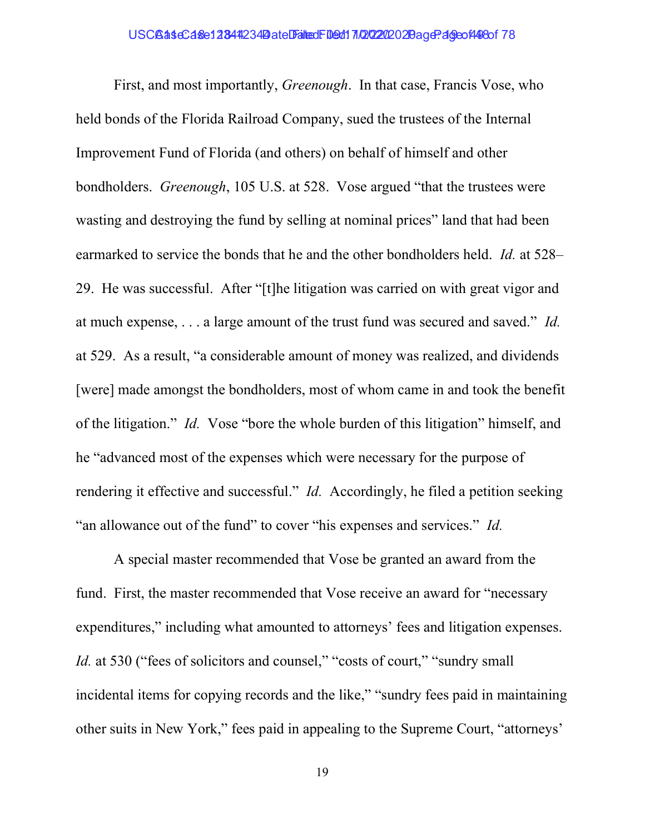First, and most importantly, *Greenough*. In that case, Francis Vose, who held bonds of the Florida Railroad Company, sued the trustees of the Internal Improvement Fund of Florida (and others) on behalf of himself and other bondholders. Greenough, 105 U.S. at 528. Vose argued "that the trustees were wasting and destroying the fund by selling at nominal prices" land that had been earmarked to service the bonds that he and the other bondholders held. *Id.* at 528– 29. He was successful. After "[t]he litigation was carried on with great vigor and at much expense, . . . a large amount of the trust fund was secured and saved." Id. at 529. As a result, "a considerable amount of money was realized, and dividends [were] made amongst the bondholders, most of whom came in and took the benefit of the litigation." Id. Vose "bore the whole burden of this litigation" himself, and he "advanced most of the expenses which were necessary for the purpose of rendering it effective and successful." *Id.* Accordingly, he filed a petition seeking "an allowance out of the fund" to cover "his expenses and services." Id.

A special master recommended that Vose be granted an award from the fund. First, the master recommended that Vose receive an award for "necessary expenditures," including what amounted to attorneys' fees and litigation expenses. Id. at 530 ("fees of solicitors and counsel," "costs of court," "sundry small incidental items for copying records and the like," "sundry fees paid in maintaining other suits in New York," fees paid in appealing to the Supreme Court, "attorneys'

19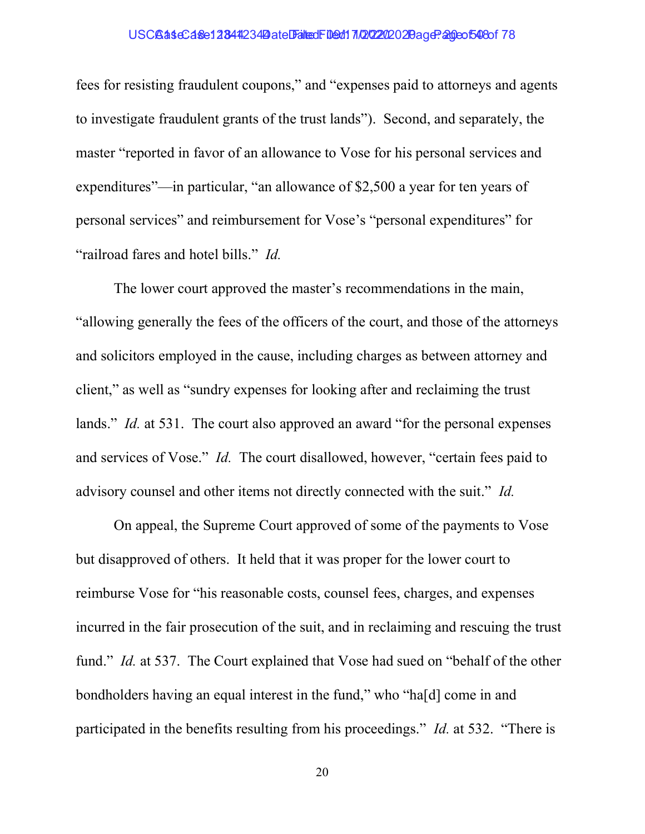## USCB as eC as e1 2344 234 Date Falted Filed: 10/22/2020 2 Bage: 20 eo 548 of 78

fees for resisting fraudulent coupons," and "expenses paid to attorneys and agents to investigate fraudulent grants of the trust lands"). Second, and separately, the master "reported in favor of an allowance to Vose for his personal services and expenditures"—in particular, "an allowance of \$2,500 a year for ten years of personal services" and reimbursement for Vose's "personal expenditures" for "railroad fares and hotel bills." Id.

The lower court approved the master's recommendations in the main, "allowing generally the fees of the officers of the court, and those of the attorneys and solicitors employed in the cause, including charges as between attorney and client," as well as "sundry expenses for looking after and reclaiming the trust lands." *Id.* at 531. The court also approved an award "for the personal expenses" and services of Vose." Id. The court disallowed, however, "certain fees paid to advisory counsel and other items not directly connected with the suit." Id.

On appeal, the Supreme Court approved of some of the payments to Vose but disapproved of others. It held that it was proper for the lower court to reimburse Vose for "his reasonable costs, counsel fees, charges, and expenses incurred in the fair prosecution of the suit, and in reclaiming and rescuing the trust fund." *Id.* at 537. The Court explained that Vose had sued on "behalf of the other bondholders having an equal interest in the fund," who "ha[d] come in and participated in the benefits resulting from his proceedings." Id. at 532. "There is

20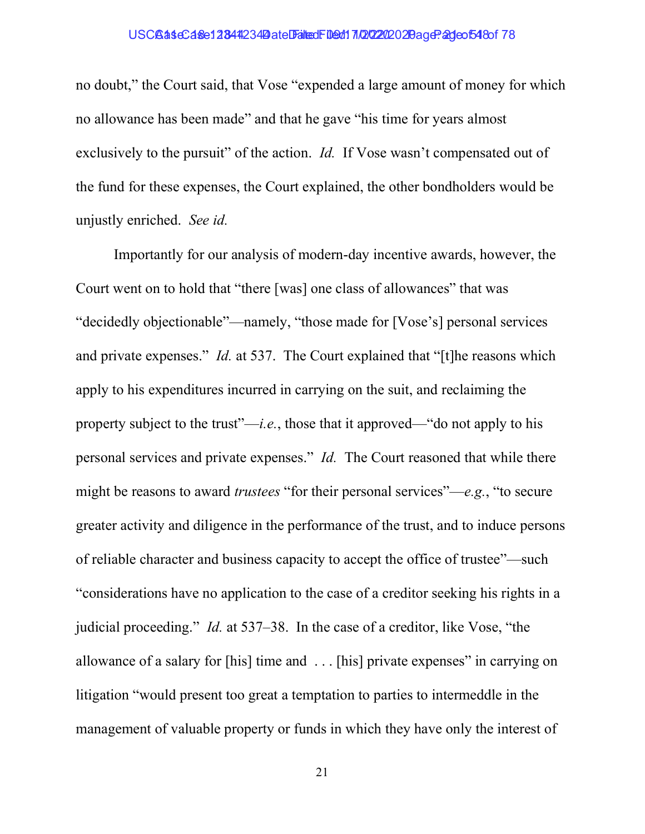## USCBaseCase12844234 Date Filed: 109d17/20202020 age: 2deof548 of 78

no doubt," the Court said, that Vose "expended a large amount of money for which no allowance has been made" and that he gave "his time for years almost exclusively to the pursuit" of the action. *Id.* If Vose wasn't compensated out of the fund for these expenses, the Court explained, the other bondholders would be unjustly enriched. See id.

Importantly for our analysis of modern-day incentive awards, however, the Court went on to hold that "there [was] one class of allowances" that was "decidedly objectionable"—namely, "those made for [Vose's] personal services and private expenses." *Id.* at 537. The Court explained that "[t]he reasons which apply to his expenditures incurred in carrying on the suit, and reclaiming the property subject to the trust"—*i.e.*, those that it approved—"do not apply to his personal services and private expenses." Id. The Court reasoned that while there might be reasons to award *trustees* "for their personal services"—e.g., "to secure greater activity and diligence in the performance of the trust, and to induce persons of reliable character and business capacity to accept the office of trustee"—such "considerations have no application to the case of a creditor seeking his rights in a judicial proceeding." Id. at 537–38. In the case of a creditor, like Vose, "the allowance of a salary for [his] time and . . . [his] private expenses" in carrying on litigation "would present too great a temptation to parties to intermeddle in the management of valuable property or funds in which they have only the interest of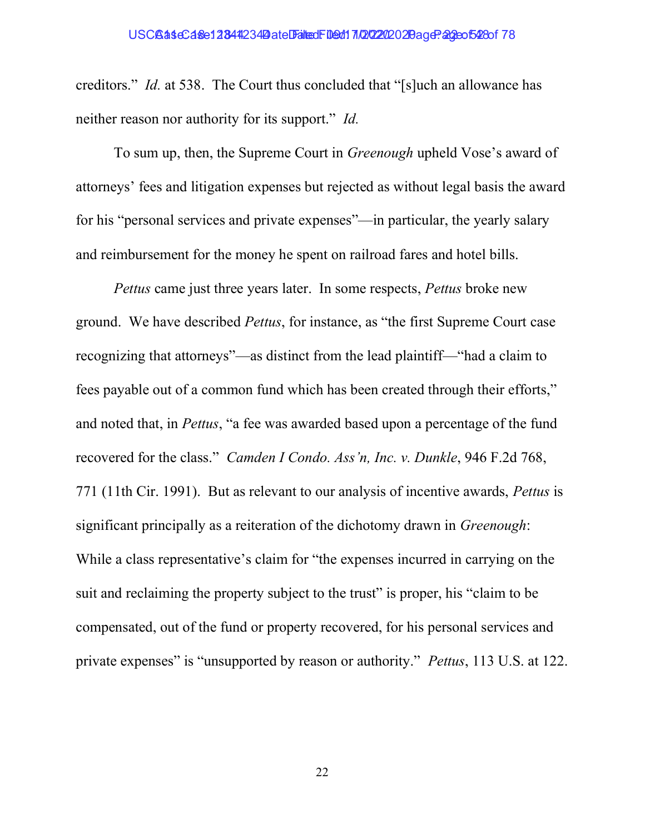creditors." Id. at 538. The Court thus concluded that "[s]uch an allowance has neither reason nor authority for its support." Id.

To sum up, then, the Supreme Court in *Greenough* upheld Vose's award of attorneys' fees and litigation expenses but rejected as without legal basis the award for his "personal services and private expenses"—in particular, the yearly salary and reimbursement for the money he spent on railroad fares and hotel bills.

Pettus came just three years later. In some respects, Pettus broke new ground. We have described Pettus, for instance, as "the first Supreme Court case recognizing that attorneys"—as distinct from the lead plaintiff—"had a claim to fees payable out of a common fund which has been created through their efforts," and noted that, in Pettus, "a fee was awarded based upon a percentage of the fund recovered for the class." Camden I Condo. Ass'n, Inc. v. Dunkle, 946 F.2d 768, 771 (11th Cir. 1991). But as relevant to our analysis of incentive awards, Pettus is significant principally as a reiteration of the dichotomy drawn in Greenough: While a class representative's claim for "the expenses incurred in carrying on the suit and reclaiming the property subject to the trust" is proper, his "claim to be compensated, out of the fund or property recovered, for his personal services and private expenses" is "unsupported by reason or authority." Pettus, 113 U.S. at 122.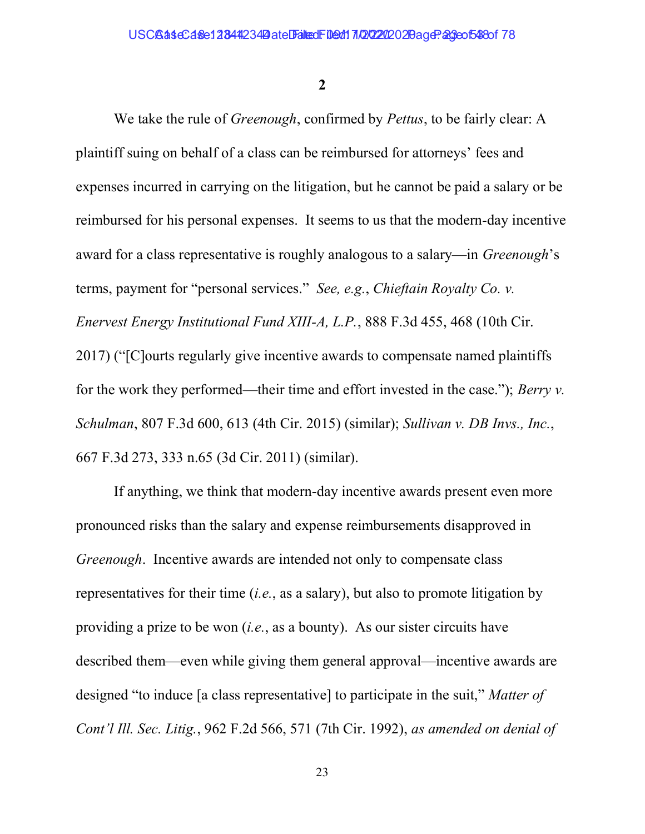2

We take the rule of *Greenough*, confirmed by *Pettus*, to be fairly clear: A plaintiff suing on behalf of a class can be reimbursed for attorneys' fees and expenses incurred in carrying on the litigation, but he cannot be paid a salary or be reimbursed for his personal expenses. It seems to us that the modern-day incentive award for a class representative is roughly analogous to a salary—in *Greenough*'s terms, payment for "personal services." See, e.g., Chieftain Royalty Co. v. Enervest Energy Institutional Fund XIII-A, L.P., 888 F.3d 455, 468 (10th Cir. 2017) ("[C]ourts regularly give incentive awards to compensate named plaintiffs for the work they performed—their time and effort invested in the case."); Berry  $\nu$ . Schulman, 807 F.3d 600, 613 (4th Cir. 2015) (similar); Sullivan v. DB Invs., Inc., 667 F.3d 273, 333 n.65 (3d Cir. 2011) (similar).

If anything, we think that modern-day incentive awards present even more pronounced risks than the salary and expense reimbursements disapproved in Greenough. Incentive awards are intended not only to compensate class representatives for their time  $(i.e.,$  as a salary), but also to promote litigation by providing a prize to be won (i.e., as a bounty). As our sister circuits have described them—even while giving them general approval—incentive awards are designed "to induce [a class representative] to participate in the suit," Matter of Cont'l Ill. Sec. Litig., 962 F.2d 566, 571 (7th Cir. 1992), as amended on denial of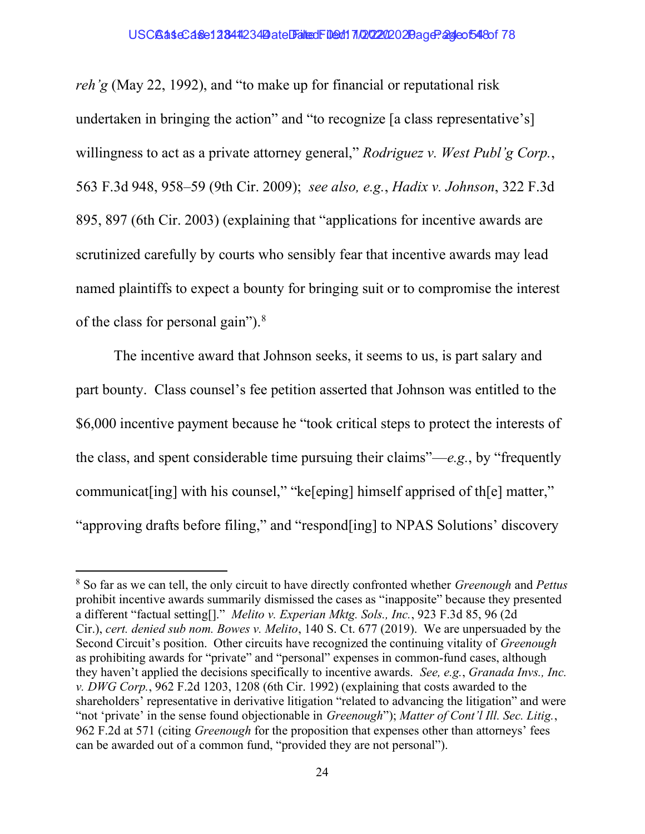reh'g (May 22, 1992), and "to make up for financial or reputational risk undertaken in bringing the action" and "to recognize [a class representative's] willingness to act as a private attorney general," Rodriguez v. West Publ'g Corp., 563 F.3d 948, 958–59 (9th Cir. 2009); see also, e.g., Hadix v. Johnson, 322 F.3d 895, 897 (6th Cir. 2003) (explaining that "applications for incentive awards are scrutinized carefully by courts who sensibly fear that incentive awards may lead named plaintiffs to expect a bounty for bringing suit or to compromise the interest of the class for personal gain"). $8$ 

The incentive award that Johnson seeks, it seems to us, is part salary and part bounty. Class counsel's fee petition asserted that Johnson was entitled to the \$6,000 incentive payment because he "took critical steps to protect the interests of the class, and spent considerable time pursuing their claims"—e.g., by "frequently" communicat [ing] with his counsel," "ke [eping] himself apprised of th [e] matter," "approving drafts before filing," and "respond[ing] to NPAS Solutions' discovery

 $8$  So far as we can tell, the only circuit to have directly confronted whether *Greenough* and *Pettus* prohibit incentive awards summarily dismissed the cases as "inapposite" because they presented a different "factual setting[]." Melito v. Experian Mktg. Sols., Inc., 923 F.3d 85, 96 (2d Cir.), cert. denied sub nom. Bowes v. Melito, 140 S. Ct. 677 (2019). We are unpersuaded by the Second Circuit's position. Other circuits have recognized the continuing vitality of *Greenough* as prohibiting awards for "private" and "personal" expenses in common-fund cases, although they haven't applied the decisions specifically to incentive awards. See, e.g., Granada Invs., Inc. v. DWG Corp., 962 F.2d 1203, 1208 (6th Cir. 1992) (explaining that costs awarded to the shareholders' representative in derivative litigation "related to advancing the litigation" and were "not 'private' in the sense found objectionable in *Greenough*"); Matter of Cont'l Ill. Sec. Litig., 962 F.2d at 571 (citing Greenough for the proposition that expenses other than attorneys' fees can be awarded out of a common fund, "provided they are not personal").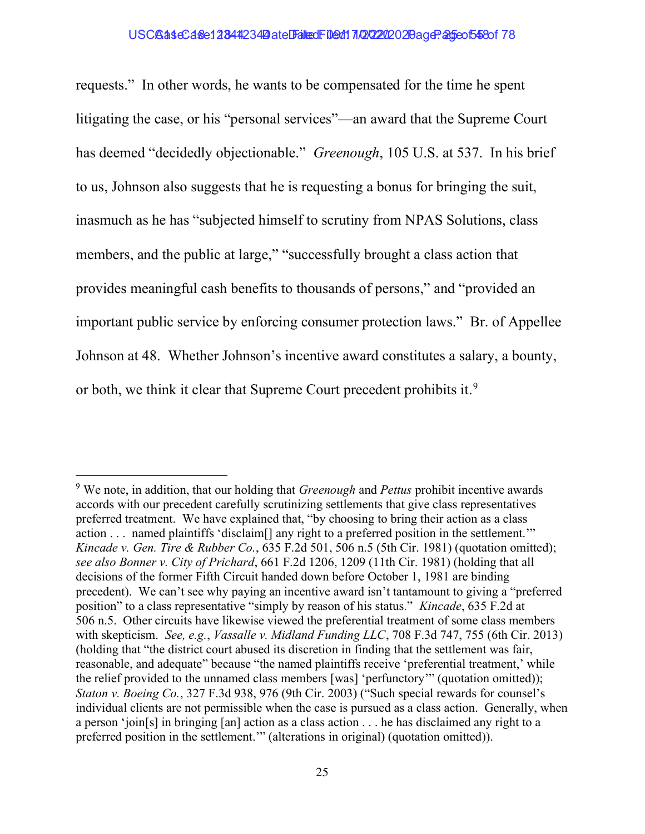## USC**GaseCase12344234 Date Falted Filed: 11/2020** 2020 age: 25 eo 548 of 78

requests." In other words, he wants to be compensated for the time he spent litigating the case, or his "personal services"—an award that the Supreme Court has deemed "decidedly objectionable." *Greenough*, 105 U.S. at 537. In his brief to us, Johnson also suggests that he is requesting a bonus for bringing the suit, inasmuch as he has "subjected himself to scrutiny from NPAS Solutions, class members, and the public at large," "successfully brought a class action that provides meaningful cash benefits to thousands of persons," and "provided an important public service by enforcing consumer protection laws." Br. of Appellee Johnson at 48. Whether Johnson's incentive award constitutes a salary, a bounty, or both, we think it clear that Supreme Court precedent prohibits it.<sup>9</sup>

<sup>&</sup>lt;sup>9</sup> We note, in addition, that our holding that *Greenough* and *Pettus* prohibit incentive awards accords with our precedent carefully scrutinizing settlements that give class representatives preferred treatment. We have explained that, "by choosing to bring their action as a class action . . . named plaintiffs 'disclaim[] any right to a preferred position in the settlement.'" Kincade v. Gen. Tire & Rubber Co.,  $635$  F.2d 501, 506 n.5 (5th Cir. 1981) (quotation omitted); see also Bonner v. City of Prichard, 661 F.2d 1206, 1209 (11th Cir. 1981) (holding that all decisions of the former Fifth Circuit handed down before October 1, 1981 are binding precedent). We can't see why paying an incentive award isn't tantamount to giving a "preferred position" to a class representative "simply by reason of his status." Kincade, 635 F.2d at 506 n.5. Other circuits have likewise viewed the preferential treatment of some class members with skepticism. See, e.g., *Vassalle v. Midland Funding LLC*, 708 F.3d 747, 755 (6th Cir. 2013) (holding that "the district court abused its discretion in finding that the settlement was fair, reasonable, and adequate" because "the named plaintiffs receive 'preferential treatment,' while the relief provided to the unnamed class members [was] 'perfunctory'" (quotation omitted)); Staton v. Boeing Co., 327 F.3d 938, 976 (9th Cir. 2003) ("Such special rewards for counsel's individual clients are not permissible when the case is pursued as a class action. Generally, when a person 'join[s] in bringing [an] action as a class action . . . he has disclaimed any right to a preferred position in the settlement.'" (alterations in original) (quotation omitted)).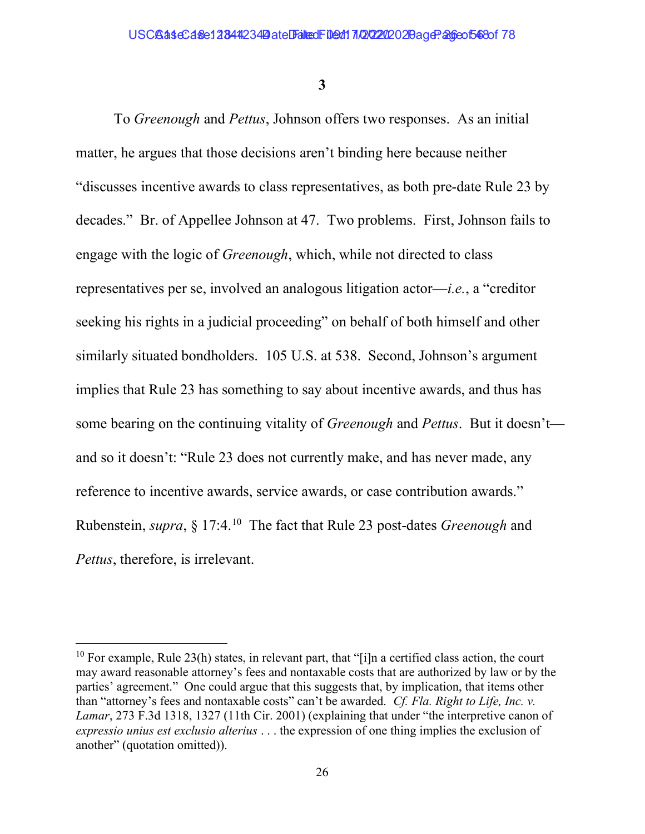3

To Greenough and Pettus, Johnson offers two responses. As an initial matter, he argues that those decisions aren't binding here because neither "discusses incentive awards to class representatives, as both pre-date Rule 23 by decades." Br. of Appellee Johnson at 47. Two problems. First, Johnson fails to engage with the logic of Greenough, which, while not directed to class representatives per se, involved an analogous litigation actor—i.e., a "creditor seeking his rights in a judicial proceeding" on behalf of both himself and other similarly situated bondholders. 105 U.S. at 538. Second, Johnson's argument implies that Rule 23 has something to say about incentive awards, and thus has some bearing on the continuing vitality of *Greenough* and *Pettus*. But it doesn't and so it doesn't: "Rule 23 does not currently make, and has never made, any reference to incentive awards, service awards, or case contribution awards." Rubenstein, *supra*, § 17:4.<sup>10</sup> The fact that Rule 23 post-dates *Greenough* and Pettus, therefore, is irrelevant.

<sup>&</sup>lt;sup>10</sup> For example, Rule 23(h) states, in relevant part, that "[i]n a certified class action, the court may award reasonable attorney's fees and nontaxable costs that are authorized by law or by the parties' agreement." One could argue that this suggests that, by implication, that items other than "attorney's fees and nontaxable costs" can't be awarded. Cf. Fla. Right to Life, Inc. v. Lamar, 273 F.3d 1318, 1327 (11th Cir. 2001) (explaining that under "the interpretive canon of expressio unius est exclusio alterius . . . the expression of one thing implies the exclusion of another" (quotation omitted)).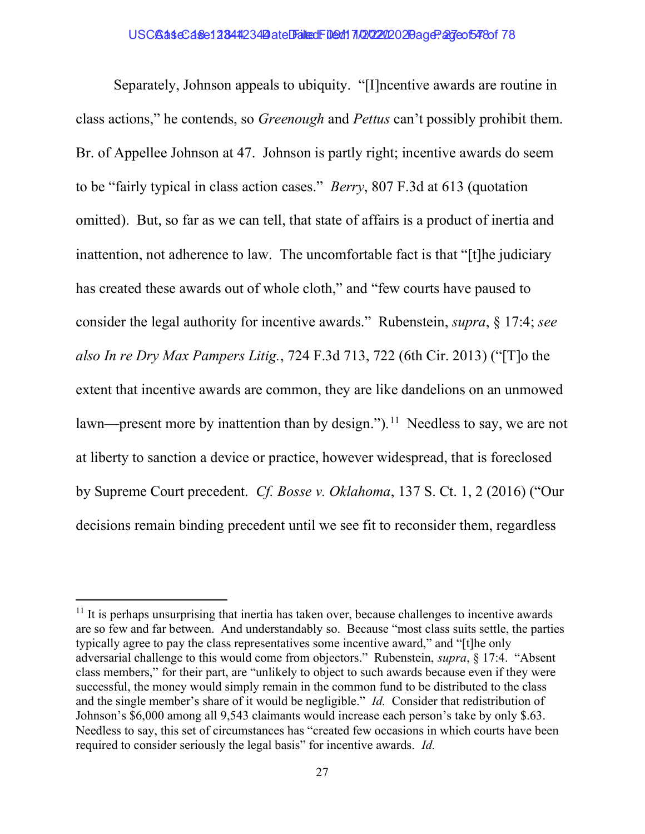Separately, Johnson appeals to ubiquity. "[I]ncentive awards are routine in class actions," he contends, so Greenough and Pettus can't possibly prohibit them. Br. of Appellee Johnson at 47. Johnson is partly right; incentive awards do seem to be "fairly typical in class action cases." Berry, 807 F.3d at 613 (quotation omitted). But, so far as we can tell, that state of affairs is a product of inertia and inattention, not adherence to law. The uncomfortable fact is that "[t]he judiciary has created these awards out of whole cloth," and "few courts have paused to consider the legal authority for incentive awards." Rubenstein, supra, § 17:4; see also In re Dry Max Pampers Litig., 724 F.3d 713, 722 (6th Cir. 2013) ("[T]o the extent that incentive awards are common, they are like dandelions on an unmowed lawn—present more by inattention than by design.").<sup>11</sup> Needless to say, we are not at liberty to sanction a device or practice, however widespread, that is foreclosed by Supreme Court precedent. Cf. Bosse v. Oklahoma, 137 S. Ct. 1, 2 (2016) ("Our decisions remain binding precedent until we see fit to reconsider them, regardless

 $11$  It is perhaps unsurprising that inertia has taken over, because challenges to incentive awards are so few and far between. And understandably so. Because "most class suits settle, the parties typically agree to pay the class representatives some incentive award," and "[t]he only adversarial challenge to this would come from objectors." Rubenstein, supra, § 17:4. "Absent class members," for their part, are "unlikely to object to such awards because even if they were successful, the money would simply remain in the common fund to be distributed to the class and the single member's share of it would be negligible." Id. Consider that redistribution of Johnson's \$6,000 among all 9,543 claimants would increase each person's take by only \$.63. Needless to say, this set of circumstances has "created few occasions in which courts have been required to consider seriously the legal basis" for incentive awards. Id.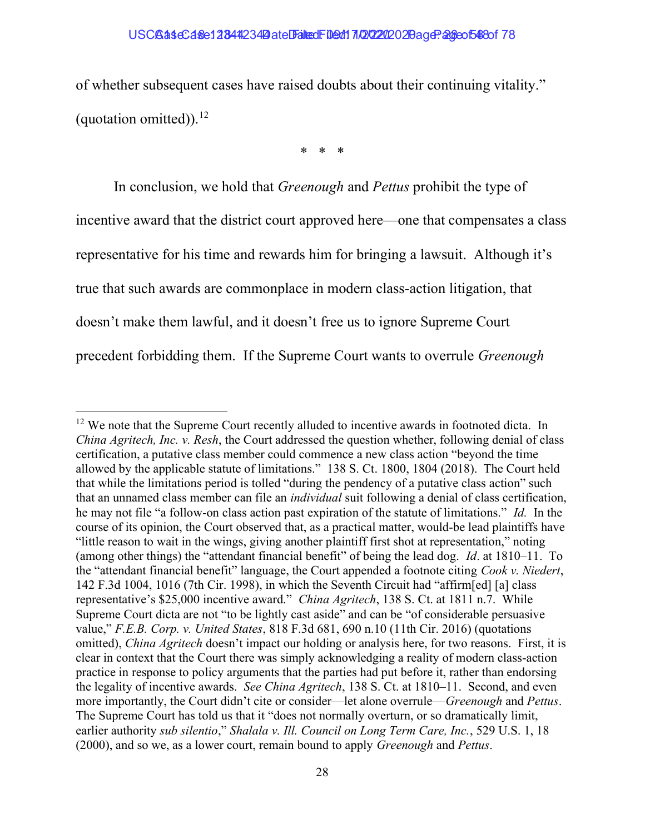of whether subsequent cases have raised doubts about their continuing vitality." (quotation omitted)).<sup>12</sup>

\* \* \*

In conclusion, we hold that *Greenough* and *Pettus* prohibit the type of incentive award that the district court approved here—one that compensates a class representative for his time and rewards him for bringing a lawsuit. Although it's true that such awards are commonplace in modern class-action litigation, that doesn't make them lawful, and it doesn't free us to ignore Supreme Court precedent forbidding them. If the Supreme Court wants to overrule Greenough

 $12$  We note that the Supreme Court recently alluded to incentive awards in footnoted dicta. In China Agritech, Inc. v. Resh, the Court addressed the question whether, following denial of class certification, a putative class member could commence a new class action "beyond the time allowed by the applicable statute of limitations." 138 S. Ct. 1800, 1804 (2018). The Court held that while the limitations period is tolled "during the pendency of a putative class action" such that an unnamed class member can file an individual suit following a denial of class certification, he may not file "a follow-on class action past expiration of the statute of limitations." Id. In the course of its opinion, the Court observed that, as a practical matter, would-be lead plaintiffs have "little reason to wait in the wings, giving another plaintiff first shot at representation," noting (among other things) the "attendant financial benefit" of being the lead dog. Id. at 1810–11. To the "attendant financial benefit" language, the Court appended a footnote citing Cook v. Niedert, 142 F.3d 1004, 1016 (7th Cir. 1998), in which the Seventh Circuit had "affirm[ed] [a] class representative's \$25,000 incentive award." China Agritech, 138 S. Ct. at 1811 n.7. While Supreme Court dicta are not "to be lightly cast aside" and can be "of considerable persuasive value," F.E.B. Corp. v. United States, 818 F.3d 681, 690 n.10 (11th Cir. 2016) (quotations omitted), China Agritech doesn't impact our holding or analysis here, for two reasons. First, it is clear in context that the Court there was simply acknowledging a reality of modern class-action practice in response to policy arguments that the parties had put before it, rather than endorsing the legality of incentive awards. See China Agritech, 138 S. Ct. at 1810–11. Second, and even more importantly, the Court didn't cite or consider—let alone overrule—*Greenough* and *Pettus*. The Supreme Court has told us that it "does not normally overturn, or so dramatically limit, earlier authority sub silentio," Shalala v. Ill. Council on Long Term Care, Inc., 529 U.S. 1, 18 (2000), and so we, as a lower court, remain bound to apply *Greenough* and *Pettus*.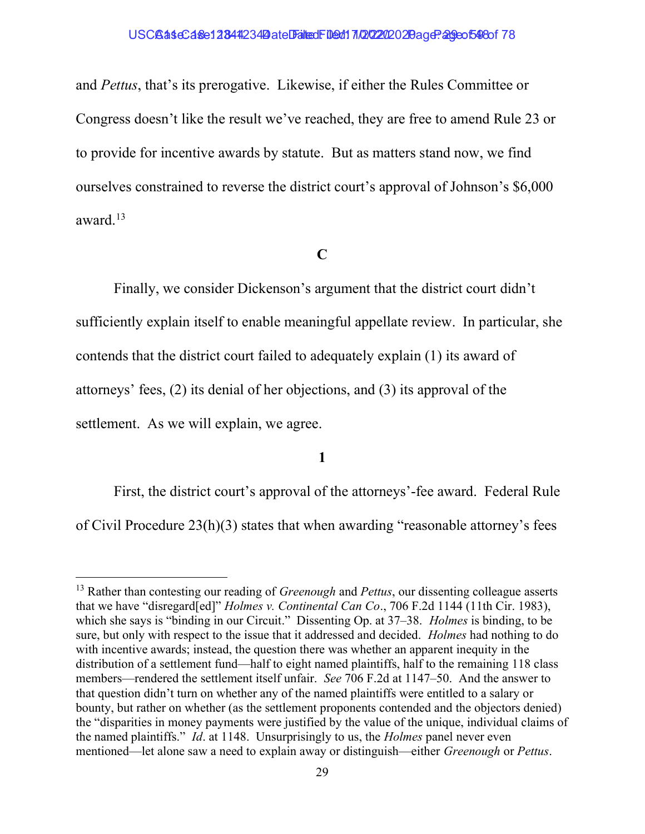and Pettus, that's its prerogative. Likewise, if either the Rules Committee or Congress doesn't like the result we've reached, they are free to amend Rule 23 or to provide for incentive awards by statute. But as matters stand now, we find ourselves constrained to reverse the district court's approval of Johnson's \$6,000 award.<sup>13</sup>

## C

Finally, we consider Dickenson's argument that the district court didn't sufficiently explain itself to enable meaningful appellate review. In particular, she contends that the district court failed to adequately explain (1) its award of attorneys' fees, (2) its denial of her objections, and (3) its approval of the settlement. As we will explain, we agree.

## 1

First, the district court's approval of the attorneys'-fee award. Federal Rule of Civil Procedure 23(h)(3) states that when awarding "reasonable attorney's fees

 $13$  Rather than contesting our reading of *Greenough* and *Pettus*, our dissenting colleague asserts that we have "disregard[ed]" *Holmes v. Continental Can Co.*, 706 F.2d 1144 (11th Cir. 1983), which she says is "binding in our Circuit." Dissenting Op. at 37–38. *Holmes* is binding, to be sure, but only with respect to the issue that it addressed and decided. Holmes had nothing to do with incentive awards; instead, the question there was whether an apparent inequity in the distribution of a settlement fund—half to eight named plaintiffs, half to the remaining 118 class members—rendered the settlement itself unfair. See 706 F.2d at 1147–50. And the answer to that question didn't turn on whether any of the named plaintiffs were entitled to a salary or bounty, but rather on whether (as the settlement proponents contended and the objectors denied) the "disparities in money payments were justified by the value of the unique, individual claims of the named plaintiffs." Id. at 1148. Unsurprisingly to us, the Holmes panel never even mentioned—let alone saw a need to explain away or distinguish—either Greenough or Pettus.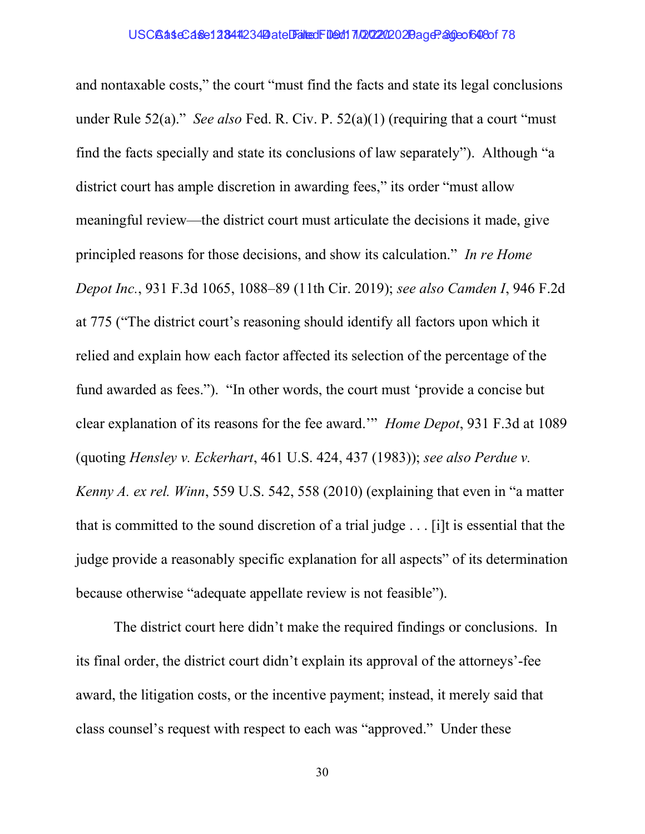and nontaxable costs," the court "must find the facts and state its legal conclusions under Rule 52(a)." See also Fed. R. Civ. P.  $52(a)(1)$  (requiring that a court "must" find the facts specially and state its conclusions of law separately"). Although "a district court has ample discretion in awarding fees," its order "must allow meaningful review—the district court must articulate the decisions it made, give principled reasons for those decisions, and show its calculation." In re Home Depot Inc., 931 F.3d 1065, 1088–89 (11th Cir. 2019); see also Camden I, 946 F.2d at 775 ("The district court's reasoning should identify all factors upon which it relied and explain how each factor affected its selection of the percentage of the fund awarded as fees."). "In other words, the court must 'provide a concise but clear explanation of its reasons for the fee award.'" Home Depot, 931 F.3d at 1089 (quoting Hensley v. Eckerhart, 461 U.S. 424, 437 (1983)); see also Perdue v. Kenny A. ex rel. Winn, 559 U.S. 542, 558 (2010) (explaining that even in "a matter that is committed to the sound discretion of a trial judge . . . [i]t is essential that the judge provide a reasonably specific explanation for all aspects" of its determination because otherwise "adequate appellate review is not feasible").

 The district court here didn't make the required findings or conclusions. In its final order, the district court didn't explain its approval of the attorneys'-fee award, the litigation costs, or the incentive payment; instead, it merely said that class counsel's request with respect to each was "approved." Under these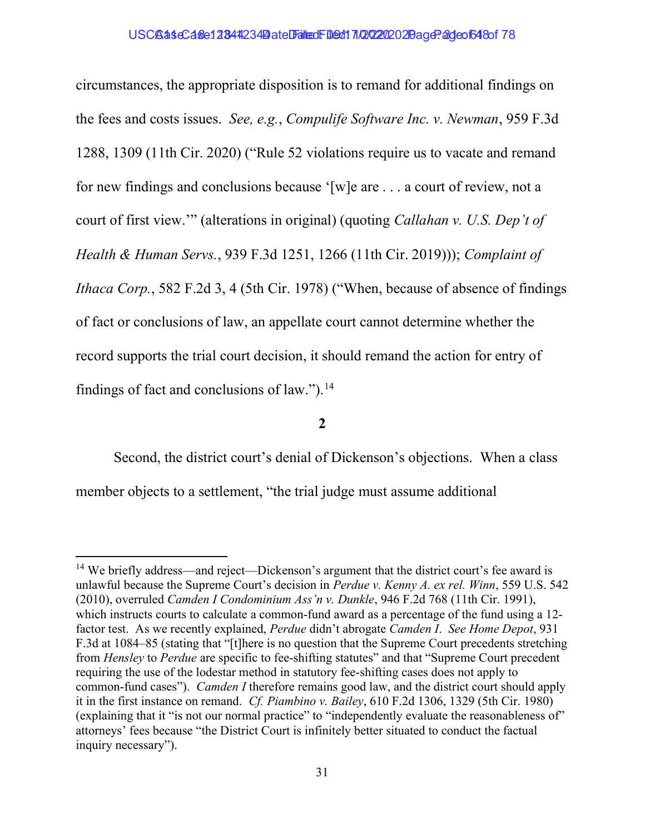circumstances, the appropriate disposition is to remand for additional findings on the fees and costs issues. See, e.g., Compulife Software Inc. v. Newman, 959 F.3d 1288, 1309 (11th Cir. 2020) ("Rule 52 violations require us to vacate and remand for new findings and conclusions because '[w]e are . . . a court of review, not a court of first view.'" (alterations in original) (quoting Callahan v. U.S. Dep't of Health & Human Servs., 939 F.3d 1251, 1266 (11th Cir. 2019))); Complaint of Ithaca Corp., 582 F.2d 3, 4 (5th Cir. 1978) ("When, because of absence of findings of fact or conclusions of law, an appellate court cannot determine whether the record supports the trial court decision, it should remand the action for entry of findings of fact and conclusions of law."). $^{14}$ 

2

Second, the district court's denial of Dickenson's objections. When a class member objects to a settlement, "the trial judge must assume additional

<sup>&</sup>lt;sup>14</sup> We briefly address—and reject—Dickenson's argument that the district court's fee award is unlawful because the Supreme Court's decision in Perdue v. Kenny A. ex rel. Winn, 559 U.S. 542 (2010), overruled Camden I Condominium Ass'n v. Dunkle, 946 F.2d 768 (11th Cir. 1991), which instructs courts to calculate a common-fund award as a percentage of the fund using a 12 factor test. As we recently explained, Perdue didn't abrogate Camden I. See Home Depot, 931 F.3d at 1084–85 (stating that "[t]here is no question that the Supreme Court precedents stretching from Hensley to Perdue are specific to fee-shifting statutes" and that "Supreme Court precedent requiring the use of the lodestar method in statutory fee-shifting cases does not apply to common-fund cases"). Camden I therefore remains good law, and the district court should apply it in the first instance on remand. Cf. Piambino v. Bailey, 610 F.2d 1306, 1329 (5th Cir. 1980) (explaining that it "is not our normal practice" to "independently evaluate the reasonableness of" attorneys' fees because "the District Court is infinitely better situated to conduct the factual inquiry necessary").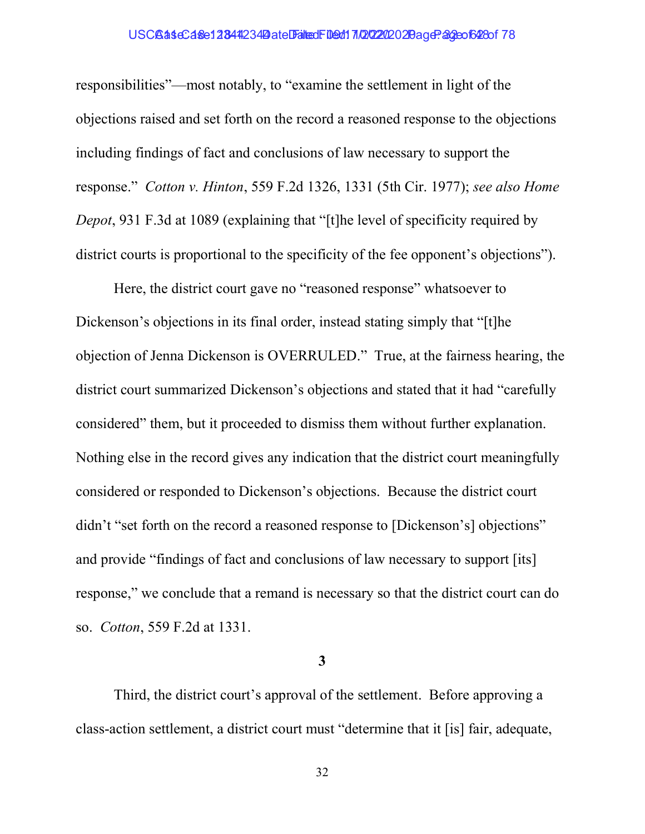## USCBaseCase12844234 Date Filed: 109d17/20202020 age: 32eof628of 78

responsibilities"—most notably, to "examine the settlement in light of the objections raised and set forth on the record a reasoned response to the objections including findings of fact and conclusions of law necessary to support the response." Cotton v. Hinton, 559 F.2d 1326, 1331 (5th Cir. 1977); see also Home Depot, 931 F.3d at 1089 (explaining that "[t]he level of specificity required by district courts is proportional to the specificity of the fee opponent's objections").

Here, the district court gave no "reasoned response" whatsoever to Dickenson's objections in its final order, instead stating simply that "[t]he objection of Jenna Dickenson is OVERRULED." True, at the fairness hearing, the district court summarized Dickenson's objections and stated that it had "carefully considered" them, but it proceeded to dismiss them without further explanation. Nothing else in the record gives any indication that the district court meaningfully considered or responded to Dickenson's objections. Because the district court didn't "set forth on the record a reasoned response to [Dickenson's] objections" and provide "findings of fact and conclusions of law necessary to support [its] response," we conclude that a remand is necessary so that the district court can do so. Cotton, 559 F.2d at 1331.

3

Third, the district court's approval of the settlement. Before approving a class-action settlement, a district court must "determine that it [is] fair, adequate,

32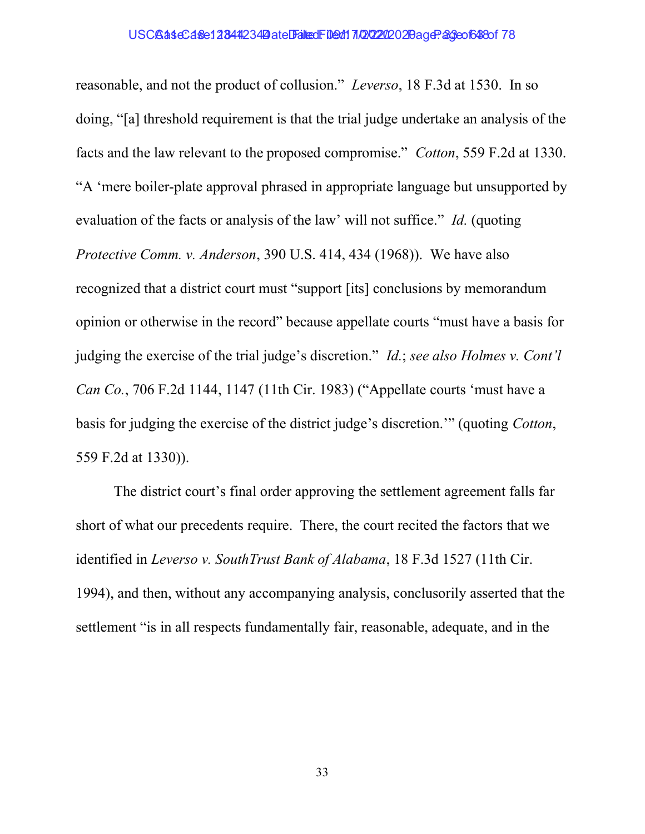## USCBaseCase12844234 Date Filed: 109d17/20202020 age: 23 cof638 of 78

reasonable, and not the product of collusion." Leverso, 18 F.3d at 1530. In so doing, "[a] threshold requirement is that the trial judge undertake an analysis of the facts and the law relevant to the proposed compromise." *Cotton*, 559 F.2d at 1330. "A 'mere boiler-plate approval phrased in appropriate language but unsupported by evaluation of the facts or analysis of the law' will not suffice." Id. (quoting Protective Comm. v. Anderson, 390 U.S. 414, 434 (1968)). We have also recognized that a district court must "support [its] conclusions by memorandum opinion or otherwise in the record" because appellate courts "must have a basis for judging the exercise of the trial judge's discretion." Id.; see also Holmes v. Cont'l Can Co., 706 F.2d 1144, 1147 (11th Cir. 1983) ("Appellate courts 'must have a basis for judging the exercise of the district judge's discretion.'" (quoting Cotton, 559 F.2d at 1330)).

The district court's final order approving the settlement agreement falls far short of what our precedents require. There, the court recited the factors that we identified in Leverso v. SouthTrust Bank of Alabama, 18 F.3d 1527 (11th Cir. 1994), and then, without any accompanying analysis, conclusorily asserted that the settlement "is in all respects fundamentally fair, reasonable, adequate, and in the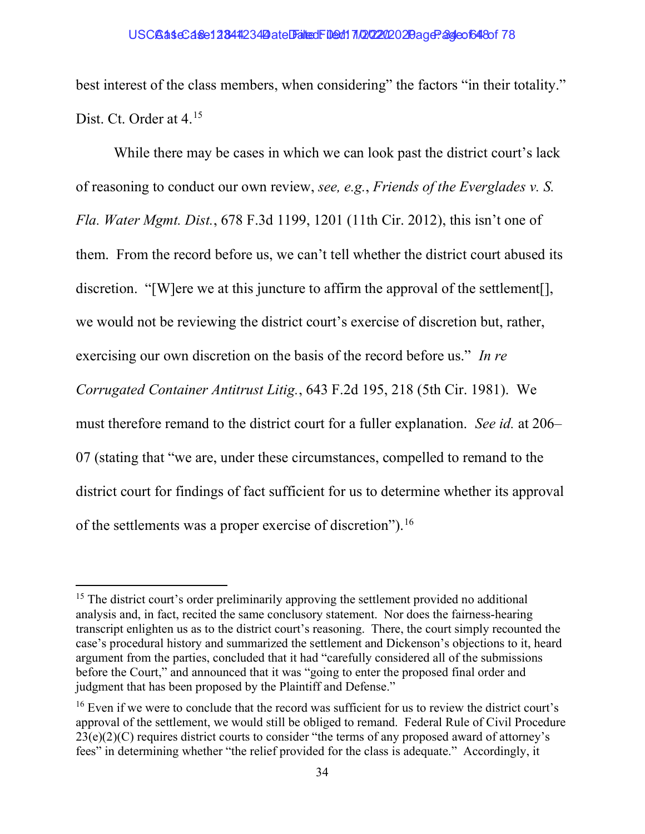best interest of the class members, when considering" the factors "in their totality." Dist. Ct. Order at 4.<sup>15</sup>

While there may be cases in which we can look past the district court's lack of reasoning to conduct our own review, see, e.g., Friends of the Everglades v. S. Fla. Water Mgmt. Dist., 678 F.3d 1199, 1201 (11th Cir. 2012), this isn't one of them. From the record before us, we can't tell whether the district court abused its discretion. "[W]ere we at this juncture to affirm the approval of the settlement[], we would not be reviewing the district court's exercise of discretion but, rather, exercising our own discretion on the basis of the record before us." In re Corrugated Container Antitrust Litig., 643 F.2d 195, 218 (5th Cir. 1981). We must therefore remand to the district court for a fuller explanation. See id. at 206– 07 (stating that "we are, under these circumstances, compelled to remand to the district court for findings of fact sufficient for us to determine whether its approval of the settlements was a proper exercise of discretion").<sup>16</sup>

 $15$  The district court's order preliminarily approving the settlement provided no additional analysis and, in fact, recited the same conclusory statement. Nor does the fairness-hearing transcript enlighten us as to the district court's reasoning. There, the court simply recounted the case's procedural history and summarized the settlement and Dickenson's objections to it, heard argument from the parties, concluded that it had "carefully considered all of the submissions before the Court," and announced that it was "going to enter the proposed final order and judgment that has been proposed by the Plaintiff and Defense."

 $16$  Even if we were to conclude that the record was sufficient for us to review the district court's approval of the settlement, we would still be obliged to remand. Federal Rule of Civil Procedure  $23(e)(2)(C)$  requires district courts to consider "the terms of any proposed award of attorney's fees" in determining whether "the relief provided for the class is adequate." Accordingly, it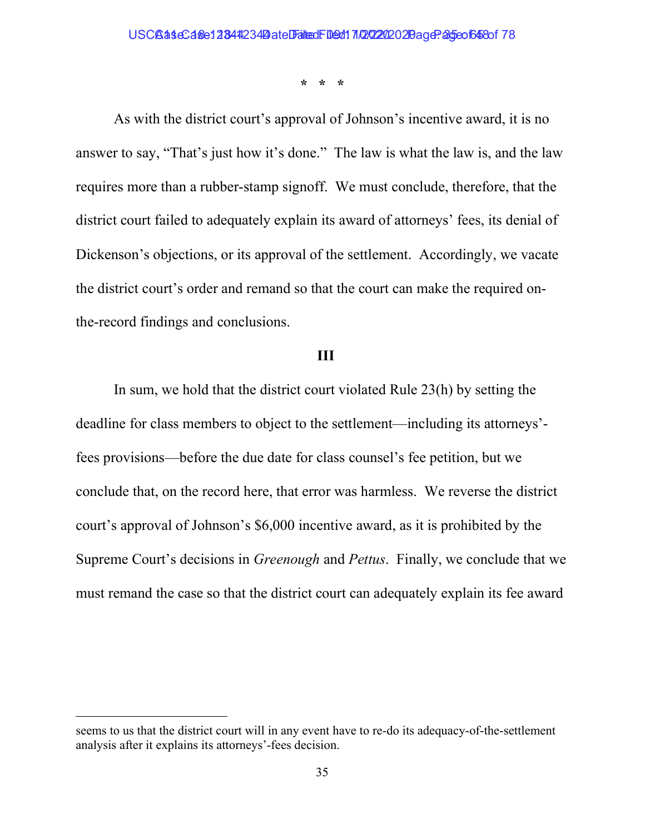\* \* \*

As with the district court's approval of Johnson's incentive award, it is no answer to say, "That's just how it's done." The law is what the law is, and the law requires more than a rubber-stamp signoff. We must conclude, therefore, that the district court failed to adequately explain its award of attorneys' fees, its denial of Dickenson's objections, or its approval of the settlement. Accordingly, we vacate the district court's order and remand so that the court can make the required onthe-record findings and conclusions.

## III

In sum, we hold that the district court violated Rule 23(h) by setting the deadline for class members to object to the settlement—including its attorneys' fees provisions—before the due date for class counsel's fee petition, but we conclude that, on the record here, that error was harmless. We reverse the district court's approval of Johnson's \$6,000 incentive award, as it is prohibited by the Supreme Court's decisions in Greenough and Pettus. Finally, we conclude that we must remand the case so that the district court can adequately explain its fee award

seems to us that the district court will in any event have to re-do its adequacy-of-the-settlement analysis after it explains its attorneys'-fees decision.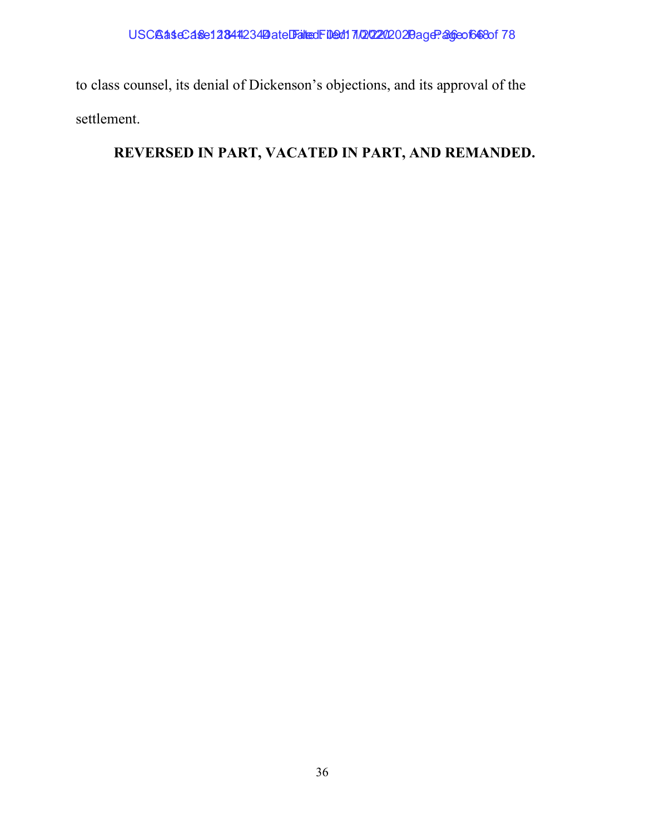to class counsel, its denial of Dickenson's objections, and its approval of the settlement.

# REVERSED IN PART, VACATED IN PART, AND REMANDED.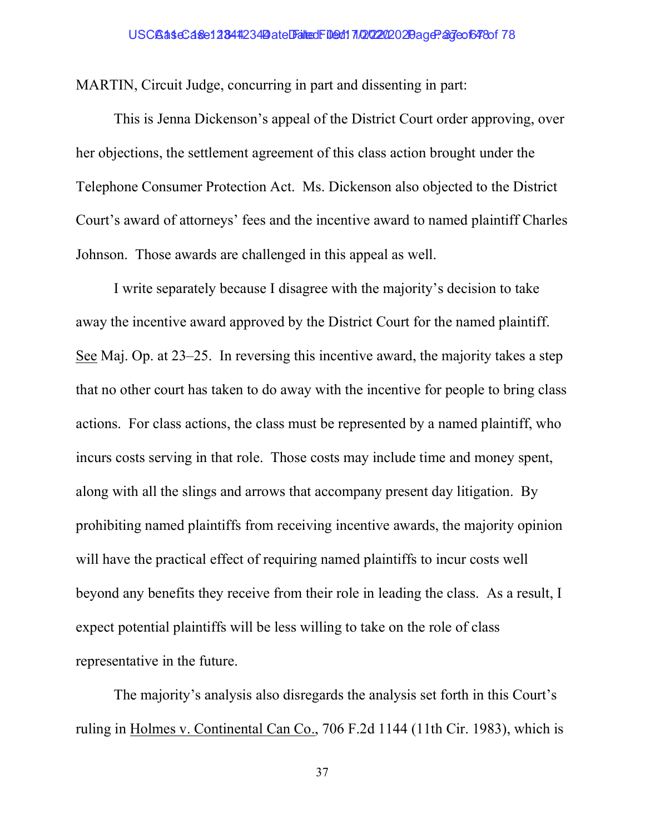MARTIN, Circuit Judge, concurring in part and dissenting in part:

This is Jenna Dickenson's appeal of the District Court order approving, over her objections, the settlement agreement of this class action brought under the Telephone Consumer Protection Act. Ms. Dickenson also objected to the District Court's award of attorneys' fees and the incentive award to named plaintiff Charles Johnson. Those awards are challenged in this appeal as well.

I write separately because I disagree with the majority's decision to take away the incentive award approved by the District Court for the named plaintiff. See Maj. Op. at 23–25. In reversing this incentive award, the majority takes a step that no other court has taken to do away with the incentive for people to bring class actions. For class actions, the class must be represented by a named plaintiff, who incurs costs serving in that role. Those costs may include time and money spent, along with all the slings and arrows that accompany present day litigation. By prohibiting named plaintiffs from receiving incentive awards, the majority opinion will have the practical effect of requiring named plaintiffs to incur costs well beyond any benefits they receive from their role in leading the class. As a result, I expect potential plaintiffs will be less willing to take on the role of class representative in the future.

The majority's analysis also disregards the analysis set forth in this Court's ruling in Holmes v. Continental Can Co., 706 F.2d 1144 (11th Cir. 1983), which is

37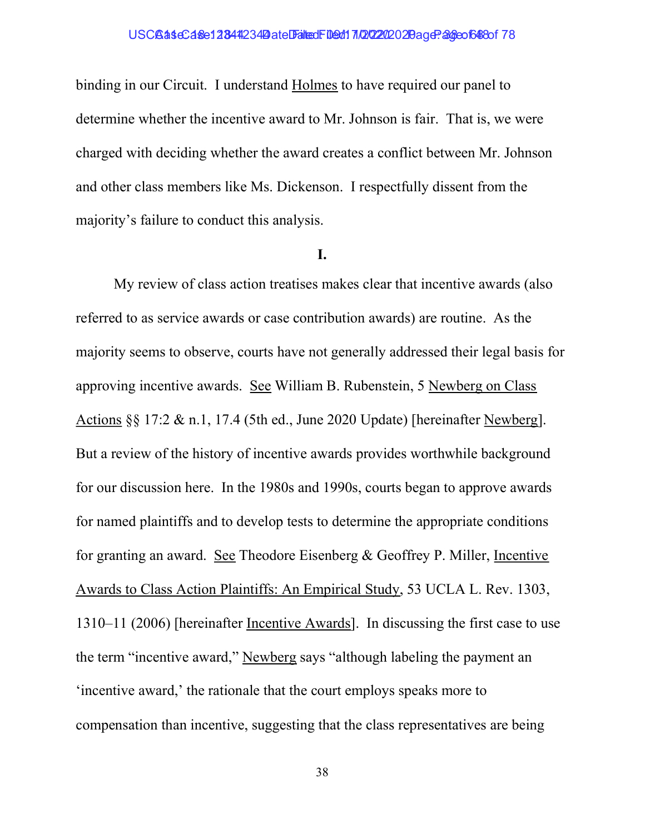binding in our Circuit. I understand Holmes to have required our panel to determine whether the incentive award to Mr. Johnson is fair. That is, we were charged with deciding whether the award creates a conflict between Mr. Johnson and other class members like Ms. Dickenson. I respectfully dissent from the majority's failure to conduct this analysis.

## I.

My review of class action treatises makes clear that incentive awards (also referred to as service awards or case contribution awards) are routine. As the majority seems to observe, courts have not generally addressed their legal basis for approving incentive awards. See William B. Rubenstein, 5 Newberg on Class Actions §§ 17:2 & n.1, 17.4 (5th ed., June 2020 Update) [hereinafter Newberg]. But a review of the history of incentive awards provides worthwhile background for our discussion here. In the 1980s and 1990s, courts began to approve awards for named plaintiffs and to develop tests to determine the appropriate conditions for granting an award. See Theodore Eisenberg & Geoffrey P. Miller, Incentive Awards to Class Action Plaintiffs: An Empirical Study, 53 UCLA L. Rev. 1303, 1310–11 (2006) [hereinafter Incentive Awards]. In discussing the first case to use the term "incentive award," Newberg says "although labeling the payment an 'incentive award,' the rationale that the court employs speaks more to compensation than incentive, suggesting that the class representatives are being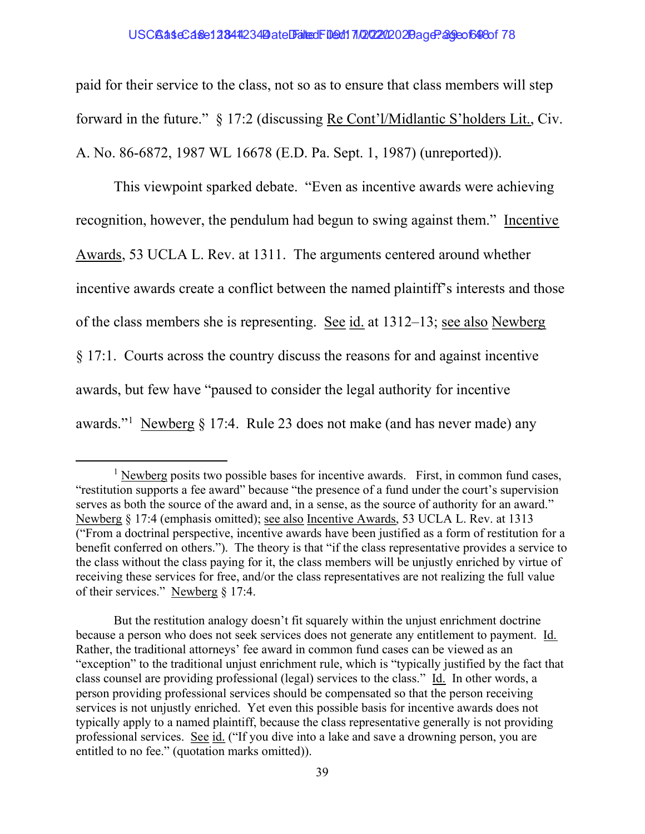## USCBaseCase12844234 Date Falted Filed: 17/2020 20age: 29 eo 1648 of 78

paid for their service to the class, not so as to ensure that class members will step forward in the future." § 17:2 (discussing Re Cont'l/Midlantic S'holders Lit., Civ. A. No. 86-6872, 1987 WL 16678 (E.D. Pa. Sept. 1, 1987) (unreported)).

This viewpoint sparked debate. "Even as incentive awards were achieving recognition, however, the pendulum had begun to swing against them." Incentive Awards, 53 UCLA L. Rev. at 1311. The arguments centered around whether incentive awards create a conflict between the named plaintiff's interests and those of the class members she is representing. See id. at 1312–13; see also Newberg § 17:1. Courts across the country discuss the reasons for and against incentive awards, but few have "paused to consider the legal authority for incentive awards."<sup>1</sup> Newberg § 17:4. Rule 23 does not make (and has never made) any

 $<sup>1</sup>$  Newberg posits two possible bases for incentive awards. First, in common fund cases,</sup> "restitution supports a fee award" because "the presence of a fund under the court's supervision serves as both the source of the award and, in a sense, as the source of authority for an award." Newberg § 17:4 (emphasis omitted); see also Incentive Awards, 53 UCLA L. Rev. at 1313 ("From a doctrinal perspective, incentive awards have been justified as a form of restitution for a benefit conferred on others."). The theory is that "if the class representative provides a service to the class without the class paying for it, the class members will be unjustly enriched by virtue of receiving these services for free, and/or the class representatives are not realizing the full value of their services." Newberg § 17:4.

But the restitution analogy doesn't fit squarely within the unjust enrichment doctrine because a person who does not seek services does not generate any entitlement to payment. Id. Rather, the traditional attorneys' fee award in common fund cases can be viewed as an "exception" to the traditional unjust enrichment rule, which is "typically justified by the fact that class counsel are providing professional (legal) services to the class." Id. In other words, a person providing professional services should be compensated so that the person receiving services is not unjustly enriched. Yet even this possible basis for incentive awards does not typically apply to a named plaintiff, because the class representative generally is not providing professional services. See id. ("If you dive into a lake and save a drowning person, you are entitled to no fee." (quotation marks omitted)).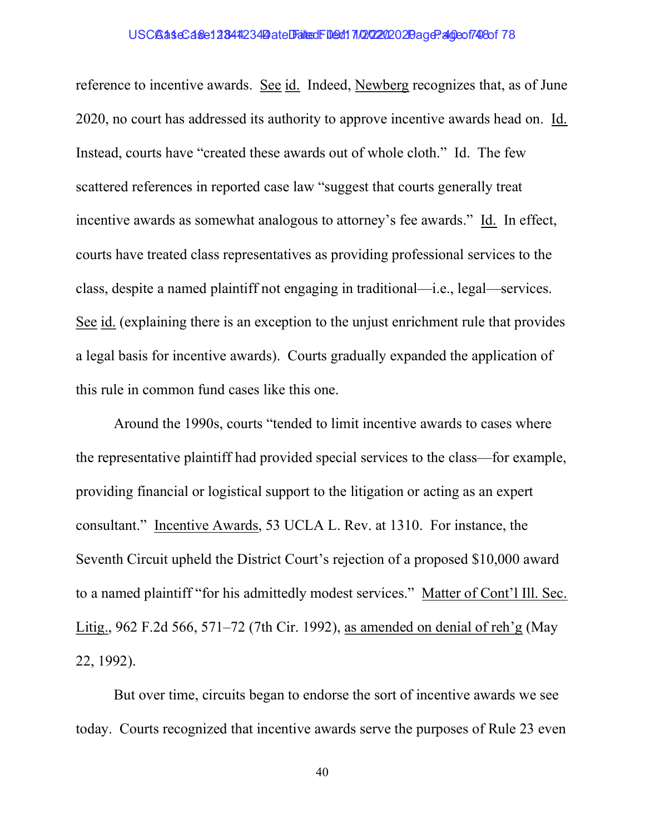## USCBaseCase12844234 Date Filed: 109d170202020 20age: 2000 748 of 78

reference to incentive awards. See id. Indeed, Newberg recognizes that, as of June 2020, no court has addressed its authority to approve incentive awards head on. Id. Instead, courts have "created these awards out of whole cloth." Id. The few scattered references in reported case law "suggest that courts generally treat incentive awards as somewhat analogous to attorney's fee awards." Id. In effect, courts have treated class representatives as providing professional services to the class, despite a named plaintiff not engaging in traditional—i.e., legal—services. See id. (explaining there is an exception to the unjust enrichment rule that provides a legal basis for incentive awards). Courts gradually expanded the application of this rule in common fund cases like this one.

Around the 1990s, courts "tended to limit incentive awards to cases where the representative plaintiff had provided special services to the class—for example, providing financial or logistical support to the litigation or acting as an expert consultant." Incentive Awards, 53 UCLA L. Rev. at 1310. For instance, the Seventh Circuit upheld the District Court's rejection of a proposed \$10,000 award to a named plaintiff "for his admittedly modest services." Matter of Cont'l Ill. Sec. Litig., 962 F.2d 566, 571–72 (7th Cir. 1992), as amended on denial of reh'g (May 22, 1992).

But over time, circuits began to endorse the sort of incentive awards we see today. Courts recognized that incentive awards serve the purposes of Rule 23 even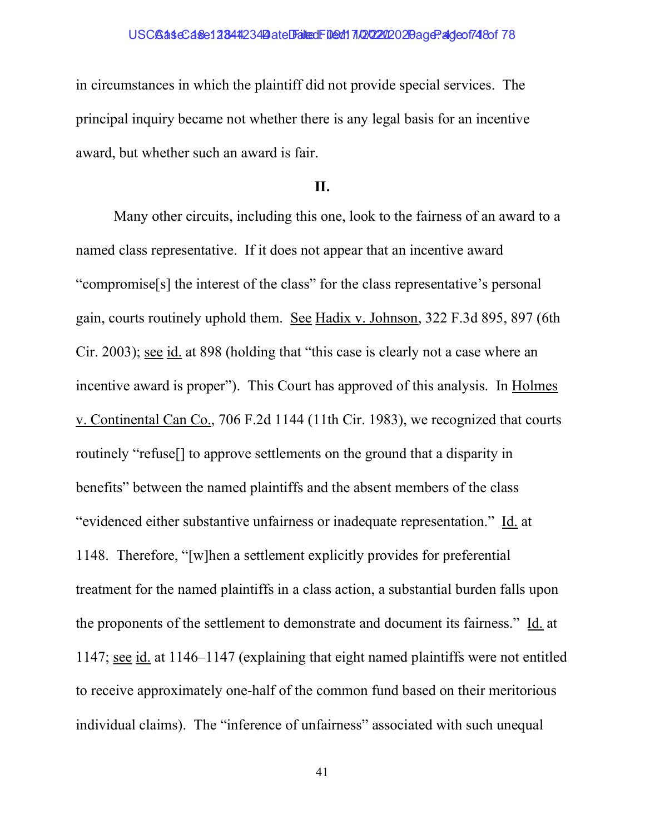in circumstances in which the plaintiff did not provide special services. The principal inquiry became not whether there is any legal basis for an incentive award, but whether such an award is fair.

# II.

Many other circuits, including this one, look to the fairness of an award to a named class representative. If it does not appear that an incentive award "compromise[s] the interest of the class" for the class representative's personal gain, courts routinely uphold them. See Hadix v. Johnson, 322 F.3d 895, 897 (6th Cir. 2003); see id. at 898 (holding that "this case is clearly not a case where an incentive award is proper"). This Court has approved of this analysis. In Holmes v. Continental Can Co., 706 F.2d 1144 (11th Cir. 1983), we recognized that courts routinely "refuse[] to approve settlements on the ground that a disparity in benefits" between the named plaintiffs and the absent members of the class "evidenced either substantive unfairness or inadequate representation." Id. at 1148. Therefore, "[w]hen a settlement explicitly provides for preferential treatment for the named plaintiffs in a class action, a substantial burden falls upon the proponents of the settlement to demonstrate and document its fairness." Id. at 1147; see id. at 1146–1147 (explaining that eight named plaintiffs were not entitled to receive approximately one-half of the common fund based on their meritorious individual claims). The "inference of unfairness" associated with such unequal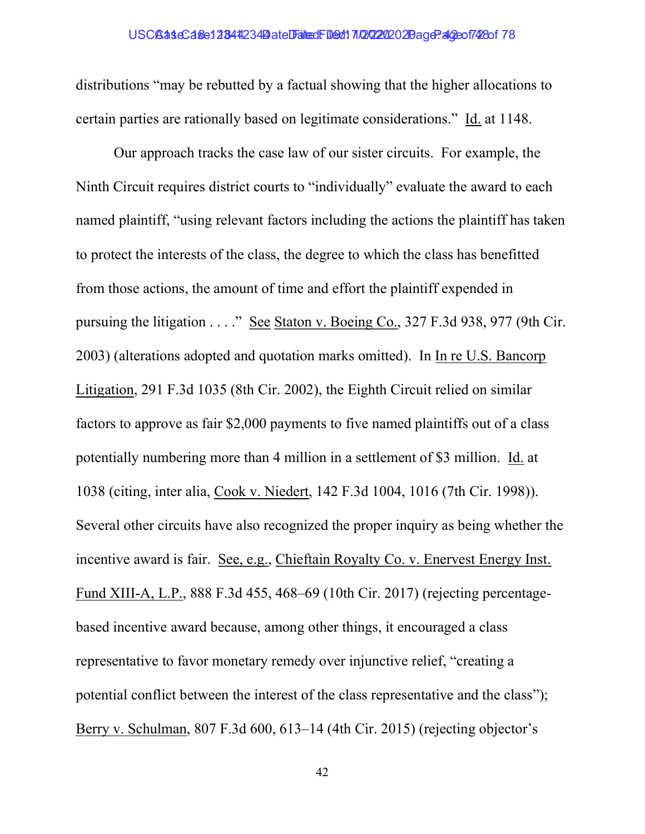## USCBaseCase12844234 Date Filed: 109d17/20202020 age: 40eof7428of 78

distributions "may be rebutted by a factual showing that the higher allocations to certain parties are rationally based on legitimate considerations." Id. at 1148.

Our approach tracks the case law of our sister circuits. For example, the Ninth Circuit requires district courts to "individually" evaluate the award to each named plaintiff, "using relevant factors including the actions the plaintiff has taken to protect the interests of the class, the degree to which the class has benefitted from those actions, the amount of time and effort the plaintiff expended in pursuing the litigation . . . ." See Staton v. Boeing Co., 327 F.3d 938, 977 (9th Cir. 2003) (alterations adopted and quotation marks omitted). In In re U.S. Bancorp Litigation, 291 F.3d 1035 (8th Cir. 2002), the Eighth Circuit relied on similar factors to approve as fair \$2,000 payments to five named plaintiffs out of a class potentially numbering more than 4 million in a settlement of \$3 million. Id. at 1038 (citing, inter alia, Cook v. Niedert, 142 F.3d 1004, 1016 (7th Cir. 1998)). Several other circuits have also recognized the proper inquiry as being whether the incentive award is fair. See, e.g., Chieftain Royalty Co. v. Enervest Energy Inst. Fund XIII-A, L.P., 888 F.3d 455, 468–69 (10th Cir. 2017) (rejecting percentagebased incentive award because, among other things, it encouraged a class representative to favor monetary remedy over injunctive relief, "creating a potential conflict between the interest of the class representative and the class"); Berry v. Schulman, 807 F.3d 600, 613–14 (4th Cir. 2015) (rejecting objector's

42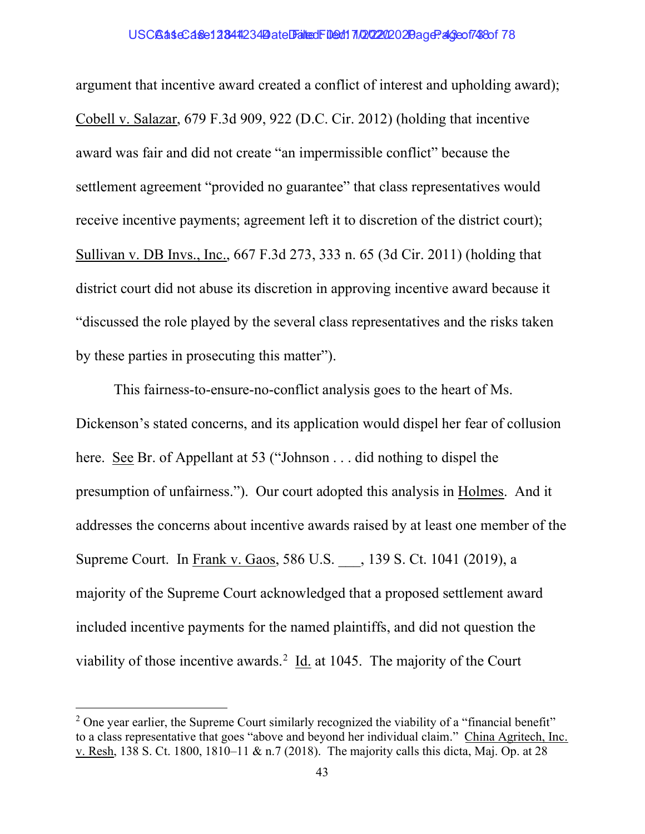## USCBaseCase12844234 Date Falted Filed: 10/22/2020 20age: 2006748 of 78

argument that incentive award created a conflict of interest and upholding award); Cobell v. Salazar, 679 F.3d 909, 922 (D.C. Cir. 2012) (holding that incentive award was fair and did not create "an impermissible conflict" because the settlement agreement "provided no guarantee" that class representatives would receive incentive payments; agreement left it to discretion of the district court); Sullivan v. DB Invs., Inc., 667 F.3d 273, 333 n. 65 (3d Cir. 2011) (holding that district court did not abuse its discretion in approving incentive award because it "discussed the role played by the several class representatives and the risks taken by these parties in prosecuting this matter").

This fairness-to-ensure-no-conflict analysis goes to the heart of Ms. Dickenson's stated concerns, and its application would dispel her fear of collusion here. See Br. of Appellant at 53 ("Johnson . . . did nothing to dispel the presumption of unfairness."). Our court adopted this analysis in Holmes. And it addresses the concerns about incentive awards raised by at least one member of the Supreme Court. In Frank v. Gaos, 586 U.S. , 139 S. Ct. 1041 (2019), a majority of the Supreme Court acknowledged that a proposed settlement award included incentive payments for the named plaintiffs, and did not question the viability of those incentive awards.<sup>2</sup>  $\underline{Id}$  at 1045. The majority of the Court

 $2$  One year earlier, the Supreme Court similarly recognized the viability of a "financial benefit" to a class representative that goes "above and beyond her individual claim." China Agritech, Inc. v. Resh, 138 S. Ct. 1800, 1810–11 & n.7 (2018). The majority calls this dicta, Maj. Op. at 28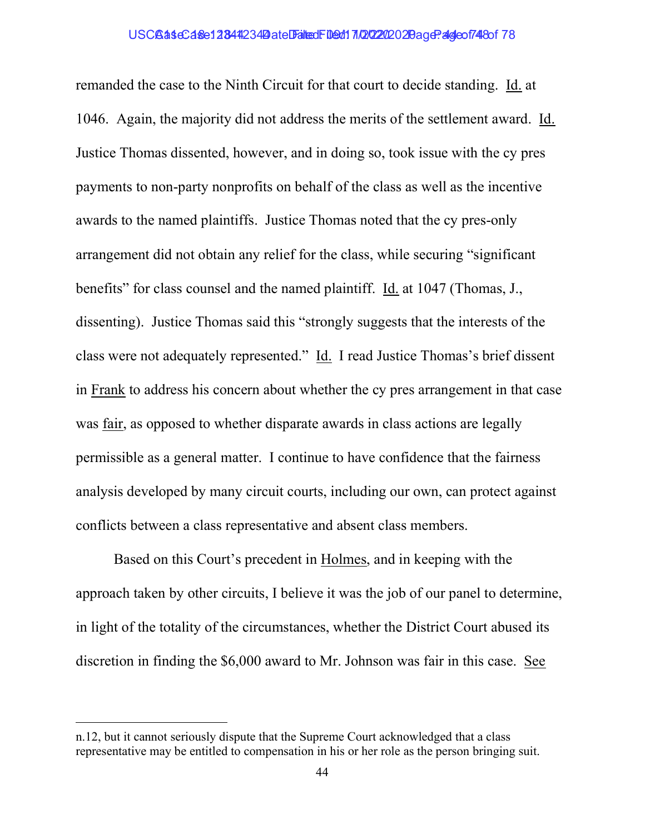## USCBaseCase12844234 Date Filed: 109d170202020 20age: 2dgeof748 of 78

remanded the case to the Ninth Circuit for that court to decide standing. Id. at 1046. Again, the majority did not address the merits of the settlement award. Id. Justice Thomas dissented, however, and in doing so, took issue with the cy pres payments to non-party nonprofits on behalf of the class as well as the incentive awards to the named plaintiffs. Justice Thomas noted that the cy pres-only arrangement did not obtain any relief for the class, while securing "significant benefits" for class counsel and the named plaintiff. Id. at 1047 (Thomas, J., dissenting). Justice Thomas said this "strongly suggests that the interests of the class were not adequately represented." Id. I read Justice Thomas's brief dissent in Frank to address his concern about whether the cy pres arrangement in that case was fair, as opposed to whether disparate awards in class actions are legally permissible as a general matter. I continue to have confidence that the fairness analysis developed by many circuit courts, including our own, can protect against conflicts between a class representative and absent class members.

Based on this Court's precedent in Holmes, and in keeping with the approach taken by other circuits, I believe it was the job of our panel to determine, in light of the totality of the circumstances, whether the District Court abused its discretion in finding the \$6,000 award to Mr. Johnson was fair in this case. See

n.12, but it cannot seriously dispute that the Supreme Court acknowledged that a class representative may be entitled to compensation in his or her role as the person bringing suit.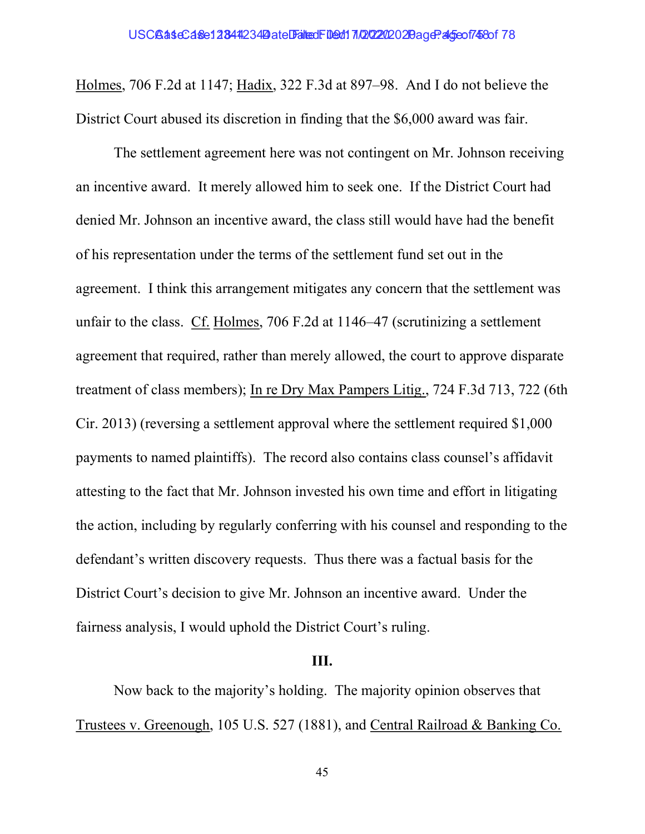Holmes, 706 F.2d at 1147; Hadix, 322 F.3d at 897–98. And I do not believe the District Court abused its discretion in finding that the \$6,000 award was fair.

The settlement agreement here was not contingent on Mr. Johnson receiving an incentive award. It merely allowed him to seek one. If the District Court had denied Mr. Johnson an incentive award, the class still would have had the benefit of his representation under the terms of the settlement fund set out in the agreement. I think this arrangement mitigates any concern that the settlement was unfair to the class. Cf. Holmes, 706 F.2d at 1146–47 (scrutinizing a settlement agreement that required, rather than merely allowed, the court to approve disparate treatment of class members); In re Dry Max Pampers Litig., 724 F.3d 713, 722 (6th Cir. 2013) (reversing a settlement approval where the settlement required \$1,000 payments to named plaintiffs). The record also contains class counsel's affidavit attesting to the fact that Mr. Johnson invested his own time and effort in litigating the action, including by regularly conferring with his counsel and responding to the defendant's written discovery requests. Thus there was a factual basis for the District Court's decision to give Mr. Johnson an incentive award. Under the fairness analysis, I would uphold the District Court's ruling.

## III.

Now back to the majority's holding. The majority opinion observes that Trustees v. Greenough, 105 U.S. 527 (1881), and Central Railroad & Banking Co.

45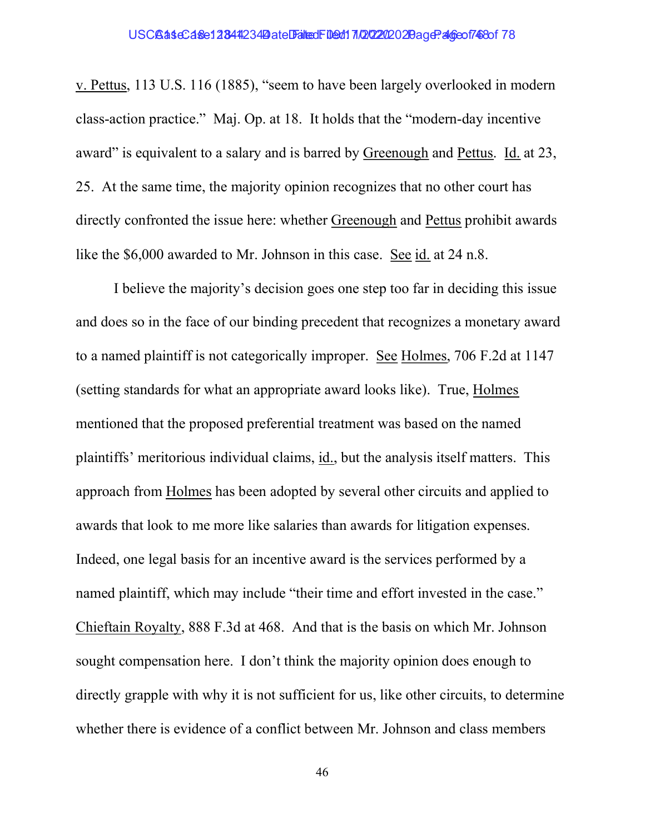v. Pettus, 113 U.S. 116 (1885), "seem to have been largely overlooked in modern class-action practice." Maj. Op. at 18. It holds that the "modern-day incentive award" is equivalent to a salary and is barred by Greenough and Pettus. Id. at 23, 25. At the same time, the majority opinion recognizes that no other court has directly confronted the issue here: whether Greenough and Pettus prohibit awards like the \$6,000 awarded to Mr. Johnson in this case. See id. at 24 n.8.

I believe the majority's decision goes one step too far in deciding this issue and does so in the face of our binding precedent that recognizes a monetary award to a named plaintiff is not categorically improper. See Holmes, 706 F.2d at 1147 (setting standards for what an appropriate award looks like). True, Holmes mentioned that the proposed preferential treatment was based on the named plaintiffs' meritorious individual claims, id., but the analysis itself matters. This approach from Holmes has been adopted by several other circuits and applied to awards that look to me more like salaries than awards for litigation expenses. Indeed, one legal basis for an incentive award is the services performed by a named plaintiff, which may include "their time and effort invested in the case." Chieftain Royalty, 888 F.3d at 468. And that is the basis on which Mr. Johnson sought compensation here. I don't think the majority opinion does enough to directly grapple with why it is not sufficient for us, like other circuits, to determine whether there is evidence of a conflict between Mr. Johnson and class members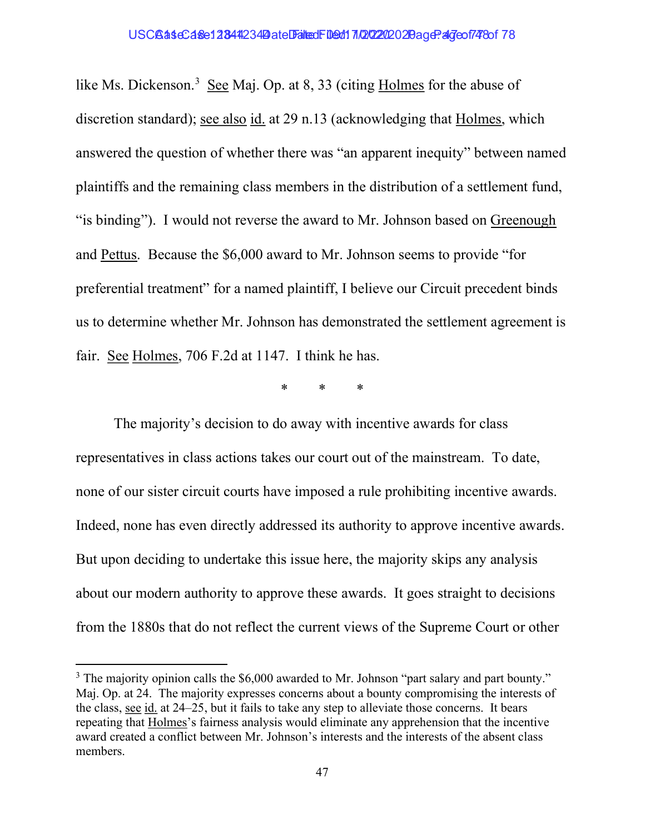like Ms. Dickenson.<sup>3</sup> See Maj. Op. at 8, 33 (citing Holmes for the abuse of discretion standard); see also id. at 29 n.13 (acknowledging that Holmes, which answered the question of whether there was "an apparent inequity" between named plaintiffs and the remaining class members in the distribution of a settlement fund, "is binding"). I would not reverse the award to Mr. Johnson based on Greenough and Pettus. Because the \$6,000 award to Mr. Johnson seems to provide "for preferential treatment" for a named plaintiff, I believe our Circuit precedent binds us to determine whether Mr. Johnson has demonstrated the settlement agreement is fair. See Holmes, 706 F.2d at 1147. I think he has.

\* \* \*

The majority's decision to do away with incentive awards for class representatives in class actions takes our court out of the mainstream. To date, none of our sister circuit courts have imposed a rule prohibiting incentive awards. Indeed, none has even directly addressed its authority to approve incentive awards. But upon deciding to undertake this issue here, the majority skips any analysis about our modern authority to approve these awards. It goes straight to decisions from the 1880s that do not reflect the current views of the Supreme Court or other

 $3$  The majority opinion calls the \$6,000 awarded to Mr. Johnson "part salary and part bounty." Maj. Op. at 24. The majority expresses concerns about a bounty compromising the interests of the class, see id. at 24–25, but it fails to take any step to alleviate those concerns. It bears repeating that Holmes's fairness analysis would eliminate any apprehension that the incentive award created a conflict between Mr. Johnson's interests and the interests of the absent class members.